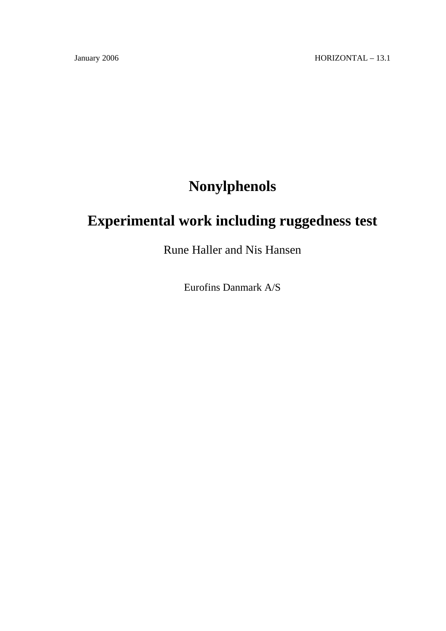# **Nonylphenols**

# **Experimental work including ruggedness test**

Rune Haller and Nis Hansen

Eurofins Danmark A/S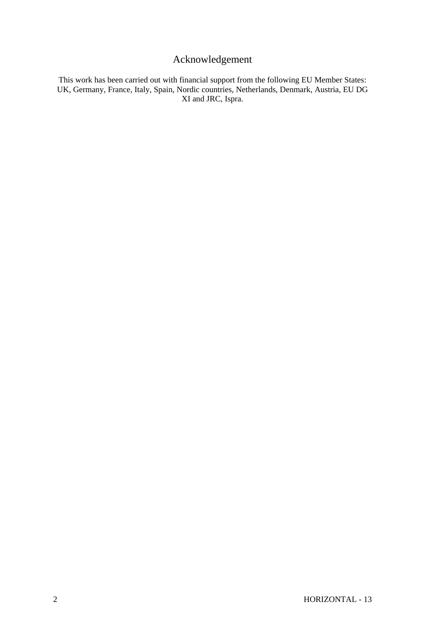# Acknowledgement

This work has been carried out with financial support from the following EU Member States: UK, Germany, France, Italy, Spain, Nordic countries, Netherlands, Denmark, Austria, EU DG XI and JRC, Ispra.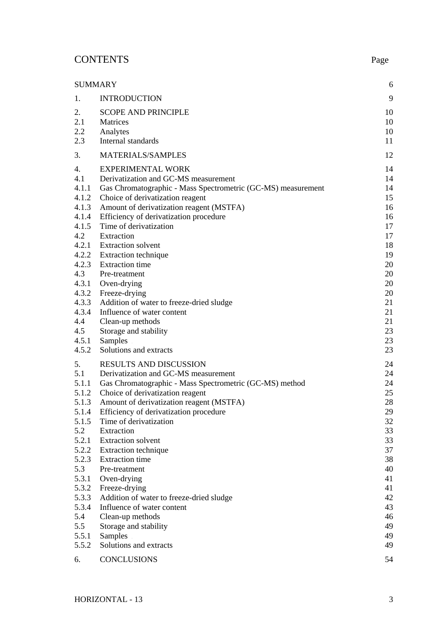# CONTENTS Page

| <b>SUMMARY</b> |                                                              | 6  |
|----------------|--------------------------------------------------------------|----|
| 1.             | <b>INTRODUCTION</b>                                          | 9  |
| 2.             | <b>SCOPE AND PRINCIPLE</b>                                   | 10 |
| 2.1            | Matrices                                                     | 10 |
| 2.2            | Analytes                                                     | 10 |
| 2.3            | Internal standards                                           | 11 |
| 3.             | MATERIALS/SAMPLES                                            | 12 |
| 4.             | <b>EXPERIMENTAL WORK</b>                                     | 14 |
| 4.1            | Derivatization and GC-MS measurement                         | 14 |
| 4.1.1          | Gas Chromatographic - Mass Spectrometric (GC-MS) measurement | 14 |
| 4.1.2          | Choice of derivatization reagent                             | 15 |
| 4.1.3          | Amount of derivatization reagent (MSTFA)                     | 16 |
| 4.1.4          | Efficiency of derivatization procedure                       | 16 |
| 4.1.5          | Time of derivatization                                       | 17 |
| 4.2            | Extraction                                                   | 17 |
| 4.2.1          | <b>Extraction solvent</b>                                    | 18 |
| 4.2.2          | <b>Extraction technique</b>                                  | 19 |
| 4.2.3          | <b>Extraction</b> time                                       | 20 |
| 4.3            | Pre-treatment                                                | 20 |
| 4.3.1          | Oven-drying                                                  | 20 |
| 4.3.2          | Freeze-drying                                                | 20 |
| 4.3.3          | Addition of water to freeze-dried sludge                     | 21 |
| 4.3.4          | Influence of water content                                   | 21 |
| 4.4            | Clean-up methods                                             | 21 |
| 4.5            | Storage and stability                                        | 23 |
| 4.5.1          | Samples                                                      | 23 |
| 4.5.2          | Solutions and extracts                                       | 23 |
| 5.             | <b>RESULTS AND DISCUSSION</b>                                | 24 |
| 5.1            | Derivatization and GC-MS measurement                         | 24 |
| 5.1.1          | Gas Chromatographic - Mass Spectrometric (GC-MS) method      | 24 |
| 5.1.2          | Choice of derivatization reagent                             | 25 |
| 5.1.3          | Amount of derivatization reagent (MSTFA)                     | 28 |
| 5.1.4          | Efficiency of derivatization procedure                       | 29 |
| 5.1.5          | Time of derivatization                                       | 32 |
| 5.2            | Extraction                                                   | 33 |
| 5.2.1          | <b>Extraction</b> solvent                                    | 33 |
| 5.2.2          | Extraction technique                                         | 37 |
| 5.2.3          | <b>Extraction</b> time                                       | 38 |
| 5.3            | Pre-treatment                                                | 40 |
| 5.3.1          | Oven-drying                                                  | 41 |
| 5.3.2          | Freeze-drying                                                | 41 |
| 5.3.3          | Addition of water to freeze-dried sludge                     | 42 |
| 5.3.4          | Influence of water content                                   | 43 |
| 5.4            | Clean-up methods                                             | 46 |
| 5.5            | Storage and stability                                        | 49 |
| 5.5.1          | Samples                                                      | 49 |
| 5.5.2          | Solutions and extracts                                       | 49 |
| 6.             | <b>CONCLUSIONS</b>                                           | 54 |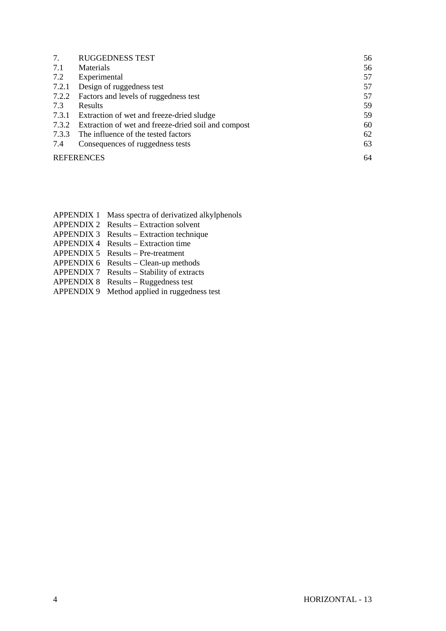| 7.    | <b>RUGGEDNESS TEST</b>                              | 56 |
|-------|-----------------------------------------------------|----|
| 7.1   | Materials                                           | 56 |
| 7.2   | Experimental                                        | 57 |
| 7.2.1 | Design of ruggedness test                           | 57 |
| 7.2.2 | Factors and levels of ruggedness test               | 57 |
| 7.3   | Results                                             | 59 |
| 7.3.1 | Extraction of wet and freeze-dried sludge           | 59 |
| 7.3.2 | Extraction of wet and freeze-dried soil and compost | 60 |
| 7.3.3 | The influence of the tested factors                 | 62 |
| 7.4   | Consequences of ruggedness tests                    | 63 |
|       | <b>REFERENCES</b>                                   | 64 |

- APPENDIX 1 Mass spectra of derivatized alkylphenols
- APPENDIX 2 Results Extraction solvent
- APPENDIX 3 Results Extraction technique
- APPENDIX 4 Results Extraction time
- APPENDIX 5 Results Pre-treatment
- APPENDIX 6 Results Clean-up methods
- APPENDIX 7 Results Stability of extracts
- APPENDIX 8 Results Ruggedness test
- APPENDIX 9 Method applied in ruggedness test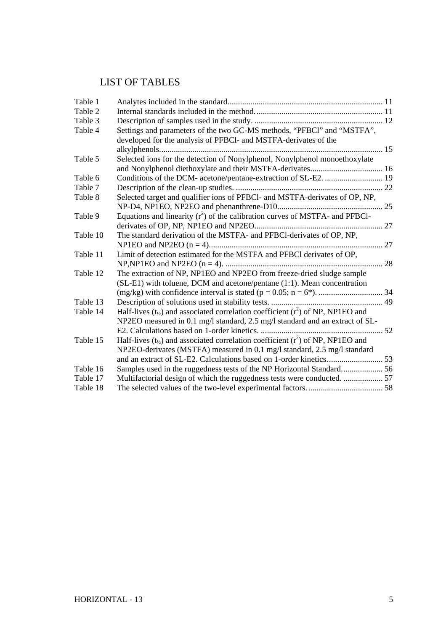# LIST OF TABLES

| Table 1  |                                                                                                                                           |  |
|----------|-------------------------------------------------------------------------------------------------------------------------------------------|--|
| Table 2  |                                                                                                                                           |  |
| Table 3  |                                                                                                                                           |  |
| Table 4  | Settings and parameters of the two GC-MS methods, "PFBCl" and "MSTFA",<br>developed for the analysis of PFBCl- and MSTFA-derivates of the |  |
|          |                                                                                                                                           |  |
| Table 5  | Selected ions for the detection of Nonylphenol, Nonylphenol monoethoxylate                                                                |  |
|          |                                                                                                                                           |  |
| Table 6  | Conditions of the DCM- acetone/pentane-extraction of SL-E2.  19                                                                           |  |
| Table 7  |                                                                                                                                           |  |
| Table 8  | Selected target and qualifier ions of PFBCl- and MSTFA-derivates of OP, NP,                                                               |  |
|          |                                                                                                                                           |  |
| Table 9  | Equations and linearity $(r^2)$ of the calibration curves of MSTFA- and PFBCl-                                                            |  |
|          |                                                                                                                                           |  |
| Table 10 | The standard derivation of the MSTFA- and PFBCI-derivates of OP, NP,                                                                      |  |
|          |                                                                                                                                           |  |
| Table 11 | Limit of detection estimated for the MSTFA and PFBCl derivates of OP,                                                                     |  |
|          |                                                                                                                                           |  |
| Table 12 | The extraction of NP, NP1EO and NP2EO from freeze-dried sludge sample                                                                     |  |
|          | (SL-E1) with toluene, DCM and acetone/pentane (1:1). Mean concentration                                                                   |  |
|          |                                                                                                                                           |  |
| Table 13 |                                                                                                                                           |  |
| Table 14 | Half-lives ( $t_{1/2}$ ) and associated correlation coefficient ( $r^2$ ) of NP, NP1EO and                                                |  |
|          | NP2EO measured in 0.1 mg/l standard, 2.5 mg/l standard and an extract of SL-                                                              |  |
|          |                                                                                                                                           |  |
| Table 15 | Half-lives $(t_{1/2})$ and associated correlation coefficient $(r^2)$ of NP, NP1EO and                                                    |  |
|          | NP2EO-derivates (MSTFA) measured in 0.1 mg/l standard, 2.5 mg/l standard                                                                  |  |
|          |                                                                                                                                           |  |
| Table 16 |                                                                                                                                           |  |
| Table 17 | Multifactorial design of which the ruggedness tests were conducted.  57                                                                   |  |
| Table 18 |                                                                                                                                           |  |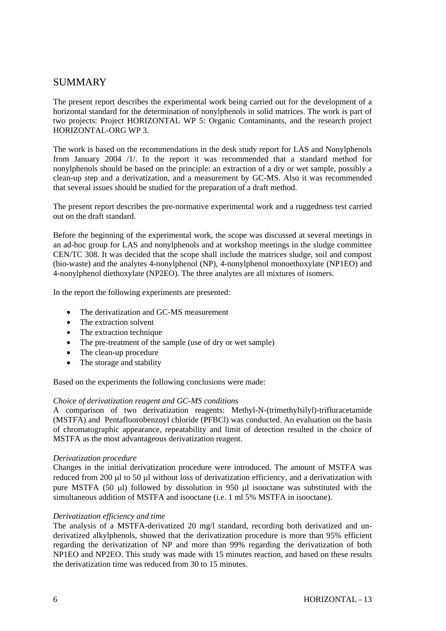# **SUMMARY**

The present report describes the experimental work being carried out for the development of a horizontal standard for the determination of nonylphenols in solid matrices. The work is part of two projects: Project HORIZONTAL WP 5: Organic Contaminants, and the research project HORIZONTAL-ORG WP 3.

The work is based on the recommendations in the desk study report for LAS and Nonylphenols from January 2004 /1/. In the report it was recommended that a standard method for nonylphenols should be based on the principle: an extraction of a dry or wet sample, possibly a clean-up step and a derivatization, and a measurement by GC-MS. Also it was recommended that several issues should be studied for the preparation of a draft method.

The present report describes the pre-normative experimental work and a ruggedness test carried out on the draft standard.

Before the beginning of the experimental work, the scope was discussed at several meetings in an ad-hoc group for LAS and nonylphenols and at workshop meetings in the sludge committee CEN/TC 308. It was decided that the scope shall include the matrices sludge, soil and compost (bio-waste) and the analytes 4-nonylphenol (NP), 4-nonylphenol monoethoxylate (NP1EO) and 4-nonylphenol diethoxylate (NP2EO). The three analytes are all mixtures of isomers.

In the report the following experiments are presented:

- The derivatization and GC-MS measurement
- The extraction solvent
- The extraction technique
- The pre-treatment of the sample (use of dry or wet sample)
- The clean-up procedure
- The storage and stability

Based on the experiments the following conclusions were made:

#### *Choice of derivatization reagent and GC-MS conditions*

A comparison of two derivatization reagents: Methyl-N-(trimethylsilyl)-trifluracetamide (MSTFA) and Pentafluorobenzoyl chloride (PFBCl) was conducted. An evaluation on the basis of chromatographic appearance, repeatability and limit of detection resulted in the choice of MSTFA as the most advantageous derivatization reagent.

#### *Derivatization procedure*

Changes in the initial derivatization procedure were introduced. The amount of MSTFA was reduced from 200 µl to 50 µl without loss of derivatization efficiency, and a derivatization with pure MSTFA (50 µl) followed by dissolution in 950 µl isooctane was substituted with the simultaneous addition of MSTFA and isooctane (i.e. 1 ml 5% MSTFA in isooctane).

#### *Derivatization efficiency and time*

The analysis of a MSTFA-derivatized 20 mg/l standard, recording both derivatized and underivatized alkylphenols, showed that the derivatization procedure is more than 95% efficient regarding the derivatization of NP and more than 99% regarding the derivatization of both NP1EO and NP2EO. This study was made with 15 minutes reaction, and based on these results the derivatization time was reduced from 30 to 15 minutes.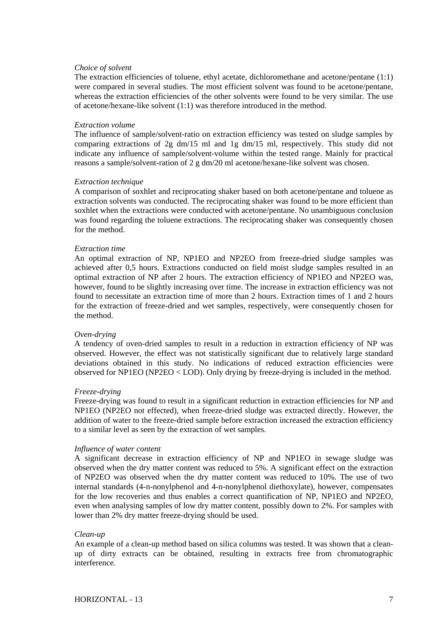#### *Choice of solvent*

The extraction efficiencies of toluene, ethyl acetate, dichloromethane and acetone/pentane (1:1) were compared in several studies. The most efficient solvent was found to be acetone/pentane, whereas the extraction efficiencies of the other solvents were found to be very similar. The use of acetone/hexane-like solvent (1:1) was therefore introduced in the method.

#### *Extraction volume*

The influence of sample/solvent-ratio on extraction efficiency was tested on sludge samples by comparing extractions of 2g dm/15 ml and 1g dm/15 ml, respectively. This study did not indicate any influence of sample/solvent-volume within the tested range. Mainly for practical reasons a sample/solvent-ration of 2 g dm/20 ml acetone/hexane-like solvent was chosen.

#### *Extraction technique*

A comparison of soxhlet and reciprocating shaker based on both acetone/pentane and toluene as extraction solvents was conducted. The reciprocating shaker was found to be more efficient than soxhlet when the extractions were conducted with acetone/pentane. No unambiguous conclusion was found regarding the toluene extractions. The reciprocating shaker was consequently chosen for the method.

#### *Extraction time*

An optimal extraction of NP, NP1EO and NP2EO from freeze-dried sludge samples was achieved after 0,5 hours. Extractions conducted on field moist sludge samples resulted in an optimal extraction of NP after 2 hours. The extraction efficiency of NP1EO and NP2EO was, however, found to be slightly increasing over time. The increase in extraction efficiency was not found to necessitate an extraction time of more than 2 hours. Extraction times of 1 and 2 hours for the extraction of freeze-dried and wet samples, respectively, were consequently chosen for the method.

#### *Oven-drying*

A tendency of oven-dried samples to result in a reduction in extraction efficiency of NP was observed. However, the effect was not statistically significant due to relatively large standard deviations obtained in this study. No indications of reduced extraction efficiencies were observed for NP1EO (NP2EO < LOD). Only drying by freeze-drying is included in the method.

#### *Freeze-drying*

Freeze-drying was found to result in a significant reduction in extraction efficiencies for NP and NP1EO (NP2EO not effected), when freeze-dried sludge was extracted directly. However, the addition of water to the freeze-dried sample before extraction increased the extraction efficiency to a similar level as seen by the extraction of wet samples.

#### *Influence of water content*

A significant decrease in extraction efficiency of NP and NP1EO in sewage sludge was observed when the dry matter content was reduced to 5%. A significant effect on the extraction of NP2EO was observed when the dry matter content was reduced to 10%. The use of two internal standards (4-n-nonylphenol and 4-n-nonylphenol diethoxylate), however, compensates for the low recoveries and thus enables a correct quantification of NP, NP1EO and NP2EO, even when analysing samples of low dry matter content, possibly down to 2%. For samples with lower than 2% dry matter freeze-drying should be used.

#### *Clean-up*

An example of a clean-up method based on silica columns was tested. It was shown that a cleanup of dirty extracts can be obtained, resulting in extracts free from chromatographic interference.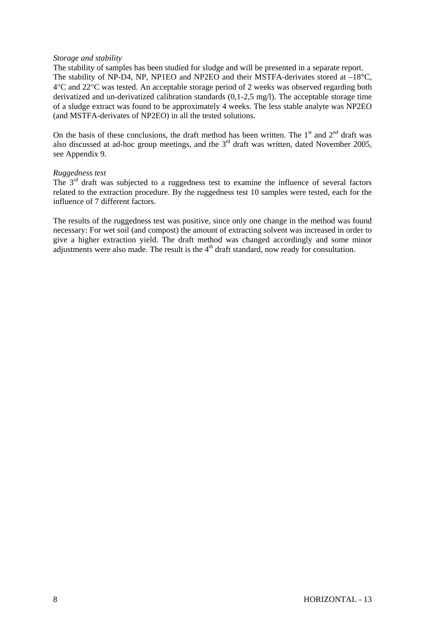#### *Storage and stability*

The stability of samples has been studied for sludge and will be presented in a separate report. The stability of NP-D4, NP, NP1EO and NP2EO and their MSTFA-derivates stored at –18°C, 4°C and 22°C was tested. An acceptable storage period of 2 weeks was observed regarding both derivatized and un-derivatized calibration standards (0,1-2,5 mg/l). The acceptable storage time of a sludge extract was found to be approximately 4 weeks. The less stable analyte was NP2EO (and MSTFA-derivates of NP2EO) in all the tested solutions.

On the basis of these conclusions, the draft method has been written. The  $1<sup>st</sup>$  and  $2<sup>nd</sup>$  draft was also discussed at ad-hoc group meetings, and the  $3<sup>rd</sup>$  draft was written, dated November 2005, see Appendix 9.

#### *Ruggedness test*

The  $3<sup>rd</sup>$  draft was subjected to a ruggedness test to examine the influence of several factors related to the extraction procedure. By the ruggedness test 10 samples were tested, each for the influence of 7 different factors.

The results of the ruggedness test was positive, since only one change in the method was found necessary: For wet soil (and compost) the amount of extracting solvent was increased in order to give a higher extraction yield. The draft method was changed accordingly and some minor adjustments were also made. The result is the  $4<sup>th</sup>$  draft standard, now ready for consultation.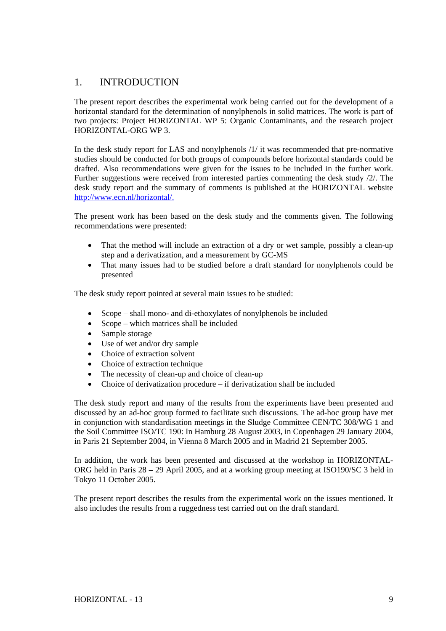# 1. INTRODUCTION

The present report describes the experimental work being carried out for the development of a horizontal standard for the determination of nonylphenols in solid matrices. The work is part of two projects: Project HORIZONTAL WP 5: Organic Contaminants, and the research project HORIZONTAL-ORG WP 3.

In the desk study report for LAS and nonylphenols /1/ it was recommended that pre-normative studies should be conducted for both groups of compounds before horizontal standards could be drafted. Also recommendations were given for the issues to be included in the further work. Further suggestions were received from interested parties commenting the desk study /2/. The desk study report and the summary of comments is published at the HORIZONTAL website http://www.ecn.nl/horizontal/.

The present work has been based on the desk study and the comments given. The following recommendations were presented:

- That the method will include an extraction of a dry or wet sample, possibly a clean-up step and a derivatization, and a measurement by GC-MS
- That many issues had to be studied before a draft standard for nonylphenols could be presented

The desk study report pointed at several main issues to be studied:

- Scope shall mono- and di-ethoxylates of nonylphenols be included
- Scope which matrices shall be included
- Sample storage
- Use of wet and/or dry sample
- Choice of extraction solvent
- Choice of extraction technique
- The necessity of clean-up and choice of clean-up
- Choice of derivatization procedure if derivatization shall be included

The desk study report and many of the results from the experiments have been presented and discussed by an ad-hoc group formed to facilitate such discussions. The ad-hoc group have met in conjunction with standardisation meetings in the Sludge Committee CEN/TC 308/WG 1 and the Soil Committee ISO/TC 190: In Hamburg 28 August 2003, in Copenhagen 29 January 2004, in Paris 21 September 2004, in Vienna 8 March 2005 and in Madrid 21 September 2005.

In addition, the work has been presented and discussed at the workshop in HORIZONTAL-ORG held in Paris 28 – 29 April 2005, and at a working group meeting at ISO190/SC 3 held in Tokyo 11 October 2005.

The present report describes the results from the experimental work on the issues mentioned. It also includes the results from a ruggedness test carried out on the draft standard.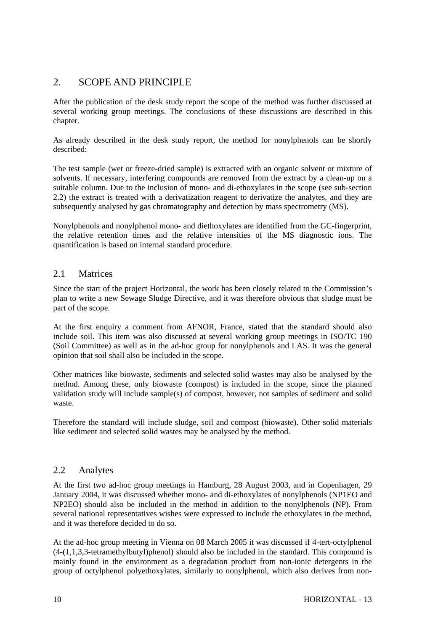# 2. SCOPE AND PRINCIPLE

After the publication of the desk study report the scope of the method was further discussed at several working group meetings. The conclusions of these discussions are described in this chapter.

As already described in the desk study report, the method for nonylphenols can be shortly described:

The test sample (wet or freeze-dried sample) is extracted with an organic solvent or mixture of solvents. If necessary, interfering compounds are removed from the extract by a clean-up on a suitable column. Due to the inclusion of mono- and di-ethoxylates in the scope (see sub-section 2.2) the extract is treated with a derivatization reagent to derivatize the analytes, and they are subsequently analysed by gas chromatography and detection by mass spectrometry (MS).

Nonylphenols and nonylphenol mono- and diethoxylates are identified from the GC-fingerprint, the relative retention times and the relative intensities of the MS diagnostic ions. The quantification is based on internal standard procedure.

# 2.1 Matrices

Since the start of the project Horizontal, the work has been closely related to the Commission's plan to write a new Sewage Sludge Directive, and it was therefore obvious that sludge must be part of the scope.

At the first enquiry a comment from AFNOR, France, stated that the standard should also include soil. This item was also discussed at several working group meetings in ISO/TC 190 (Soil Committee) as well as in the ad-hoc group for nonylphenols and LAS. It was the general opinion that soil shall also be included in the scope.

Other matrices like biowaste, sediments and selected solid wastes may also be analysed by the method. Among these, only biowaste (compost) is included in the scope, since the planned validation study will include sample(s) of compost, however, not samples of sediment and solid waste.

Therefore the standard will include sludge, soil and compost (biowaste). Other solid materials like sediment and selected solid wastes may be analysed by the method.

# 2.2 Analytes

At the first two ad-hoc group meetings in Hamburg, 28 August 2003, and in Copenhagen, 29 January 2004, it was discussed whether mono- and di-ethoxylates of nonylphenols (NP1EO and NP2EO) should also be included in the method in addition to the nonylphenols (NP). From several national representatives wishes were expressed to include the ethoxylates in the method, and it was therefore decided to do so.

At the ad-hoc group meeting in Vienna on 08 March 2005 it was discussed if 4-tert-octylphenol (4-(1,1,3,3-tetramethylbutyl)phenol) should also be included in the standard. This compound is mainly found in the environment as a degradation product from non-ionic detergents in the group of octylphenol polyethoxylates, similarly to nonylphenol, which also derives from non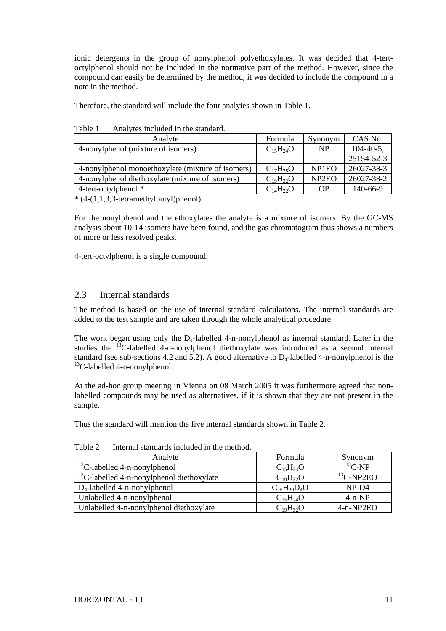ionic detergents in the group of nonylphenol polyethoxylates. It was decided that 4-tertoctylphenol should not be included in the normative part of the method. However, since the compound can easily be determined by the method, it was decided to include the compound in a note in the method.

Therefore, the standard will include the four analytes shown in Table 1.

| Analyte                                           | Formula         | Synonym            | CAS No.          |
|---------------------------------------------------|-----------------|--------------------|------------------|
| 4-nonylphenol (mixture of isomers)                | $C_{15}H_{24}O$ | <b>NP</b>          | $104 - 40 - 5$ , |
|                                                   |                 |                    | 25154-52-3       |
| 4-nonylphenol monoethoxylate (mixture of isomers) | $C_{17}H_{28}O$ | NP1EO              | 26027-38-3       |
| 4-nonylphenol diethoxylate (mixture of isomers)   | $C_{19}H_{32}O$ | NP <sub>2</sub> EO | 26027-38-2       |
| 4-tert-octylphenol *                              | $C_{14}H_{22}O$ | OP                 | 140-66-9         |

Table 1 Analytes included in the standard.

 $*(4-(1,1,3,3-tetramethylbutyl)phenol)$ 

For the nonylphenol and the ethoxylates the analyte is a mixture of isomers. By the GC-MS analysis about 10-14 isomers have been found, and the gas chromatogram thus shows a numbers of more or less resolved peaks.

4-tert-octylphenol is a single compound.

# 2.3 Internal standards

The method is based on the use of internal standard calculations. The internal standards are added to the test sample and are taken through the whole analytical procedure.

The work began using only the  $D_4$ -labelled 4-n-nonylphenol as internal standard. Later in the studies the  $^{13}$ C-labelled 4-n-nonylphenol diethoxylate was introduced as a second internal standard (see sub-sections 4.2 and 5.2). A good alternative to  $D_4$ -labelled 4-n-nonylphenol is the  ${}^{13}$ C-labelled 4-n-nonylphenol.

At the ad-hoc group meeting in Vienna on 08 March 2005 it was furthermore agreed that nonlabelled compounds may be used as alternatives, if it is shown that they are not present in the sample.

Thus the standard will mention the five internal standards shown in Table 2.

| Analyte                                           | Formula            | Synonym           |
|---------------------------------------------------|--------------------|-------------------|
| $^{13}$ C-labelled 4-n-nonylphenol                | $C_{15}H_{24}O$    | ${}^{13}C$ -NP    |
| ${}^{13}$ C-labelled 4-n-nonylphenol diethoxylate | $C_{19}H_{32}O$    | ${}^{13}$ C-NP2EO |
| $D_4$ -labelled 4-n-nonylphenol                   | $C_{15}H_{20}D_4O$ | $NP-D4$           |
| Unlabelled 4-n-nonylphenol                        | $C_{15}H_{24}O$    | $4-n-NP$          |
| Unlabelled 4-n-nonylphenol diethoxylate           | $C_{19}H_{32}O$    | 4-n-NP2EO         |

Table 2 Internal standards included in the method.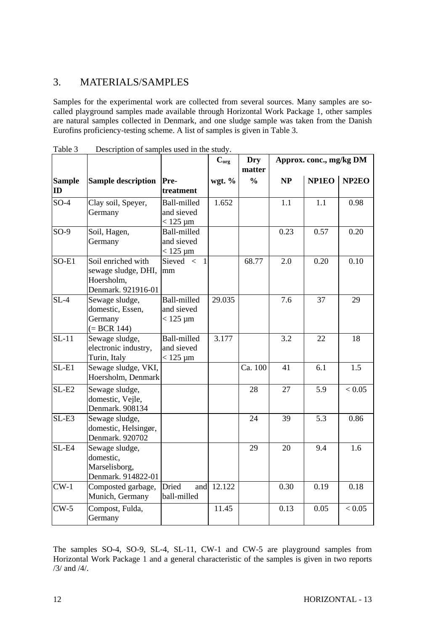# 3. MATERIALS/SAMPLES

Samples for the experimental work are collected from several sources. Many samples are socalled playground samples made available through Horizontal Work Package 1, other samples are natural samples collected in Denmark, and one sludge sample was taken from the Danish Eurofins proficiency-testing scheme. A list of samples is given in Table 3.

|               |                                                                               |                                              | $C_{org}$ | Dry           | Approx. conc., mg/kg DM |       |                    |
|---------------|-------------------------------------------------------------------------------|----------------------------------------------|-----------|---------------|-------------------------|-------|--------------------|
|               |                                                                               |                                              |           | matter        |                         |       |                    |
| <b>Sample</b> | <b>Sample description</b>                                                     | Pre-                                         | wgt. $%$  | $\frac{0}{0}$ | NP                      | NP1EO | NP <sub>2</sub> EO |
| ID            |                                                                               | treatment                                    |           |               |                         |       |                    |
| $SO-4$        | Clay soil, Speyer,<br>Germany                                                 | Ball-milled<br>and sieved<br>$<$ 125 $\mu$ m | 1.652     |               | 1.1                     | 1.1   | 0.98               |
| $SO-9$        | Soil, Hagen,<br>Germany                                                       | Ball-milled<br>and sieved<br>$<$ 125 $\mu$ m |           |               | 0.23                    | 0.57  | 0.20               |
| $SO-E1$       | Soil enriched with<br>sewage sludge, DHI,<br>Hoersholm,<br>Denmark. 921916-01 | Sieved $\langle 1 \rangle$<br>mm             |           | 68.77         | 2.0                     | 0.20  | 0.10               |
| $SL-4$        | Sewage sludge,<br>domestic, Essen,<br>Germany<br>$(= BCR 144)$                | Ball-milled<br>and sieved<br>$<$ 125 µm      | 29.035    |               | 7.6                     | 37    | 29                 |
| $SL-11$       | Sewage sludge,<br>electronic industry,<br>Turin, Italy                        | Ball-milled<br>and sieved<br>$< 125 \mu m$   | 3.177     |               | 3.2                     | 22    | 18                 |
| $SL-E1$       | Sewage sludge, VKI,<br>Hoersholm, Denmark                                     |                                              |           | Ca. 100       | 41                      | 6.1   | 1.5                |
| $SL-E2$       | Sewage sludge,<br>domestic, Vejle,<br>Denmark. 908134                         |                                              |           | 28            | 27                      | 5.9   | < 0.05             |
| $SL-E3$       | Sewage sludge,<br>domestic, Helsingør,<br>Denmark. 920702                     |                                              |           | 24            | 39                      | 5.3   | 0.86               |
| $SL-E4$       | Sewage sludge,<br>domestic,<br>Marselisborg,<br>Denmark. 914822-01            |                                              |           | 29            | 20                      | 9.4   | 1.6                |
| $CW-1$        | Composted garbage,<br>Munich, Germany                                         | Dried<br>and<br>ball-milled                  | 12.122    |               | 0.30                    | 0.19  | 0.18               |
| $CW-5$        | Compost, Fulda,<br>Germany                                                    |                                              | 11.45     |               | 0.13                    | 0.05  | < 0.05             |

Table 3 Description of samples used in the study.

The samples SO-4, SO-9, SL-4, SL-11, CW-1 and CW-5 are playground samples from Horizontal Work Package 1 and a general characteristic of the samples is given in two reports /3/ and /4/.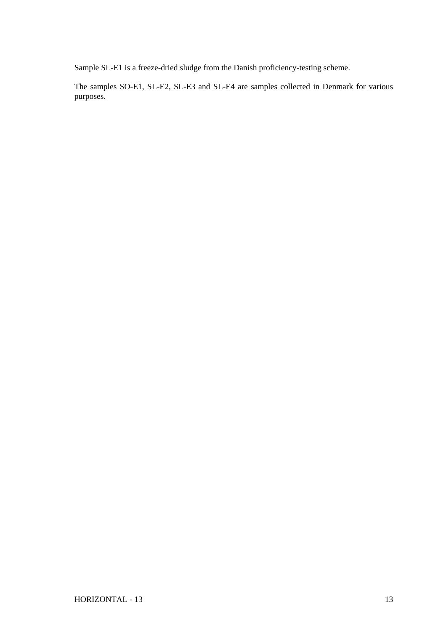Sample SL-E1 is a freeze-dried sludge from the Danish proficiency-testing scheme.

The samples SO-E1, SL-E2, SL-E3 and SL-E4 are samples collected in Denmark for various purposes.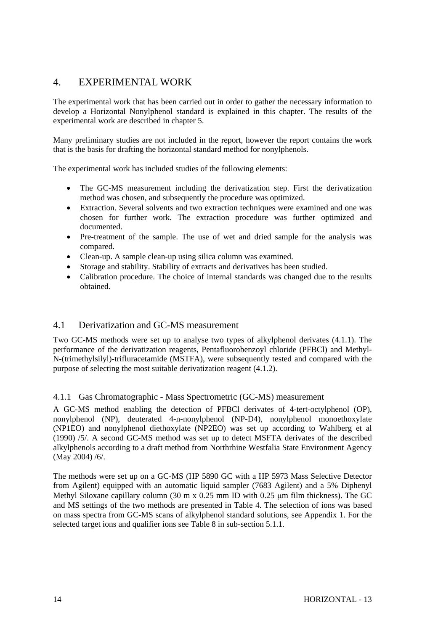# 4. EXPERIMENTAL WORK

The experimental work that has been carried out in order to gather the necessary information to develop a Horizontal Nonylphenol standard is explained in this chapter. The results of the experimental work are described in chapter 5.

Many preliminary studies are not included in the report, however the report contains the work that is the basis for drafting the horizontal standard method for nonylphenols.

The experimental work has included studies of the following elements:

- The GC-MS measurement including the derivatization step. First the derivatization method was chosen, and subsequently the procedure was optimized.
- Extraction. Several solvents and two extraction techniques were examined and one was chosen for further work. The extraction procedure was further optimized and documented.
- Pre-treatment of the sample. The use of wet and dried sample for the analysis was compared.
- Clean-up. A sample clean-up using silica column was examined.
- Storage and stability. Stability of extracts and derivatives has been studied.
- Calibration procedure. The choice of internal standards was changed due to the results obtained.

## 4.1 Derivatization and GC-MS measurement

Two GC-MS methods were set up to analyse two types of alkylphenol derivates (4.1.1). The performance of the derivatization reagents, Pentafluorobenzoyl chloride (PFBCl) and Methyl-N-(trimethylsilyl)-trifluracetamide (MSTFA), were subsequently tested and compared with the purpose of selecting the most suitable derivatization reagent (4.1.2).

## 4.1.1 Gas Chromatographic - Mass Spectrometric (GC-MS) measurement

A GC-MS method enabling the detection of PFBCl derivates of 4-tert-octylphenol (OP), nonylphenol (NP), deuterated 4-n-nonylphenol (NP-D4), nonylphenol monoethoxylate (NP1EO) and nonylphenol diethoxylate (NP2EO) was set up according to Wahlberg et al (1990) /5/. A second GC-MS method was set up to detect MSFTA derivates of the described alkylphenols according to a draft method from Northrhine Westfalia State Environment Agency (May 2004) /6/.

The methods were set up on a GC-MS (HP 5890 GC with a HP 5973 Mass Selective Detector from Agilent) equipped with an automatic liquid sampler (7683 Agilent) and a 5% Diphenyl Methyl Siloxane capillary column (30 m x 0.25 mm ID with 0.25  $\mu$ m film thickness). The GC and MS settings of the two methods are presented in Table 4. The selection of ions was based on mass spectra from GC-MS scans of alkylphenol standard solutions, see Appendix 1. For the selected target ions and qualifier ions see Table 8 in sub-section 5.1.1.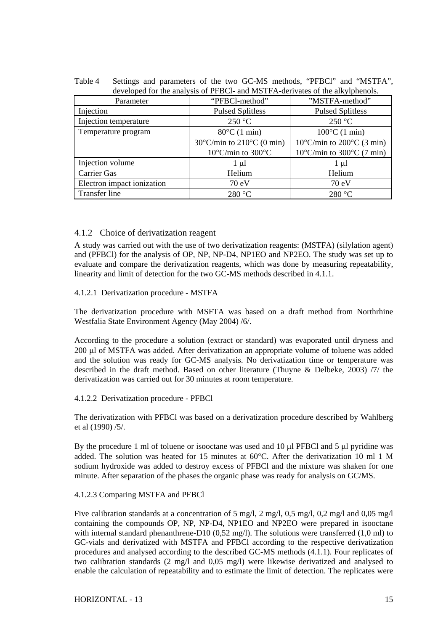| developed for the analysis of PFBCI- and MSTFA-derivates of the alkylphenois. |                                               |                                                |  |  |  |
|-------------------------------------------------------------------------------|-----------------------------------------------|------------------------------------------------|--|--|--|
| Parameter                                                                     | "PFBCl-method"                                | "MSTFA-method"                                 |  |  |  |
| Injection                                                                     | <b>Pulsed Splitless</b>                       | <b>Pulsed Splitless</b>                        |  |  |  |
| Injection temperature                                                         | 250 °C                                        | 250 °C                                         |  |  |  |
| Temperature program                                                           | $80^{\circ}$ C (1 min)                        | $100^{\circ}$ C (1 min)                        |  |  |  |
|                                                                               | $30^{\circ}$ C/min to $210^{\circ}$ C (0 min) | $10^{\circ}$ C/min to $200^{\circ}$ C (3 min)  |  |  |  |
|                                                                               | $10^{\circ}$ C/min to 300 $^{\circ}$ C        | $10^{\circ}$ C/min to 300 $^{\circ}$ C (7 min) |  |  |  |
| Injection volume                                                              | 1 ul                                          | l µl                                           |  |  |  |
| <b>Carrier Gas</b>                                                            | Helium                                        | Helium                                         |  |  |  |
| Electron impact ionization                                                    | 70 eV                                         | 70 eV                                          |  |  |  |
| Transfer line                                                                 | 280 °C                                        | 280 °C                                         |  |  |  |

Table 4 Settings and parameters of the two GC-MS methods, "PFBCl" and "MSTFA", developed for the analysis of PFBCl- and MSTFA-derivates of the alkylphenols.

#### 4.1.2 Choice of derivatization reagent

A study was carried out with the use of two derivatization reagents: (MSTFA) (silylation agent) and (PFBCl) for the analysis of OP, NP, NP-D4, NP1EO and NP2EO. The study was set up to evaluate and compare the derivatization reagents, which was done by measuring repeatability, linearity and limit of detection for the two GC-MS methods described in 4.1.1.

#### 4.1.2.1 Derivatization procedure - MSTFA

The derivatization procedure with MSFTA was based on a draft method from Northrhine Westfalia State Environment Agency (May 2004) /6/.

According to the procedure a solution (extract or standard) was evaporated until dryness and 200 µl of MSTFA was added. After derivatization an appropriate volume of toluene was added and the solution was ready for GC-MS analysis. No derivatization time or temperature was described in the draft method. Based on other literature (Thuyne & Delbeke, 2003) /7/ the derivatization was carried out for 30 minutes at room temperature.

#### 4.1.2.2 Derivatization procedure - PFBCl

The derivatization with PFBCl was based on a derivatization procedure described by Wahlberg et al (1990) /5/.

By the procedure 1 ml of toluene or isooctane was used and 10  $\mu$ l PFBCl and 5  $\mu$ l pyridine was added. The solution was heated for 15 minutes at 60°C. After the derivatization 10 ml 1 M sodium hydroxide was added to destroy excess of PFBCl and the mixture was shaken for one minute. After separation of the phases the organic phase was ready for analysis on GC/MS.

## 4.1.2.3 Comparing MSTFA and PFBCl

Five calibration standards at a concentration of 5 mg/l,  $2 \text{ mg/l}$ ,  $0.5 \text{ mg/l}$ ,  $0.2 \text{ mg/l}$  and  $0.05 \text{ mg/l}$ containing the compounds OP, NP, NP-D4, NP1EO and NP2EO were prepared in isooctane with internal standard phenanthrene-D10 (0,52 mg/l). The solutions were transferred (1,0 ml) to GC-vials and derivatized with MSTFA and PFBCl according to the respective derivatization procedures and analysed according to the described GC-MS methods (4.1.1). Four replicates of two calibration standards (2 mg/l and 0,05 mg/l) were likewise derivatized and analysed to enable the calculation of repeatability and to estimate the limit of detection. The replicates were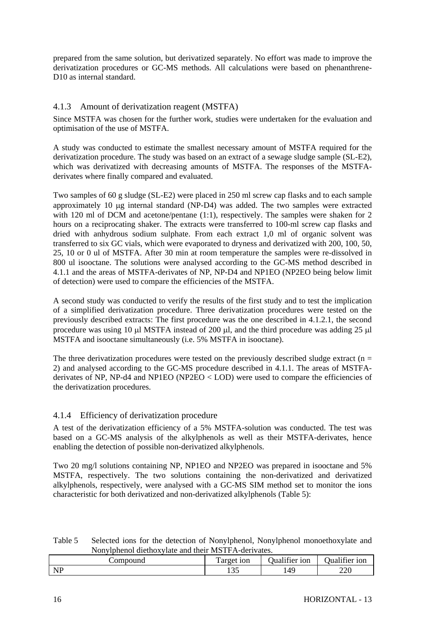prepared from the same solution, but derivatized separately. No effort was made to improve the derivatization procedures or GC-MS methods. All calculations were based on phenanthrene-D10 as internal standard.

# 4.1.3 Amount of derivatization reagent (MSTFA)

Since MSTFA was chosen for the further work, studies were undertaken for the evaluation and optimisation of the use of MSTFA.

A study was conducted to estimate the smallest necessary amount of MSTFA required for the derivatization procedure. The study was based on an extract of a sewage sludge sample (SL-E2), which was derivatized with decreasing amounts of MSTFA. The responses of the MSTFAderivates where finally compared and evaluated.

Two samples of 60 g sludge (SL-E2) were placed in 250 ml screw cap flasks and to each sample approximately 10 µg internal standard (NP-D4) was added. The two samples were extracted with 120 ml of DCM and acetone/pentane (1:1), respectively. The samples were shaken for 2 hours on a reciprocating shaker. The extracts were transferred to 100-ml screw cap flasks and dried with anhydrous sodium sulphate. From each extract 1,0 ml of organic solvent was transferred to six GC vials, which were evaporated to dryness and derivatized with 200, 100, 50, 25, 10 or 0 ul of MSTFA. After 30 min at room temperature the samples were re-dissolved in 800 ul isooctane. The solutions were analysed according to the GC-MS method described in 4.1.1 and the areas of MSTFA-derivates of NP, NP-D4 and NP1EO (NP2EO being below limit of detection) were used to compare the efficiencies of the MSTFA.

A second study was conducted to verify the results of the first study and to test the implication of a simplified derivatization procedure. Three derivatization procedures were tested on the previously described extracts: The first procedure was the one described in 4.1.2.1, the second procedure was using 10 µl MSTFA instead of 200 µl, and the third procedure was adding 25 µl MSTFA and isooctane simultaneously (i.e. 5% MSTFA in isooctane).

The three derivatization procedures were tested on the previously described sludge extract  $(n =$ 2) and analysed according to the GC-MS procedure described in 4.1.1. The areas of MSTFAderivates of NP, NP-d4 and NP1EO (NP2EO < LOD) were used to compare the efficiencies of the derivatization procedures.

## 4.1.4 Efficiency of derivatization procedure

A test of the derivatization efficiency of a 5% MSTFA-solution was conducted. The test was based on a GC-MS analysis of the alkylphenols as well as their MSTFA-derivates, hence enabling the detection of possible non-derivatized alkylphenols.

Two 20 mg/l solutions containing NP, NP1EO and NP2EO was prepared in isooctane and 5% MSTFA, respectively. The two solutions containing the non-derivatized and derivatized alkylphenols, respectively, were analysed with a GC-MS SIM method set to monitor the ions characteristic for both derivatized and non-derivatized alkylphenols (Table 5):

| Table 5 | Selected ions for the detection of Nonylphenol, Nonylphenol monoethoxylate and |
|---------|--------------------------------------------------------------------------------|
|         | Nonylphenol diethoxylate and their MSTFA-derivates.                            |

| Compound  | —<br>arget<br>10n | 1.0<br>Jualifier ion | 1.01<br>Jualifier ion |
|-----------|-------------------|----------------------|-----------------------|
| <b>ND</b> | $\sim$ $\sim$     | . .                  | າາດ                   |
| ***       | 1 J J             |                      | ∠∠∪                   |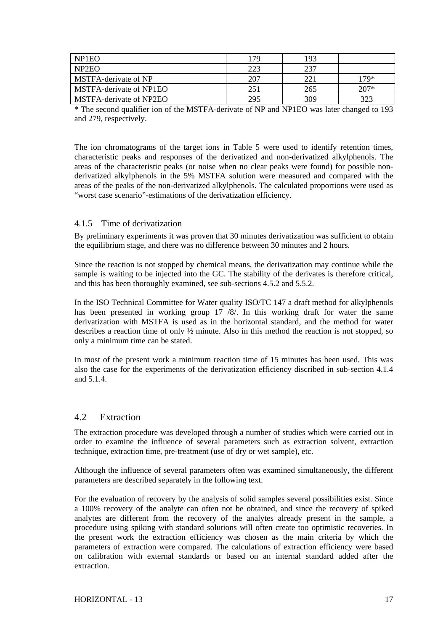| NP1EO                   | 179 | 193 |        |
|-------------------------|-----|-----|--------|
| NP <sub>2</sub> EO      | 223 | 237 |        |
| MSTFA-derivate of NP    | 207 | 221 | 179*   |
| MSTFA-derivate of NP1EO | 251 | 265 | $207*$ |
| MSTFA-derivate of NP2EO | 295 | 309 | 323    |

\* The second qualifier ion of the MSTFA-derivate of NP and NP1EO was later changed to 193 and 279, respectively.

The ion chromatograms of the target ions in Table 5 were used to identify retention times, characteristic peaks and responses of the derivatized and non-derivatized alkylphenols. The areas of the characteristic peaks (or noise when no clear peaks were found) for possible nonderivatized alkylphenols in the 5% MSTFA solution were measured and compared with the areas of the peaks of the non-derivatized alkylphenols. The calculated proportions were used as "worst case scenario"-estimations of the derivatization efficiency.

#### 4.1.5 Time of derivatization

By preliminary experiments it was proven that 30 minutes derivatization was sufficient to obtain the equilibrium stage, and there was no difference between 30 minutes and 2 hours.

Since the reaction is not stopped by chemical means, the derivatization may continue while the sample is waiting to be injected into the GC. The stability of the derivates is therefore critical, and this has been thoroughly examined, see sub-sections 4.5.2 and 5.5.2.

In the ISO Technical Committee for Water quality ISO/TC 147 a draft method for alkylphenols has been presented in working group 17 /8/. In this working draft for water the same derivatization with MSTFA is used as in the horizontal standard, and the method for water describes a reaction time of only ½ minute. Also in this method the reaction is not stopped, so only a minimum time can be stated.

In most of the present work a minimum reaction time of 15 minutes has been used. This was also the case for the experiments of the derivatization efficiency discribed in sub-section 4.1.4 and 5.1.4.

## 4.2 Extraction

The extraction procedure was developed through a number of studies which were carried out in order to examine the influence of several parameters such as extraction solvent, extraction technique, extraction time, pre-treatment (use of dry or wet sample), etc.

Although the influence of several parameters often was examined simultaneously, the different parameters are described separately in the following text.

For the evaluation of recovery by the analysis of solid samples several possibilities exist. Since a 100% recovery of the analyte can often not be obtained, and since the recovery of spiked analytes are different from the recovery of the analytes already present in the sample, a procedure using spiking with standard solutions will often create too optimistic recoveries. In the present work the extraction efficiency was chosen as the main criteria by which the parameters of extraction were compared. The calculations of extraction efficiency were based on calibration with external standards or based on an internal standard added after the extraction.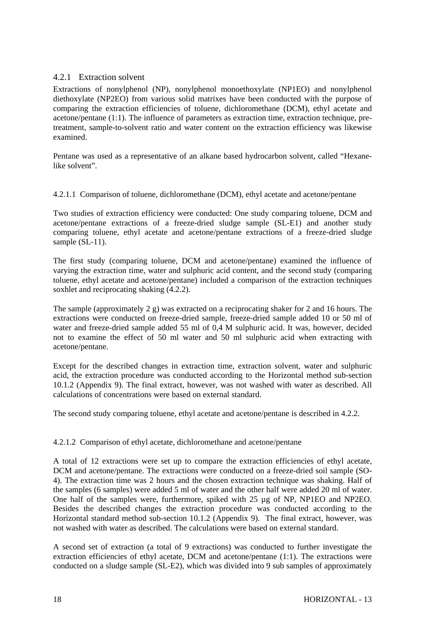# 4.2.1 Extraction solvent

Extractions of nonylphenol (NP), nonylphenol monoethoxylate (NP1EO) and nonylphenol diethoxylate (NP2EO) from various solid matrixes have been conducted with the purpose of comparing the extraction efficiencies of toluene, dichloromethane (DCM), ethyl acetate and acetone/pentane (1:1). The influence of parameters as extraction time, extraction technique, pretreatment, sample-to-solvent ratio and water content on the extraction efficiency was likewise examined.

Pentane was used as a representative of an alkane based hydrocarbon solvent, called "Hexanelike solvent".

4.2.1.1 Comparison of toluene, dichloromethane (DCM), ethyl acetate and acetone/pentane

Two studies of extraction efficiency were conducted: One study comparing toluene, DCM and acetone/pentane extractions of a freeze-dried sludge sample (SL-E1) and another study comparing toluene, ethyl acetate and acetone/pentane extractions of a freeze-dried sludge sample (SL-11).

The first study (comparing toluene, DCM and acetone/pentane) examined the influence of varying the extraction time, water and sulphuric acid content, and the second study (comparing toluene, ethyl acetate and acetone/pentane) included a comparison of the extraction techniques soxhlet and reciprocating shaking (4.2.2).

The sample (approximately 2 g) was extracted on a reciprocating shaker for 2 and 16 hours. The extractions were conducted on freeze-dried sample, freeze-dried sample added 10 or 50 ml of water and freeze-dried sample added 55 ml of 0,4 M sulphuric acid. It was, however, decided not to examine the effect of 50 ml water and 50 ml sulphuric acid when extracting with acetone/pentane.

Except for the described changes in extraction time, extraction solvent, water and sulphuric acid, the extraction procedure was conducted according to the Horizontal method sub-section 10.1.2 (Appendix 9). The final extract, however, was not washed with water as described. All calculations of concentrations were based on external standard.

The second study comparing toluene, ethyl acetate and acetone/pentane is described in 4.2.2.

4.2.1.2 Comparison of ethyl acetate, dichloromethane and acetone/pentane

A total of 12 extractions were set up to compare the extraction efficiencies of ethyl acetate, DCM and acetone/pentane. The extractions were conducted on a freeze-dried soil sample (SO-4). The extraction time was 2 hours and the chosen extraction technique was shaking. Half of the samples (6 samples) were added 5 ml of water and the other half were added 20 ml of water. One half of the samples were, furthermore, spiked with 25 µg of NP, NP1EO and NP2EO. Besides the described changes the extraction procedure was conducted according to the Horizontal standard method sub-section 10.1.2 (Appendix 9). The final extract, however, was not washed with water as described. The calculations were based on external standard.

A second set of extraction (a total of 9 extractions) was conducted to further investigate the extraction efficiencies of ethyl acetate, DCM and acetone/pentane (1:1). The extractions were conducted on a sludge sample (SL-E2), which was divided into 9 sub samples of approximately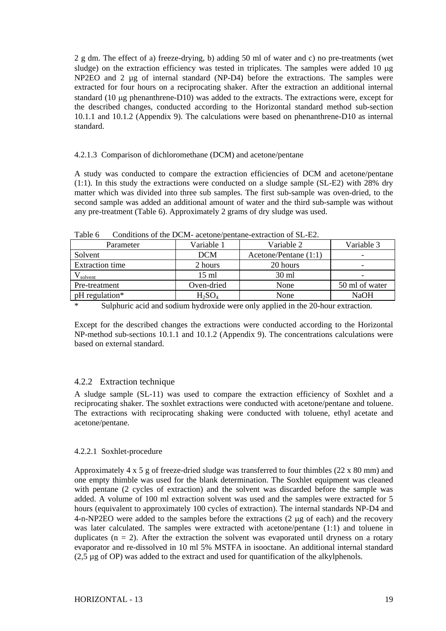2 g dm. The effect of a) freeze-drying, b) adding 50 ml of water and c) no pre-treatments (wet sludge) on the extraction efficiency was tested in triplicates. The samples were added 10  $\mu$ g NP2EO and 2 µg of internal standard (NP-D4) before the extractions. The samples were extracted for four hours on a reciprocating shaker. After the extraction an additional internal standard (10 µg phenanthrene-D10) was added to the extracts. The extractions were, except for the described changes, conducted according to the Horizontal standard method sub-section 10.1.1 and 10.1.2 (Appendix 9). The calculations were based on phenanthrene-D10 as internal standard.

#### 4.2.1.3 Comparison of dichloromethane (DCM) and acetone/pentane

A study was conducted to compare the extraction efficiencies of DCM and acetone/pentane  $(1:1)$ . In this study the extractions were conducted on a sludge sample (SL-E2) with 28% dry matter which was divided into three sub samples. The first sub-sample was oven-dried, to the second sample was added an additional amount of water and the third sub-sample was without any pre-treatment (Table 6). Approximately 2 grams of dry sludge was used.

| Tuoto o<br>Conditions of the B CM accione pending extraction of BB BB. |                 |                         |                |  |  |
|------------------------------------------------------------------------|-----------------|-------------------------|----------------|--|--|
| Parameter                                                              | Variable 1      | Variable 2              | Variable 3     |  |  |
| Solvent                                                                | <b>DCM</b>      | Acetone/Pentane $(1:1)$ | -              |  |  |
| <b>Extraction time</b>                                                 | 2 hours         | 20 hours                | -              |  |  |
| $V_{\text{solvent}}$                                                   | $15 \text{ ml}$ | $30 \text{ ml}$         | -              |  |  |
| Pre-treatment                                                          | Oven-dried      | None                    | 50 ml of water |  |  |
| pH regulation*                                                         | $H_2SO_4$       | None                    | NaOH           |  |  |

Table 6 Conditions of the DCM- acetone/pentane-extraction of SL-E2.

\* Sulphuric acid and sodium hydroxide were only applied in the 20-hour extraction.

Except for the described changes the extractions were conducted according to the Horizontal NP-method sub-sections 10.1.1 and 10.1.2 (Appendix 9). The concentrations calculations were based on external standard.

#### 4.2.2 Extraction technique

A sludge sample (SL-11) was used to compare the extraction efficiency of Soxhlet and a reciprocating shaker. The soxhlet extractions were conducted with acetone/pentane and toluene. The extractions with reciprocating shaking were conducted with toluene, ethyl acetate and acetone/pentane.

#### 4.2.2.1 Soxhlet-procedure

Approximately 4 x 5 g of freeze-dried sludge was transferred to four thimbles  $(22 \times 80 \text{ mm})$  and one empty thimble was used for the blank determination. The Soxhlet equipment was cleaned with pentane (2 cycles of extraction) and the solvent was discarded before the sample was added. A volume of 100 ml extraction solvent was used and the samples were extracted for 5 hours (equivalent to approximately 100 cycles of extraction). The internal standards NP-D4 and 4-n-NP2EO were added to the samples before the extractions (2 µg of each) and the recovery was later calculated. The samples were extracted with acetone/pentane (1:1) and toluene in duplicates ( $n = 2$ ). After the extraction the solvent was evaporated until dryness on a rotary evaporator and re-dissolved in 10 ml 5% MSTFA in isooctane. An additional internal standard  $(2,5 \mu)$ g of OP) was added to the extract and used for quantification of the alkylphenols.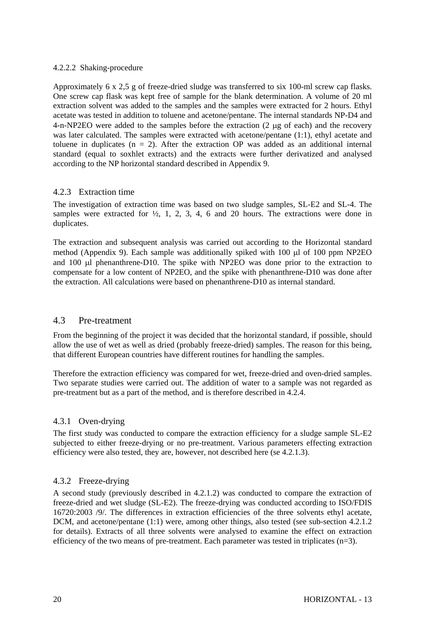#### 4.2.2.2 Shaking-procedure

Approximately 6 x 2,5 g of freeze-dried sludge was transferred to six 100-ml screw cap flasks. One screw cap flask was kept free of sample for the blank determination. A volume of 20 ml extraction solvent was added to the samples and the samples were extracted for 2 hours. Ethyl acetate was tested in addition to toluene and acetone/pentane. The internal standards NP-D4 and 4-n-NP2EO were added to the samples before the extraction (2 µg of each) and the recovery was later calculated. The samples were extracted with acetone/pentane (1:1), ethyl acetate and toluene in duplicates  $(n = 2)$ . After the extraction OP was added as an additional internal standard (equal to soxhlet extracts) and the extracts were further derivatized and analysed according to the NP horizontal standard described in Appendix 9.

## 4.2.3 Extraction time

The investigation of extraction time was based on two sludge samples, SL-E2 and SL-4. The samples were extracted for  $\frac{1}{2}$ , 1, 2, 3, 4, 6 and 20 hours. The extractions were done in duplicates.

The extraction and subsequent analysis was carried out according to the Horizontal standard method (Appendix 9). Each sample was additionally spiked with 100 µl of 100 ppm NP2EO and 100 ul phenanthrene-D10. The spike with NP2EO was done prior to the extraction to compensate for a low content of NP2EO, and the spike with phenanthrene-D10 was done after the extraction. All calculations were based on phenanthrene-D10 as internal standard.

# 4.3 Pre-treatment

From the beginning of the project it was decided that the horizontal standard, if possible, should allow the use of wet as well as dried (probably freeze-dried) samples. The reason for this being, that different European countries have different routines for handling the samples.

Therefore the extraction efficiency was compared for wet, freeze-dried and oven-dried samples. Two separate studies were carried out. The addition of water to a sample was not regarded as pre-treatment but as a part of the method, and is therefore described in 4.2.4.

## 4.3.1 Oven-drying

The first study was conducted to compare the extraction efficiency for a sludge sample SL-E2 subjected to either freeze-drying or no pre-treatment. Various parameters effecting extraction efficiency were also tested, they are, however, not described here (se 4.2.1.3).

# 4.3.2 Freeze-drying

A second study (previously described in 4.2.1.2) was conducted to compare the extraction of freeze-dried and wet sludge (SL-E2). The freeze-drying was conducted according to ISO/FDIS 16720:2003 /9/. The differences in extraction efficiencies of the three solvents ethyl acetate, DCM, and acetone/pentane (1:1) were, among other things, also tested (see sub-section 4.2.1.2) for details). Extracts of all three solvents were analysed to examine the effect on extraction efficiency of the two means of pre-treatment. Each parameter was tested in triplicates  $(n=3)$ .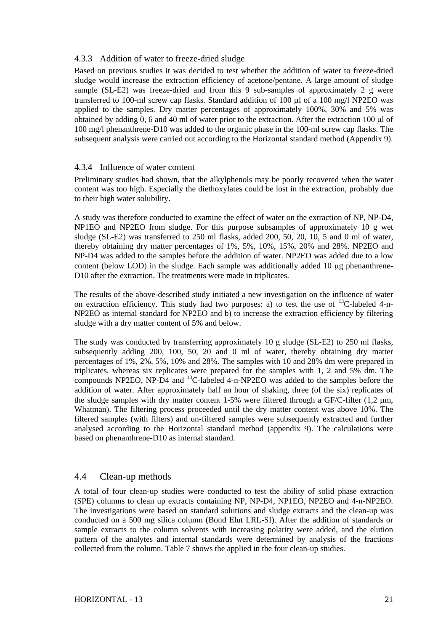#### 4.3.3 Addition of water to freeze-dried sludge

Based on previous studies it was decided to test whether the addition of water to freeze-dried sludge would increase the extraction efficiency of acetone/pentane. A large amount of sludge sample (SL-E2) was freeze-dried and from this 9 sub-samples of approximately 2 g were transferred to 100-ml screw cap flasks. Standard addition of 100 µl of a 100 mg/l NP2EO was applied to the samples. Dry matter percentages of approximately 100%, 30% and 5% was obtained by adding 0, 6 and 40 ml of water prior to the extraction. After the extraction 100 ul of 100 mg/l phenanthrene-D10 was added to the organic phase in the 100-ml screw cap flasks. The subsequent analysis were carried out according to the Horizontal standard method (Appendix 9).

#### 4.3.4 Influence of water content

Preliminary studies had shown, that the alkylphenols may be poorly recovered when the water content was too high. Especially the diethoxylates could be lost in the extraction, probably due to their high water solubility.

A study was therefore conducted to examine the effect of water on the extraction of NP, NP-D4, NP1EO and NP2EO from sludge. For this purpose subsamples of approximately 10 g wet sludge (SL-E2) was transferred to 250 ml flasks, added 200, 50, 20, 10, 5 and 0 ml of water, thereby obtaining dry matter percentages of 1%, 5%, 10%, 15%, 20% and 28%. NP2EO and NP-D4 was added to the samples before the addition of water. NP2EO was added due to a low content (below LOD) in the sludge. Each sample was additionally added 10 µg phenanthrene-D<sub>10</sub> after the extraction. The treatments were made in triplicates.

The results of the above-described study initiated a new investigation on the influence of water on extraction efficiency. This study had two purposes: a) to test the use of  $^{13}$ C-labeled 4-n-NP2EO as internal standard for NP2EO and b) to increase the extraction efficiency by filtering sludge with a dry matter content of 5% and below.

The study was conducted by transferring approximately 10 g sludge (SL-E2) to 250 ml flasks, subsequently adding 200, 100, 50, 20 and 0 ml of water, thereby obtaining dry matter percentages of 1%, 2%, 5%, 10% and 28%. The samples with 10 and 28% dm were prepared in triplicates, whereas six replicates were prepared for the samples with 1, 2 and 5% dm. The compounds NP2EO, NP-D4 and 13C-labeled 4-n-NP2EO was added to the samples before the addition of water. After approximately half an hour of shaking, three (of the six) replicates of the sludge samples with dry matter content 1-5% were filtered through a GF/C-filter (1,2  $\mu$ m, Whatman). The filtering process proceeded until the dry matter content was above 10%. The filtered samples (with filters) and un-filtered samples were subsequently extracted and further analysed according to the Horizontal standard method (appendix 9). The calculations were based on phenanthrene-D10 as internal standard.

## 4.4 Clean-up methods

A total of four clean-up studies were conducted to test the ability of solid phase extraction (SPE) columns to clean up extracts containing NP, NP-D4, NP1EO, NP2EO and 4-n-NP2EO. The investigations were based on standard solutions and sludge extracts and the clean-up was conducted on a 500 mg silica column (Bond Elut LRL-SI). After the addition of standards or sample extracts to the column solvents with increasing polarity were added, and the elution pattern of the analytes and internal standards were determined by analysis of the fractions collected from the column. Table 7 shows the applied in the four clean-up studies.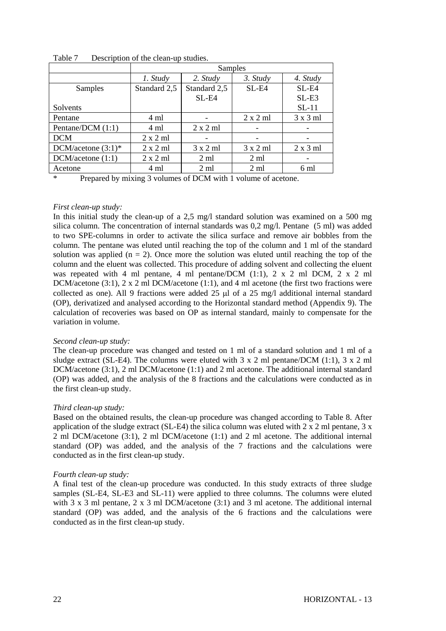|                                  | Samples         |                 |                 |                 |  |
|----------------------------------|-----------------|-----------------|-----------------|-----------------|--|
|                                  | 1. Study        | 2. Study        | 3. Study        | 4. Study        |  |
| Samples                          | Standard 2,5    | Standard 2,5    | $SL-E4$         | $SL-E4$         |  |
|                                  |                 | SL-E4           |                 | $SL-E3$         |  |
| Solvents                         |                 |                 |                 | $SL-11$         |  |
| Pentane                          | 4 ml            |                 | $2 \times 2$ ml | $3 \times 3$ ml |  |
| Pentane/DCM (1:1)                | 4 ml            | $2 \times 2$ ml |                 |                 |  |
| <b>DCM</b>                       | $2 \times 2$ ml |                 |                 |                 |  |
| DCM/acetone $(3:1)$ <sup>*</sup> | $2 \times 2$ ml | $3 \times 2$ ml | $3 \times 2$ ml | $2 \times 3$ ml |  |
| DCM/acetone (1:1)                | 2 x 2 m         | $2 \text{ ml}$  | $2 \text{ ml}$  |                 |  |
| Acetone                          | 4 ml            | 2 ml            | $2 \text{ ml}$  | 6 ml            |  |

Table 7 Description of the clean-up studies.

\* Prepared by mixing 3 volumes of DCM with 1 volume of acetone.

#### *First clean-up study:*

In this initial study the clean-up of a 2,5 mg/l standard solution was examined on a 500 mg silica column. The concentration of internal standards was 0,2 mg/l. Pentane (5 ml) was added to two SPE-columns in order to activate the silica surface and remove air bobbles from the column. The pentane was eluted until reaching the top of the column and 1 ml of the standard solution was applied  $(n = 2)$ . Once more the solution was eluted until reaching the top of the column and the eluent was collected. This procedure of adding solvent and collecting the eluent was repeated with 4 ml pentane, 4 ml pentane/DCM (1:1), 2 x 2 ml DCM, 2 x 2 ml DCM/acetone (3:1), 2 x 2 ml DCM/acetone (1:1), and 4 ml acetone (the first two fractions were collected as one). All 9 fractions were added 25 µl of a 25 mg/l additional internal standard (OP), derivatized and analysed according to the Horizontal standard method (Appendix 9). The calculation of recoveries was based on OP as internal standard, mainly to compensate for the variation in volume.

#### *Second clean-up study:*

The clean-up procedure was changed and tested on 1 ml of a standard solution and 1 ml of a sludge extract (SL-E4). The columns were eluted with  $3 \times 2$  ml pentane/DCM (1:1),  $3 \times 2$  ml DCM/acetone (3:1), 2 ml DCM/acetone (1:1) and 2 ml acetone. The additional internal standard (OP) was added, and the analysis of the 8 fractions and the calculations were conducted as in the first clean-up study.

#### *Third clean-up study:*

Based on the obtained results, the clean-up procedure was changed according to Table 8. After application of the sludge extract (SL-E4) the silica column was eluted with  $2 \times 2$  ml pentane,  $3 \times 2$ 2 ml DCM/acetone (3:1), 2 ml DCM/acetone (1:1) and 2 ml acetone. The additional internal standard (OP) was added, and the analysis of the 7 fractions and the calculations were conducted as in the first clean-up study.

#### *Fourth clean-up study:*

A final test of the clean-up procedure was conducted. In this study extracts of three sludge samples (SL-E4, SL-E3 and SL-11) were applied to three columns. The columns were eluted with 3 x 3 ml pentane, 2 x 3 ml DCM/acetone (3:1) and 3 ml acetone. The additional internal standard (OP) was added, and the analysis of the 6 fractions and the calculations were conducted as in the first clean-up study.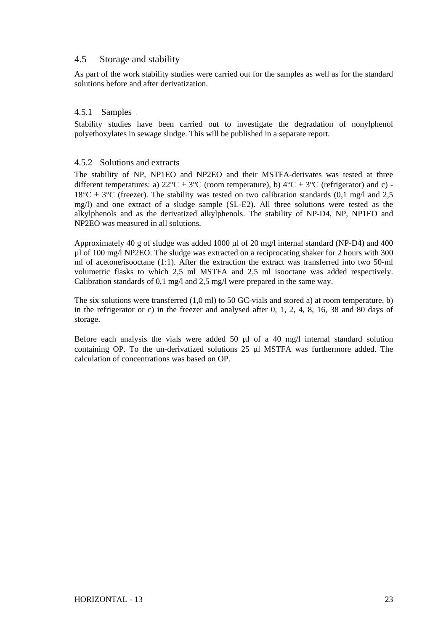## 4.5 Storage and stability

As part of the work stability studies were carried out for the samples as well as for the standard solutions before and after derivatization.

#### 4.5.1 Samples

Stability studies have been carried out to investigate the degradation of nonylphenol polyethoxylates in sewage sludge. This will be published in a separate report.

#### 4.5.2 Solutions and extracts

The stability of NP, NP1EO and NP2EO and their MSTFA-derivates was tested at three different temperatures: a)  $22^{\circ}\text{C} \pm 3^{\circ}\text{C}$  (room temperature), b)  $4^{\circ}\text{C} \pm 3^{\circ}\text{C}$  (refrigerator) and c) - $18^{\circ}$ C  $\pm$  3°C (freezer). The stability was tested on two calibration standards (0,1 mg/l and 2,5 mg/l) and one extract of a sludge sample (SL-E2). All three solutions were tested as the alkylphenols and as the derivatized alkylphenols. The stability of NP-D4, NP, NP1EO and NP2EO was measured in all solutions.

Approximately 40 g of sludge was added 1000 µl of 20 mg/l internal standard (NP-D4) and 400  $\mu$  of 100 mg/l NP2EO. The sludge was extracted on a reciprocating shaker for 2 hours with 300 ml of acetone/isooctane (1:1). After the extraction the extract was transferred into two 50-ml volumetric flasks to which 2,5 ml MSTFA and 2,5 ml isooctane was added respectively. Calibration standards of 0,1 mg/l and 2,5 mg/l were prepared in the same way.

The six solutions were transferred (1,0 ml) to 50 GC-vials and stored a) at room temperature, b) in the refrigerator or c) in the freezer and analysed after 0, 1, 2, 4, 8, 16, 38 and 80 days of storage.

Before each analysis the vials were added 50  $\mu$ l of a 40 mg/l internal standard solution containing OP. To the un-derivatized solutions 25 µl MSTFA was furthermore added. The calculation of concentrations was based on OP.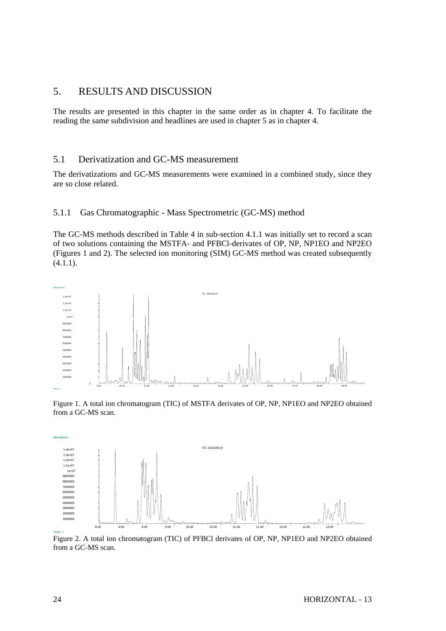# 5. RESULTS AND DISCUSSION

The results are presented in this chapter in the same order as in chapter 4. To facilitate the reading the same subdivision and headlines are used in chapter 5 as in chapter 4.

## 5.1 Derivatization and GC-MS measurement

The derivatizations and GC-MS measurements were examined in a combined study, since they are so close related.

## 5.1.1 Gas Chromatographic - Mass Spectrometric (GC-MS) method

The GC-MS methods described in Table 4 in sub-section 4.1.1 was initially set to record a scan of two solutions containing the MSTFA- and PFBCl-derivates of OP, NP, NP1EO and NP2EO (Figures 1 and 2). The selected ion monitoring (SIM) GC-MS method was created subsequently  $(4.1.1)$ .



Figure 1. A total ion chromatogram (TIC) of MSTFA derivates of OP, NP, NP1EO and NP2EO obtained from a GC-MS scan.



Figure 2. A total ion chromatogram (TIC) of PFBCl derivates of OP, NP, NP1EO and NP2EO obtained from a GC-MS scan.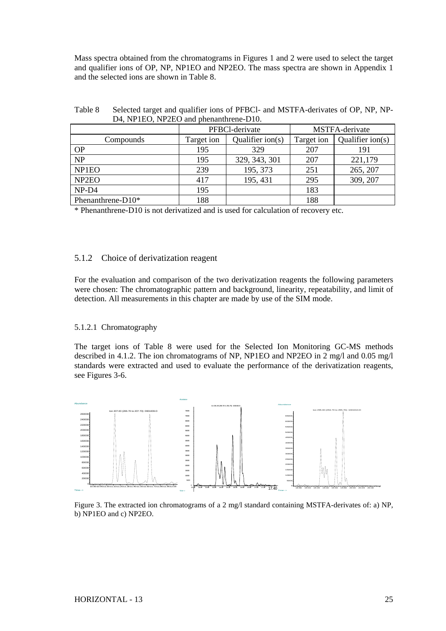Mass spectra obtained from the chromatograms in Figures 1 and 2 were used to select the target and qualifier ions of OP, NP, NP1EO and NP2EO. The mass spectra are shown in Appendix 1 and the selected ions are shown in Table 8.

|                    |            | PFBCl-derivate            | MSTFA-derivate |                    |  |
|--------------------|------------|---------------------------|----------------|--------------------|--|
| Compounds          | Target ion | Qualifier $\text{ion}(s)$ | Target ion     | Qualifier $ion(s)$ |  |
| <b>OP</b>          | 195        | 329                       | 207            | 191                |  |
| <b>NP</b>          | 195        | 329, 343, 301             | 207            | 221,179            |  |
| NP1EO              | 239        | 195, 373                  | 251            | 265, 207           |  |
| NP <sub>2</sub> EO | 417        | 195, 431                  | 295            | 309, 207           |  |
| $NP-D4$            | 195        |                           | 183            |                    |  |
| Phenanthrene-D10*  | 188        |                           | 188            |                    |  |

Table 8 Selected target and qualifier ions of PFBCl- and MSTFA-derivates of OP, NP, NP-D4, NP1EO, NP2EO and phenanthrene-D10.

\* Phenanthrene-D10 is not derivatized and is used for calculation of recovery etc.

#### 5.1.2 Choice of derivatization reagent

For the evaluation and comparison of the two derivatization reagents the following parameters were chosen: The chromatographic pattern and background, linearity, repeatability, and limit of detection. All measurements in this chapter are made by use of the SIM mode.

#### 5.1.2.1 Chromatography

The target ions of Table 8 were used for the Selected Ion Monitoring GC-MS methods described in 4.1.2. The ion chromatograms of NP, NP1EO and NP2EO in 2 mg/l and 0.05 mg/l standards were extracted and used to evaluate the performance of the derivatization reagents, see Figures 3-6.



Figure 3. The extracted ion chromatograms of a 2 mg/l standard containing MSTFA-derivates of: a) NP, b) NP1EO and c) NP2EO.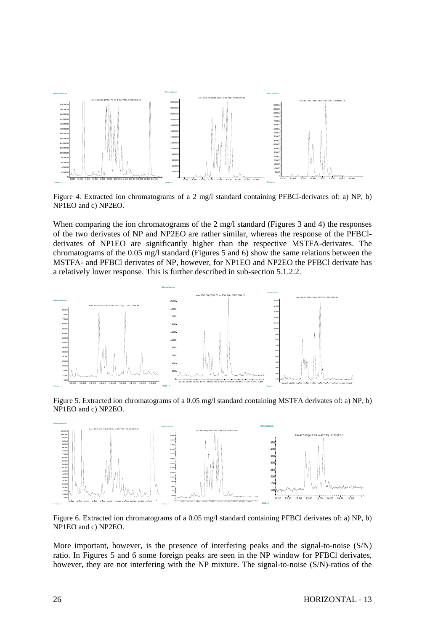

Figure 4. Extracted ion chromatograms of a 2 mg/l standard containing PFBCl-derivates of: a) NP, b) NP1EO and c) NP2EO.

When comparing the ion chromatograms of the 2 mg/l standard (Figures 3 and 4) the responses of the two derivates of NP and NP2EO are rather similar, whereas the response of the PFBClderivates of NP1EO are significantly higher than the respective MSTFA-derivates. The chromatograms of the 0.05 mg/l standard (Figures 5 and 6) show the same relations between the MSTFA- and PFBCl derivates of NP, however, for NP1EO and NP2EO the PFBCl derivate has a relatively lower response. This is further described in sub-section 5.1.2.2.



Figure 5. Extracted ion chromatograms of a 0.05 mg/l standard containing MSTFA derivates of: a) NP, b) NP1EO and c) NP2EO.



Figure 6. Extracted ion chromatograms of a 0.05 mg/l standard containing PFBCl derivates of: a) NP, b) NP1EO and c) NP2EO.

More important, however, is the presence of interfering peaks and the signal-to-noise (S/N) ratio. In Figures 5 and 6 some foreign peaks are seen in the NP window for PFBCl derivates, however, they are not interfering with the NP mixture. The signal-to-noise (S/N)-ratios of the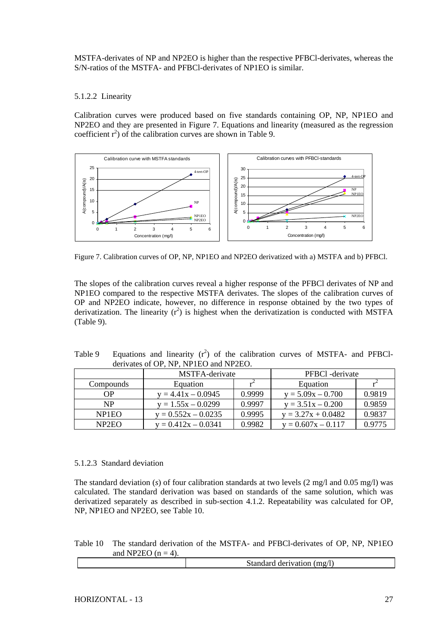MSTFA-derivates of NP and NP2EO is higher than the respective PFBCl-derivates, whereas the S/N-ratios of the MSTFA- and PFBCl-derivates of NP1EO is similar.

#### 5.1.2.2 Linearity

Calibration curves were produced based on five standards containing OP, NP, NP1EO and NP2EO and they are presented in Figure 7. Equations and linearity (measured as the regression coefficient  $r^2$ ) of the calibration curves are shown in Table 9.



Figure 7. Calibration curves of OP, NP, NP1EO and NP2EO derivatized with a) MSTFA and b) PFBCl.

The slopes of the calibration curves reveal a higher response of the PFBCl derivates of NP and NP1EO compared to the respective MSTFA derivates. The slopes of the calibration curves of OP and NP2EO indicate, however, no difference in response obtained by the two types of derivatization. The linearity  $(r^2)$  is highest when the derivatization is conducted with MSTFA (Table 9).

|                                       |  |  | Table 9 Equations and linearity $(r^2)$ of the calibration curves of MSTFA- and PFBCl- |  |  |  |
|---------------------------------------|--|--|----------------------------------------------------------------------------------------|--|--|--|
| derivates of OP, NP, NP1EO and NP2EO. |  |  |                                                                                        |  |  |  |

|                    | MSTFA-derivate        |        | PFBCI-derivate       |        |  |  |
|--------------------|-----------------------|--------|----------------------|--------|--|--|
| Compounds          | Equation              |        | Equation             |        |  |  |
| OР                 | $y = 4.41x - 0.0945$  | 0.9999 | $v = 5.09x - 0.700$  | 0.9819 |  |  |
| NP.                | $y = 1.55x - 0.0299$  | 0.9997 | $y = 3.51x - 0.200$  | 0.9859 |  |  |
| NP1EO              | $y = 0.552x - 0.0235$ | 0.9995 | $y = 3.27x + 0.0482$ | 0.9837 |  |  |
| NP <sub>2</sub> EO | $y = 0.412x - 0.0341$ | 0.9982 | $y = 0.607x - 0.117$ |        |  |  |

#### 5.1.2.3 Standard deviation

The standard deviation (*s*) of four calibration standards at two levels (2 mg/l and 0.05 mg/l) was calculated. The standard derivation was based on standards of the same solution, which was derivatized separately as described in sub-section 4.1.2. Repeatability was calculated for OP, NP, NP1EO and NP2EO, see Table 10.

## Table 10 The standard derivation of the MSTFA- and PFBCl-derivates of OP, NP, NP1EO and NP2EO  $(n = 4)$ .

| Standa<br>(mg)<br>uer<br>Standard derivation |
|----------------------------------------------|
|                                              |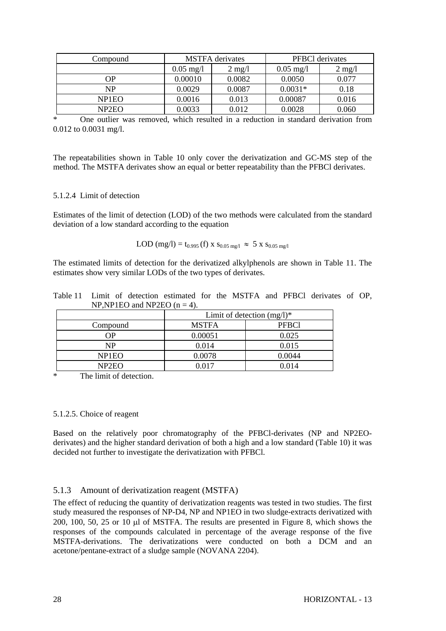| Compound  |                     | <b>MSTFA</b> derivates | <b>PFBCl</b> derivates |                  |  |  |
|-----------|---------------------|------------------------|------------------------|------------------|--|--|
|           | $0.05 \text{ mg}/1$ | $2 \text{ mg}/l$       | $0.05 \text{ mg}/1$    | $2 \text{ mg}/l$ |  |  |
| OΡ        | 0.00010             | 0.0082                 | 0.0050                 | 0.077            |  |  |
| <b>NP</b> | 0.0029              | 0.0087                 | $0.0031*$              | 0.18             |  |  |
| NP1EO     | 0.0016              | 0.013                  | 0.00087                | 0.016            |  |  |
| NP2EO     | 0.0033              | 0.012                  | 0.0028                 | 0.060            |  |  |

One outlier was removed, which resulted in a reduction in standard derivation from 0.012 to 0.0031 mg/l.

The repeatabilities shown in Table 10 only cover the derivatization and GC-MS step of the method. The MSTFA derivates show an equal or better repeatability than the PFBCl derivates.

#### 5.1.2.4 Limit of detection

Estimates of the limit of detection (LOD) of the two methods were calculated from the standard deviation of a low standard according to the equation

$$
LOD (mg/l) = t_{0.995} (f) x s_{0.05 \text{ mg/l}} \approx 5 x s_{0.05 \text{ mg/l}}
$$

The estimated limits of detection for the derivatized alkylphenols are shown in Table 11. The estimates show very similar LODs of the two types of derivates.

|  |  | Table 11 Limit of detection estimated for the MSTFA and PFBCl derivates of OP, |  |  |  |  |
|--|--|--------------------------------------------------------------------------------|--|--|--|--|
|  |  | NP, NP1EO and NP2EO $(n = 4)$ .                                                |  |  |  |  |

|          | Limit of detection $(mg/l)^*$ |              |  |  |  |
|----------|-------------------------------|--------------|--|--|--|
| Compound | <b>MSTFA</b>                  | <b>PFBC1</b> |  |  |  |
| OΡ       | 0.00051                       | 0.025        |  |  |  |
| NP       | 0.014                         | 0.015        |  |  |  |
| NP1EO    | 0.0078                        | 0.0044       |  |  |  |
| NP2EO    | በ በ17                         | 0.014        |  |  |  |

\* The limit of detection.

#### 5.1.2.5. Choice of reagent

Based on the relatively poor chromatography of the PFBCl-derivates (NP and NP2EOderivates) and the higher standard derivation of both a high and a low standard (Table 10) it was decided not further to investigate the derivatization with PFBCl.

#### 5.1.3 Amount of derivatization reagent (MSTFA)

The effect of reducing the quantity of derivatization reagents was tested in two studies. The first study measured the responses of NP-D4, NP and NP1EO in two sludge-extracts derivatized with 200, 100, 50, 25 or 10 µl of MSTFA. The results are presented in Figure 8, which shows the responses of the compounds calculated in percentage of the average response of the five MSTFA-derivations. The derivatizations were conducted on both a DCM and an acetone/pentane-extract of a sludge sample (NOVANA 2204).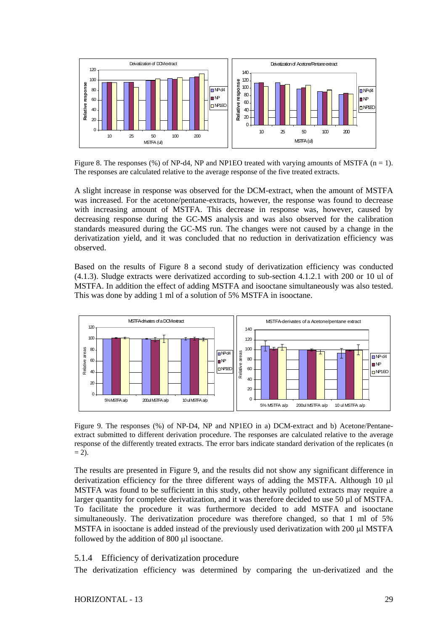

Figure 8. The responses (%) of NP-d4, NP and NP1EO treated with varying amounts of MSTFA  $(n = 1)$ . The responses are calculated relative to the average response of the five treated extracts.

A slight increase in response was observed for the DCM-extract, when the amount of MSTFA was increased. For the acetone/pentane-extracts, however, the response was found to decrease with increasing amount of MSTFA. This decrease in response was, however, caused by decreasing response during the GC-MS analysis and was also observed for the calibration standards measured during the GC-MS run. The changes were not caused by a change in the derivatization yield, and it was concluded that no reduction in derivatization efficiency was observed.

Based on the results of Figure 8 a second study of derivatization efficiency was conducted (4.1.3). Sludge extracts were derivatized according to sub-section 4.1.2.1 with 200 or 10 ul of MSTFA. In addition the effect of adding MSTFA and isooctane simultaneously was also tested. This was done by adding 1 ml of a solution of 5% MSTFA in isooctane.



Figure 9. The responses (%) of NP-D4, NP and NP1EO in a) DCM-extract and b) Acetone/Pentaneextract submitted to different derivation procedure. The responses are calculated relative to the average response of the differently treated extracts. The error bars indicate standard derivation of the replicates (n  $= 2$ ).

The results are presented in Figure 9, and the results did not show any significant difference in derivatization efficiency for the three different ways of adding the MSTFA. Although 10 µl MSTFA was found to be sufficientt in this study, other heavily polluted extracts may require a larger quantity for complete derivatization, and it was therefore decided to use 50 µl of MSTFA. To facilitate the procedure it was furthermore decided to add MSTFA and isooctane simultaneously. The derivatization procedure was therefore changed, so that 1 ml of 5% MSTFA in isooctane is added instead of the previously used derivatization with 200 µl MSTFA followed by the addition of 800 µl isooctane.

## 5.1.4 Efficiency of derivatization procedure

The derivatization efficiency was determined by comparing the un-derivatized and the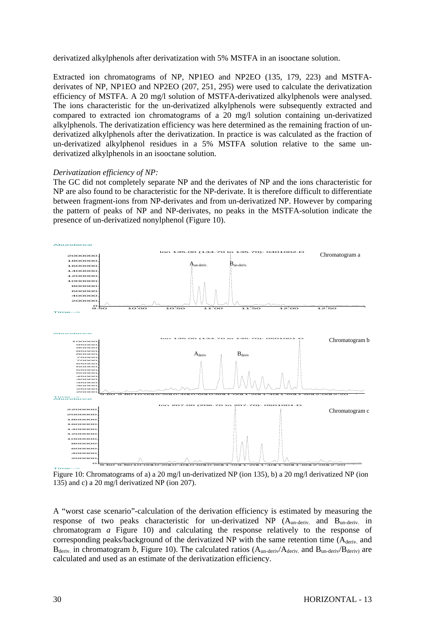derivatized alkylphenols after derivatization with 5% MSTFA in an isooctane solution.

Extracted ion chromatograms of NP, NP1EO and NP2EO (135, 179, 223) and MSTFAderivates of NP, NP1EO and NP2EO (207, 251, 295) were used to calculate the derivatization efficiency of MSTFA. A 20 mg/l solution of MSTFA-derivatized alkylphenols were analysed. The ions characteristic for the un-derivatized alkylphenols were subsequently extracted and compared to extracted ion chromatograms of a 20 mg/l solution containing un-derivatized alkylphenols. The derivatization efficiency was here determined as the remaining fraction of underivatized alkylphenols after the derivatization. In practice is was calculated as the fraction of un-derivatized alkylphenol residues in a 5% MSTFA solution relative to the same underivatized alkylphenols in an isooctane solution.

#### *Derivatization efficiency of NP:*

The GC did not completely separate NP and the derivates of NP and the ions characteristic for NP are also found to be characteristic for the NP-derivate. It is therefore difficult to differentiate between fragment-ions from NP-derivates and from un-derivatized NP. However by comparing the pattern of peaks of NP and NP-derivates, no peaks in the MSTFA-solution indicate the presence of un-derivatized nonylphenol (Figure 10).



Figure 10: Chromatograms of a) a 20 mg/l un-derivatized NP (ion 135), b) a 20 mg/l derivatized NP (ion 135) and c) a 20 mg/l derivatized NP (ion 207).

A "worst case scenario"-calculation of the derivation efficiency is estimated by measuring the response of two peaks characteristic for un-derivatized NP (Aun-deriv. and Bun-deriv. in chromatogram *a* Figure 10) and calculating the response relatively to the response of corresponding peaks/background of the derivatized NP with the same retention time  $(A<sub>deriv</sub>$  and  $B_{\text{deriv}}$  in chromatogram *b*, Figure 10). The calculated ratios ( $A_{\text{un-deriv}}/A_{\text{deriv}}$  and  $B_{\text{un-deriv}}/B_{\text{deriv}}$ ) are calculated and used as an estimate of the derivatization efficiency.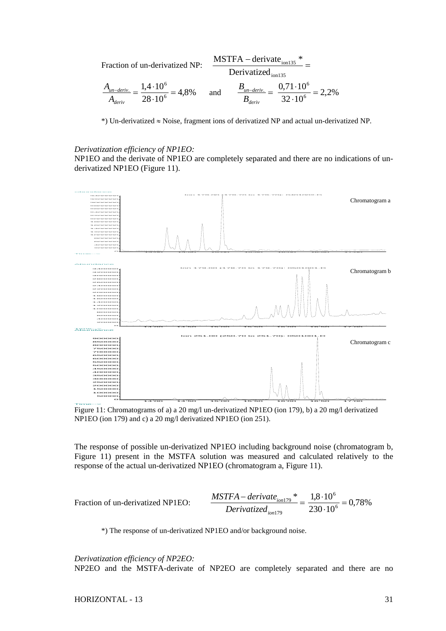| Fraction of un-derivatized NP:                                         |     | $MSTFA - derivative_{\text{ion135}} *$                                          |
|------------------------------------------------------------------------|-----|---------------------------------------------------------------------------------|
|                                                                        |     | Derivatized <sub>ion135</sub>                                                   |
| $A_{\text{w-deriv.}} = \frac{1,4 \cdot 10^6}{28 \cdot 10^6} = 4,8\%$ . | and | $\frac{B_{un-deriv.}}{B_{un-}} = \frac{0.71 \cdot 10^6}{32 \cdot 10^6} = 2.2\%$ |

\*) Un-derivatized ≈ Noise, fragment ions of derivatized NP and actual un-derivatized NP.

#### *Derivatization efficiency of NP1EO:*

NP1EO and the derivate of NP1EO are completely separated and there are no indications of underivatized NP1EO (Figure 11).



Figure 11: Chromatograms of a) a 20 mg/l un-derivatized NP1EO (ion 179), b) a 20 mg/l derivatized NP1EO (ion 179) and c) a 20 mg/l derivatized NP1EO (ion 251).

The response of possible un-derivatized NP1EO including background noise (chromatogram b, Figure 11) present in the MSTFA solution was measured and calculated relatively to the response of the actual un-derivatized NP1EO (chromatogram a, Figure 11).

Fraction of un-derivatized NP1EO: 
$$
\frac{MSTFA-derivate_{ion179}}{Derivative_{ion179}} = \frac{1,8 \cdot 10^6}{230 \cdot 10^6} = 0,78\%
$$

\*) The response of un-derivatized NP1EO and/or background noise.

*Derivatization efficiency of NP2EO:* 

NP2EO and the MSTFA-derivate of NP2EO are completely separated and there are no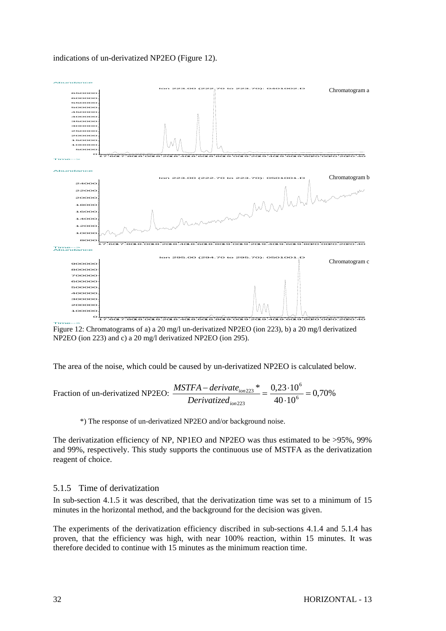indications of un-derivatized NP2EO (Figure 12).



Figure 12: Chromatograms of a) a 20 mg/l un-derivatized NP2EO (ion 223), b) a 20 mg/l derivatized NP2EO (ion 223) and c) a 20 mg/l derivatized NP2EO (ion 295).

The area of the noise, which could be caused by un-derivatized NP2EO is calculated below.

Fraction of un-derivatized NP2EO: 
$$
\frac{MSTFA - derivative_{ion223}}{Derivative_{ion223}} = \frac{0,23 \cdot 10^6}{40 \cdot 10^6} = 0,70\%
$$

\*) The response of un-derivatized NP2EO and/or background noise.

The derivatization efficiency of NP, NP1EO and NP2EO was thus estimated to be >95%, 99% and 99%, respectively. This study supports the continuous use of MSTFA as the derivatization reagent of choice.

#### 5.1.5 Time of derivatization

In sub-section 4.1.5 it was described, that the derivatization time was set to a minimum of 15 minutes in the horizontal method, and the background for the decision was given.

The experiments of the derivatization efficiency discribed in sub-sections 4.1.4 and 5.1.4 has proven, that the efficiency was high, with near 100% reaction, within 15 minutes. It was therefore decided to continue with 15 minutes as the minimum reaction time.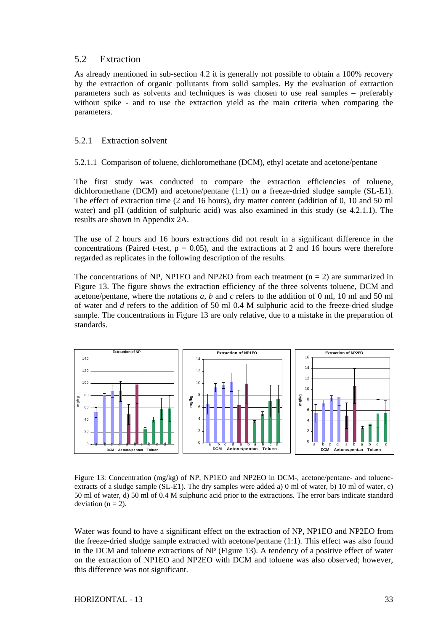# 5.2 Extraction

As already mentioned in sub-section 4.2 it is generally not possible to obtain a 100% recovery by the extraction of organic pollutants from solid samples. By the evaluation of extraction parameters such as solvents and techniques is was chosen to use real samples – preferably without spike - and to use the extraction yield as the main criteria when comparing the parameters.

## 5.2.1 Extraction solvent

#### 5.2.1.1 Comparison of toluene, dichloromethane (DCM), ethyl acetate and acetone/pentane

The first study was conducted to compare the extraction efficiencies of toluene, dichloromethane (DCM) and acetone/pentane (1:1) on a freeze-dried sludge sample (SL-E1). The effect of extraction time (2 and 16 hours), dry matter content (addition of 0, 10 and 50 ml water) and pH (addition of sulphuric acid) was also examined in this study (se 4.2.1.1). The results are shown in Appendix 2A.

The use of 2 hours and 16 hours extractions did not result in a significant difference in the concentrations (Paired t-test,  $p = 0.05$ ), and the extractions at 2 and 16 hours were therefore regarded as replicates in the following description of the results.

The concentrations of NP, NP1EO and NP2EO from each treatment  $(n = 2)$  are summarized in Figure 13. The figure shows the extraction efficiency of the three solvents toluene, DCM and acetone/pentane, where the notations *a, b* and *c* refers to the addition of 0 ml, 10 ml and 50 ml of water and *d* refers to the addition of 50 ml 0.4 M sulphuric acid to the freeze-dried sludge sample. The concentrations in Figure 13 are only relative, due to a mistake in the preparation of standards.



Figure 13: Concentration (mg/kg) of NP, NP1EO and NP2EO in DCM-, acetone/pentane- and tolueneextracts of a sludge sample (SL-E1). The dry samples were added a) 0 ml of water, b) 10 ml of water, c) 50 ml of water, d) 50 ml of 0.4 M sulphuric acid prior to the extractions. The error bars indicate standard deviation  $(n = 2)$ .

Water was found to have a significant effect on the extraction of NP, NP1EO and NP2EO from the freeze-dried sludge sample extracted with acetone/pentane (1:1). This effect was also found in the DCM and toluene extractions of NP (Figure 13). A tendency of a positive effect of water on the extraction of NP1EO and NP2EO with DCM and toluene was also observed; however, this difference was not significant.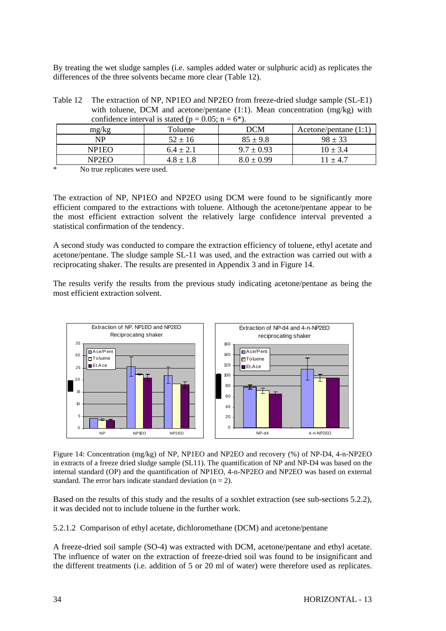By treating the wet sludge samples (i.e. samples added water or sulphuric acid) as replicates the differences of the three solvents became more clear (Table 12).

Table 12 The extraction of NP, NP1EO and NP2EO from freeze-dried sludge sample (SL-E1) with toluene, DCM and acetone/pentane  $(1:1)$ . Mean concentration  $(mg/kg)$  with confidence interval is stated ( $p = 0.05$ ;  $p = 6$ \*).

| configured interval to banca $(p = 0.05, H = 0)$ . |               |                |                         |  |  |  |  |  |
|----------------------------------------------------|---------------|----------------|-------------------------|--|--|--|--|--|
| mg/kg                                              | Toluene       | DCM            | Acetone/pentane $(1:1)$ |  |  |  |  |  |
| NP                                                 | $52 \pm 16$   | $85 \pm 9.8$   | $98 \pm 33$             |  |  |  |  |  |
| NP <sub>1</sub> EO                                 | $6.4 \pm 2.1$ | $9.7 \pm 0.93$ | $10 \pm 3.4$            |  |  |  |  |  |
| NP <sub>2</sub> EO                                 | $4.8 \pm 1.8$ | $8.0 \pm 0.99$ | $1 + 4.7$               |  |  |  |  |  |
|                                                    |               |                |                         |  |  |  |  |  |

No true replicates were used.

The extraction of NP, NP1EO and NP2EO using DCM were found to be significantly more efficient compared to the extractions with toluene. Although the acetone/pentane appear to be the most efficient extraction solvent the relatively large confidence interval prevented a statistical confirmation of the tendency.

A second study was conducted to compare the extraction efficiency of toluene, ethyl acetate and acetone/pentane. The sludge sample SL-11 was used, and the extraction was carried out with a reciprocating shaker. The results are presented in Appendix 3 and in Figure 14.

The results verify the results from the previous study indicating acetone/pentane as being the most efficient extraction solvent.



Figure 14: Concentration (mg/kg) of NP, NP1EO and NP2EO and recovery (%) of NP-D4, 4-n-NP2EO in extracts of a freeze dried sludge sample (SL11). The quantification of NP and NP-D4 was based on the internal standard (OP) and the quantification of NP1EO, 4-n-NP2EO and NP2EO was based on external standard. The error bars indicate standard deviation  $(n = 2)$ .

Based on the results of this study and the results of a soxhlet extraction (see sub-sections 5.2.2), it was decided not to include toluene in the further work.

5.2.1.2 Comparison of ethyl acetate, dichloromethane (DCM) and acetone/pentane

A freeze-dried soil sample (SO-4) was extracted with DCM, acetone/pentane and ethyl acetate. The influence of water on the extraction of freeze-dried soil was found to be insignificant and the different treatments (i.e. addition of 5 or 20 ml of water) were therefore used as replicates.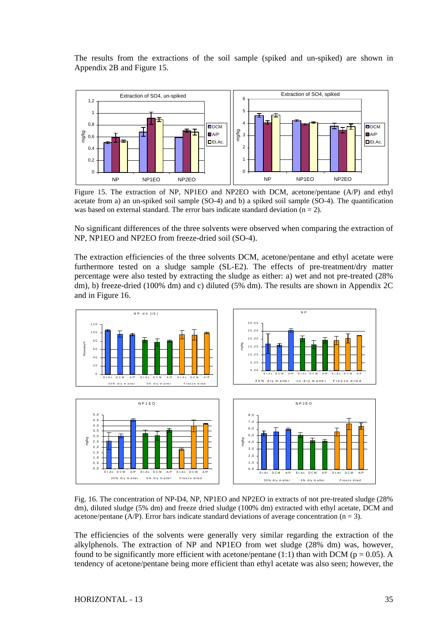The results from the extractions of the soil sample (spiked and un-spiked) are shown in Appendix 2B and Figure 15.



Figure 15. The extraction of NP, NP1EO and NP2EO with DCM, acetone/pentane (A/P) and ethyl acetate from a) an un-spiked soil sample (SO-4) and b) a spiked soil sample (SO-4). The quantification was based on external standard. The error bars indicate standard deviation  $(n = 2)$ .

No significant differences of the three solvents were observed when comparing the extraction of NP, NP1EO and NP2EO from freeze-dried soil (SO-4).

The extraction efficiencies of the three solvents DCM, acetone/pentane and ethyl acetate were furthermore tested on a sludge sample (SL-E2). The effects of pre-treatment/dry matter percentage were also tested by extracting the sludge as either: a) wet and not pre-treated (28% dm), b) freeze-dried (100% dm) and c) diluted (5% dm). The results are shown in Appendix 2C and in Figure 16.



Fig. 16. The concentration of NP-D4, NP, NP1EO and NP2EO in extracts of not pre-treated sludge (28% dm), diluted sludge (5% dm) and freeze dried sludge (100% dm) extracted with ethyl acetate, DCM and acetone/pentane (A/P). Error bars indicate standard deviations of average concentration ( $n = 3$ ).

The efficiencies of the solvents were generally very similar regarding the extraction of the alkylphenols. The extraction of NP and NP1EO from wet sludge (28% dm) was, however, found to be significantly more efficient with acetone/pentane (1:1) than with DCM ( $p = 0.05$ ). A tendency of acetone/pentane being more efficient than ethyl acetate was also seen; however, the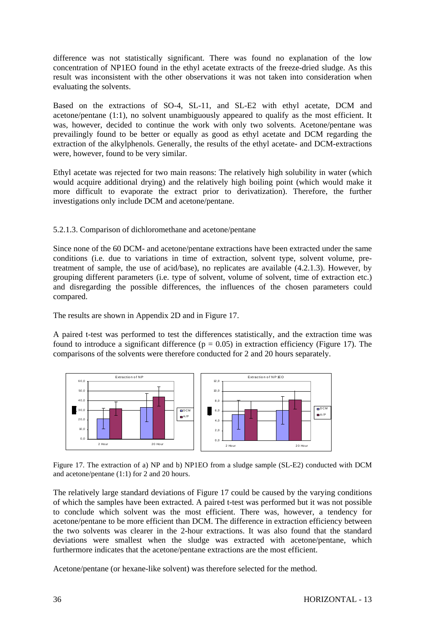difference was not statistically significant. There was found no explanation of the low concentration of NP1EO found in the ethyl acetate extracts of the freeze-dried sludge. As this result was inconsistent with the other observations it was not taken into consideration when evaluating the solvents.

Based on the extractions of SO-4, SL-11, and SL-E2 with ethyl acetate, DCM and acetone/pentane (1:1), no solvent unambiguously appeared to qualify as the most efficient. It was, however, decided to continue the work with only two solvents. Acetone/pentane was prevailingly found to be better or equally as good as ethyl acetate and DCM regarding the extraction of the alkylphenols. Generally, the results of the ethyl acetate- and DCM-extractions were, however, found to be very similar.

Ethyl acetate was rejected for two main reasons: The relatively high solubility in water (which would acquire additional drying) and the relatively high boiling point (which would make it more difficult to evaporate the extract prior to derivatization). Therefore, the further investigations only include DCM and acetone/pentane.

#### 5.2.1.3. Comparison of dichloromethane and acetone/pentane

Since none of the 60 DCM- and acetone/pentane extractions have been extracted under the same conditions (i.e. due to variations in time of extraction, solvent type, solvent volume, pretreatment of sample, the use of acid/base), no replicates are available (4.2.1.3). However, by grouping different parameters (i.e. type of solvent, volume of solvent, time of extraction etc.) and disregarding the possible differences, the influences of the chosen parameters could compared.

The results are shown in Appendix 2D and in Figure 17.

A paired t-test was performed to test the differences statistically, and the extraction time was found to introduce a significant difference ( $p = 0.05$ ) in extraction efficiency (Figure 17). The comparisons of the solvents were therefore conducted for 2 and 20 hours separately.



Figure 17. The extraction of a) NP and b) NP1EO from a sludge sample (SL-E2) conducted with DCM and acetone/pentane (1:1) for 2 and 20 hours.

The relatively large standard deviations of Figure 17 could be caused by the varying conditions of which the samples have been extracted. A paired t-test was performed but it was not possible to conclude which solvent was the most efficient. There was, however, a tendency for acetone/pentane to be more efficient than DCM. The difference in extraction efficiency between the two solvents was clearer in the 2-hour extractions. It was also found that the standard deviations were smallest when the sludge was extracted with acetone/pentane, which furthermore indicates that the acetone/pentane extractions are the most efficient.

Acetone/pentane (or hexane-like solvent) was therefore selected for the method.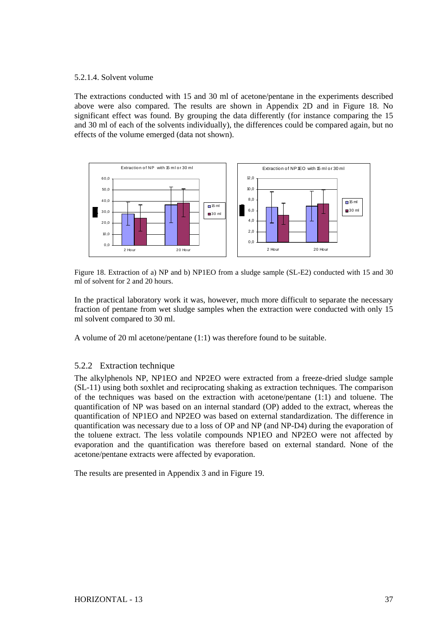#### 5.2.1.4. Solvent volume

The extractions conducted with 15 and 30 ml of acetone/pentane in the experiments described above were also compared. The results are shown in Appendix 2D and in Figure 18. No significant effect was found. By grouping the data differently (for instance comparing the 15 and 30 ml of each of the solvents individually), the differences could be compared again, but no effects of the volume emerged (data not shown).



Figure 18. Extraction of a) NP and b) NP1EO from a sludge sample (SL-E2) conducted with 15 and 30 ml of solvent for 2 and 20 hours.

In the practical laboratory work it was, however, much more difficult to separate the necessary fraction of pentane from wet sludge samples when the extraction were conducted with only 15 ml solvent compared to 30 ml.

A volume of 20 ml acetone/pentane (1:1) was therefore found to be suitable.

## 5.2.2 Extraction technique

The alkylphenols NP, NP1EO and NP2EO were extracted from a freeze-dried sludge sample (SL-11) using both soxhlet and reciprocating shaking as extraction techniques. The comparison of the techniques was based on the extraction with acetone/pentane (1:1) and toluene. The quantification of NP was based on an internal standard (OP) added to the extract, whereas the quantification of NP1EO and NP2EO was based on external standardization. The difference in quantification was necessary due to a loss of OP and NP (and NP-D4) during the evaporation of the toluene extract. The less volatile compounds NP1EO and NP2EO were not affected by evaporation and the quantification was therefore based on external standard. None of the acetone/pentane extracts were affected by evaporation.

The results are presented in Appendix 3 and in Figure 19.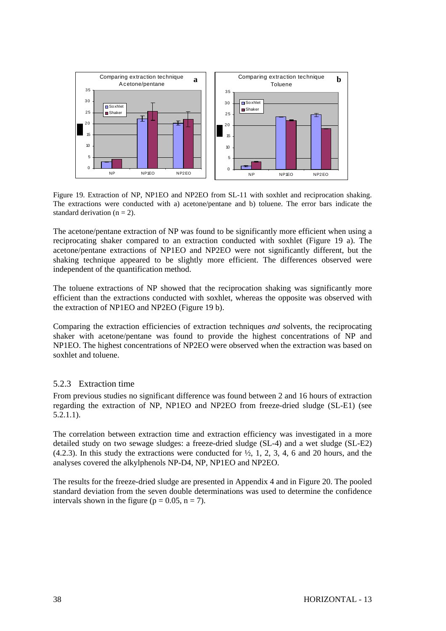

Figure 19. Extraction of NP, NP1EO and NP2EO from SL-11 with soxhlet and reciprocation shaking. The extractions were conducted with a) acetone/pentane and b) toluene. The error bars indicate the standard derivation  $(n = 2)$ .

The acetone/pentane extraction of NP was found to be significantly more efficient when using a reciprocating shaker compared to an extraction conducted with soxhlet (Figure 19 a). The acetone/pentane extractions of NP1EO and NP2EO were not significantly different, but the shaking technique appeared to be slightly more efficient. The differences observed were independent of the quantification method.

The toluene extractions of NP showed that the reciprocation shaking was significantly more efficient than the extractions conducted with soxhlet, whereas the opposite was observed with the extraction of NP1EO and NP2EO (Figure 19 b).

Comparing the extraction efficiencies of extraction techniques *and* solvents, the reciprocating shaker with acetone/pentane was found to provide the highest concentrations of NP and NP1EO. The highest concentrations of NP2EO were observed when the extraction was based on soxhlet and toluene.

## 5.2.3 Extraction time

From previous studies no significant difference was found between 2 and 16 hours of extraction regarding the extraction of NP, NP1EO and NP2EO from freeze-dried sludge (SL-E1) (see 5.2.1.1).

The correlation between extraction time and extraction efficiency was investigated in a more detailed study on two sewage sludges: a freeze-dried sludge (SL-4) and a wet sludge (SL-E2)  $(4.2.3)$ . In this study the extractions were conducted for  $\frac{1}{2}$ , 1, 2, 3, 4, 6 and 20 hours, and the analyses covered the alkylphenols NP-D4, NP, NP1EO and NP2EO.

The results for the freeze-dried sludge are presented in Appendix 4 and in Figure 20. The pooled standard deviation from the seven double determinations was used to determine the confidence intervals shown in the figure ( $p = 0.05$ ,  $n = 7$ ).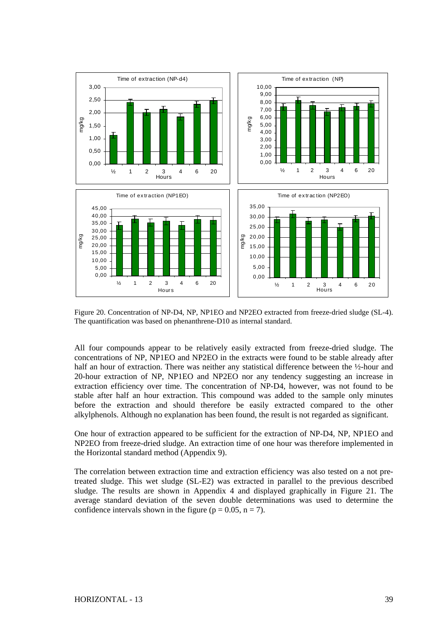

Figure 20. Concentration of NP-D4, NP, NP1EO and NP2EO extracted from freeze-dried sludge (SL-4). The quantification was based on phenanthrene-D10 as internal standard.

All four compounds appear to be relatively easily extracted from freeze-dried sludge. The concentrations of NP, NP1EO and NP2EO in the extracts were found to be stable already after half an hour of extraction. There was neither any statistical difference between the 1/2-hour and 20-hour extraction of NP, NP1EO and NP2EO nor any tendency suggesting an increase in extraction efficiency over time. The concentration of NP-D4, however, was not found to be stable after half an hour extraction. This compound was added to the sample only minutes before the extraction and should therefore be easily extracted compared to the other alkylphenols. Although no explanation has been found, the result is not regarded as significant.

One hour of extraction appeared to be sufficient for the extraction of NP-D4, NP, NP1EO and NP2EO from freeze-dried sludge. An extraction time of one hour was therefore implemented in the Horizontal standard method (Appendix 9).

The correlation between extraction time and extraction efficiency was also tested on a not pretreated sludge. This wet sludge (SL-E2) was extracted in parallel to the previous described sludge. The results are shown in Appendix 4 and displayed graphically in Figure 21. The average standard deviation of the seven double determinations was used to determine the confidence intervals shown in the figure ( $p = 0.05$ ,  $n = 7$ ).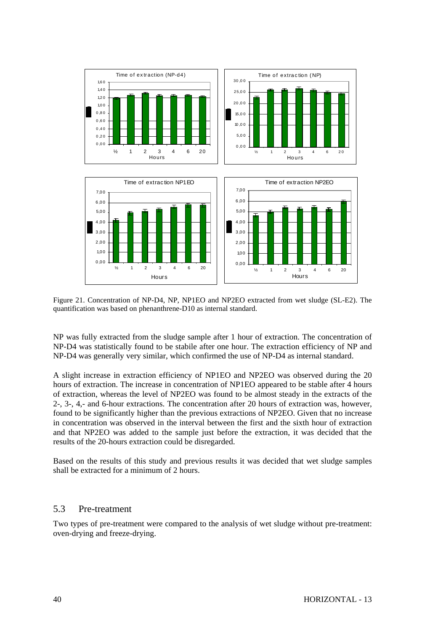

Figure 21. Concentration of NP-D4, NP, NP1EO and NP2EO extracted from wet sludge (SL-E2). The quantification was based on phenanthrene-D10 as internal standard.

NP was fully extracted from the sludge sample after 1 hour of extraction. The concentration of NP-D4 was statistically found to be stabile after one hour. The extraction efficiency of NP and NP-D4 was generally very similar, which confirmed the use of NP-D4 as internal standard.

A slight increase in extraction efficiency of NP1EO and NP2EO was observed during the 20 hours of extraction. The increase in concentration of NP1EO appeared to be stable after 4 hours of extraction, whereas the level of NP2EO was found to be almost steady in the extracts of the 2-, 3-, 4,- and 6-hour extractions. The concentration after 20 hours of extraction was, however, found to be significantly higher than the previous extractions of NP2EO. Given that no increase in concentration was observed in the interval between the first and the sixth hour of extraction and that NP2EO was added to the sample just before the extraction, it was decided that the results of the 20-hours extraction could be disregarded.

Based on the results of this study and previous results it was decided that wet sludge samples shall be extracted for a minimum of 2 hours.

## 5.3 Pre-treatment

Two types of pre-treatment were compared to the analysis of wet sludge without pre-treatment: oven-drying and freeze-drying.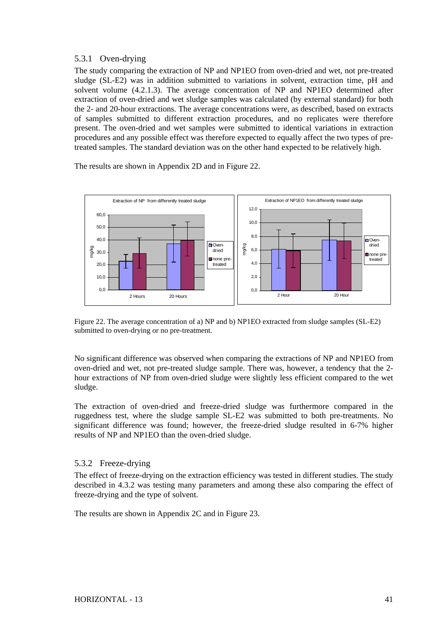## 5.3.1 Oven-drying

The study comparing the extraction of NP and NP1EO from oven-dried and wet, not pre-treated sludge (SL-E2) was in addition submitted to variations in solvent, extraction time, pH and solvent volume (4.2.1.3). The average concentration of NP and NP1EO determined after extraction of oven-dried and wet sludge samples was calculated (by external standard) for both the 2- and 20-hour extractions. The average concentrations were, as described, based on extracts of samples submitted to different extraction procedures, and no replicates were therefore present. The oven-dried and wet samples were submitted to identical variations in extraction procedures and any possible effect was therefore expected to equally affect the two types of pretreated samples. The standard deviation was on the other hand expected to be relatively high.

The results are shown in Appendix 2D and in Figure 22.



Figure 22. The average concentration of a) NP and b) NP1EO extracted from sludge samples (SL-E2) submitted to oven-drying or no pre-treatment.

No significant difference was observed when comparing the extractions of NP and NP1EO from oven-dried and wet, not pre-treated sludge sample. There was, however, a tendency that the 2 hour extractions of NP from oven-dried sludge were slightly less efficient compared to the wet sludge.

The extraction of oven-dried and freeze-dried sludge was furthermore compared in the ruggedness test, where the sludge sample SL-E2 was submitted to both pre-treatments. No significant difference was found; however, the freeze-dried sludge resulted in 6-7% higher results of NP and NP1EO than the oven-dried sludge.

## 5.3.2 Freeze-drying

The effect of freeze-drying on the extraction efficiency was tested in different studies. The study described in 4.3.2 was testing many parameters and among these also comparing the effect of freeze-drying and the type of solvent.

The results are shown in Appendix 2C and in Figure 23.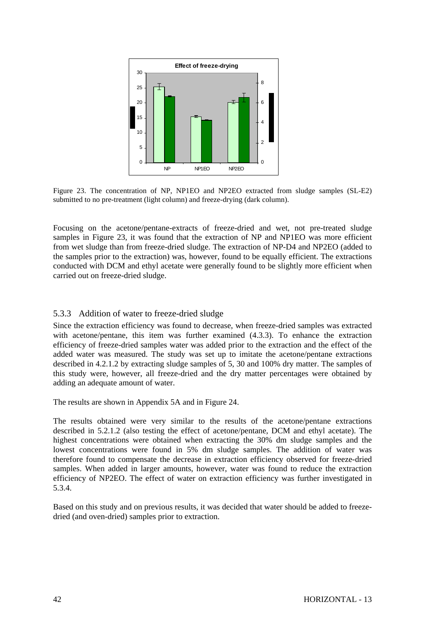

Figure 23. The concentration of NP, NP1EO and NP2EO extracted from sludge samples (SL-E2) submitted to no pre-treatment (light column) and freeze-drying (dark column).

Focusing on the acetone/pentane-extracts of freeze-dried and wet, not pre-treated sludge samples in Figure 23, it was found that the extraction of NP and NP1EO was more efficient from wet sludge than from freeze-dried sludge. The extraction of NP-D4 and NP2EO (added to the samples prior to the extraction) was, however, found to be equally efficient. The extractions conducted with DCM and ethyl acetate were generally found to be slightly more efficient when carried out on freeze-dried sludge.

#### 5.3.3 Addition of water to freeze-dried sludge

Since the extraction efficiency was found to decrease, when freeze-dried samples was extracted with acetone/pentane, this item was further examined (4.3.3). To enhance the extraction efficiency of freeze-dried samples water was added prior to the extraction and the effect of the added water was measured. The study was set up to imitate the acetone/pentane extractions described in 4.2.1.2 by extracting sludge samples of 5, 30 and 100% dry matter. The samples of this study were, however, all freeze-dried and the dry matter percentages were obtained by adding an adequate amount of water.

The results are shown in Appendix 5A and in Figure 24.

The results obtained were very similar to the results of the acetone/pentane extractions described in 5.2.1.2 (also testing the effect of acetone/pentane, DCM and ethyl acetate). The highest concentrations were obtained when extracting the 30% dm sludge samples and the lowest concentrations were found in 5% dm sludge samples. The addition of water was therefore found to compensate the decrease in extraction efficiency observed for freeze-dried samples. When added in larger amounts, however, water was found to reduce the extraction efficiency of NP2EO. The effect of water on extraction efficiency was further investigated in 5.3.4.

Based on this study and on previous results, it was decided that water should be added to freezedried (and oven-dried) samples prior to extraction.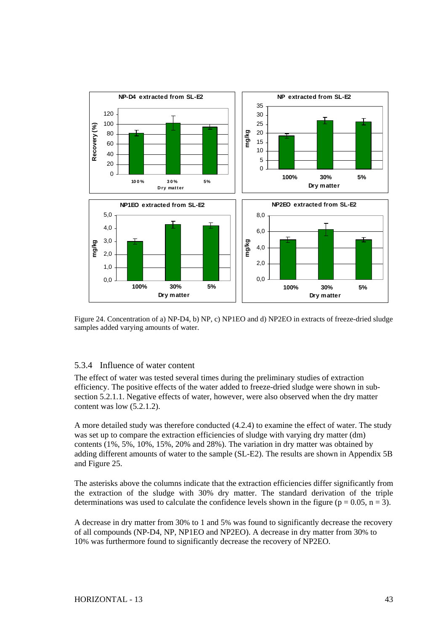

Figure 24. Concentration of a) NP-D4, b) NP, c) NP1EO and d) NP2EO in extracts of freeze-dried sludge samples added varying amounts of water.

#### 5.3.4 Influence of water content

The effect of water was tested several times during the preliminary studies of extraction efficiency. The positive effects of the water added to freeze-dried sludge were shown in subsection 5.2.1.1. Negative effects of water, however, were also observed when the dry matter content was low (5.2.1.2).

A more detailed study was therefore conducted (4.2.4) to examine the effect of water. The study was set up to compare the extraction efficiencies of sludge with varying dry matter (dm) contents (1%, 5%, 10%, 15%, 20% and 28%). The variation in dry matter was obtained by adding different amounts of water to the sample (SL-E2). The results are shown in Appendix 5B and Figure 25.

The asterisks above the columns indicate that the extraction efficiencies differ significantly from the extraction of the sludge with 30% dry matter. The standard derivation of the triple determinations was used to calculate the confidence levels shown in the figure ( $p = 0.05$ ,  $n = 3$ ).

A decrease in dry matter from 30% to 1 and 5% was found to significantly decrease the recovery of all compounds (NP-D4, NP, NP1EO and NP2EO). A decrease in dry matter from 30% to 10% was furthermore found to significantly decrease the recovery of NP2EO.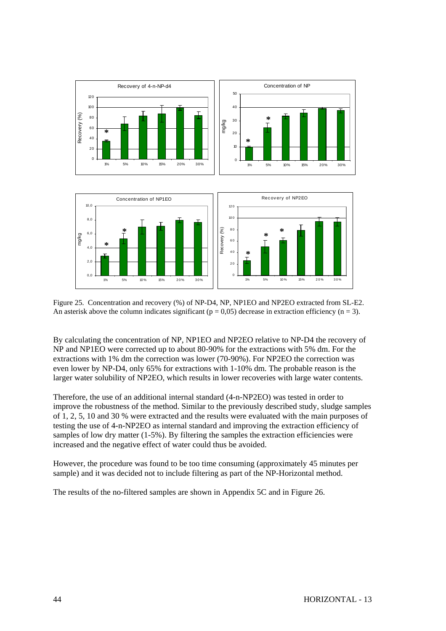

Figure 25. Concentration and recovery (%) of NP-D4, NP, NP1EO and NP2EO extracted from SL-E2. An asterisk above the column indicates significant ( $p = 0.05$ ) decrease in extraction efficiency ( $n = 3$ ).

By calculating the concentration of NP, NP1EO and NP2EO relative to NP-D4 the recovery of NP and NP1EO were corrected up to about 80-90% for the extractions with 5% dm. For the extractions with 1% dm the correction was lower (70-90%). For NP2EO the correction was even lower by NP-D4, only 65% for extractions with 1-10% dm. The probable reason is the larger water solubility of NP2EO, which results in lower recoveries with large water contents.

Therefore, the use of an additional internal standard (4-n-NP2EO) was tested in order to improve the robustness of the method. Similar to the previously described study, sludge samples of 1, 2, 5, 10 and 30 % were extracted and the results were evaluated with the main purposes of testing the use of 4-n-NP2EO as internal standard and improving the extraction efficiency of samples of low dry matter  $(1-5\%)$ . By filtering the samples the extraction efficiencies were increased and the negative effect of water could thus be avoided.

However, the procedure was found to be too time consuming (approximately 45 minutes per sample) and it was decided not to include filtering as part of the NP-Horizontal method.

The results of the no-filtered samples are shown in Appendix 5C and in Figure 26.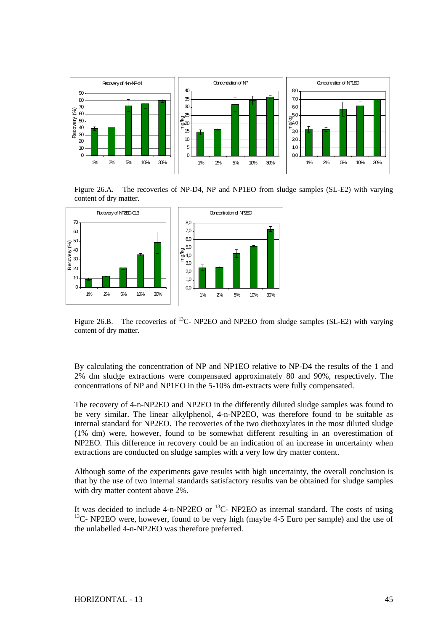

Figure 26.A. The recoveries of NP-D4, NP and NP1EO from sludge samples (SL-E2) with varying content of dry matter.



Figure 26.B. The recoveries of <sup>13</sup>C- NP2EO and NP2EO from sludge samples (SL-E2) with varying content of dry matter.

By calculating the concentration of NP and NP1EO relative to NP-D4 the results of the 1 and 2% dm sludge extractions were compensated approximately 80 and 90%, respectively. The concentrations of NP and NP1EO in the 5-10% dm-extracts were fully compensated.

The recovery of 4-n-NP2EO and NP2EO in the differently diluted sludge samples was found to be very similar. The linear alkylphenol, 4-n-NP2EO, was therefore found to be suitable as internal standard for NP2EO. The recoveries of the two diethoxylates in the most diluted sludge (1% dm) were, however, found to be somewhat different resulting in an overestimation of NP2EO. This difference in recovery could be an indication of an increase in uncertainty when extractions are conducted on sludge samples with a very low dry matter content.

Although some of the experiments gave results with high uncertainty, the overall conclusion is that by the use of two internal standards satisfactory results van be obtained for sludge samples with dry matter content above 2%.

It was decided to include  $4-n-NP2EO$  or  ${}^{13}C-NP2EO$  as internal standard. The costs of using  $13C$ - NP2EO were, however, found to be very high (maybe 4-5 Euro per sample) and the use of the unlabelled 4-n-NP2EO was therefore preferred.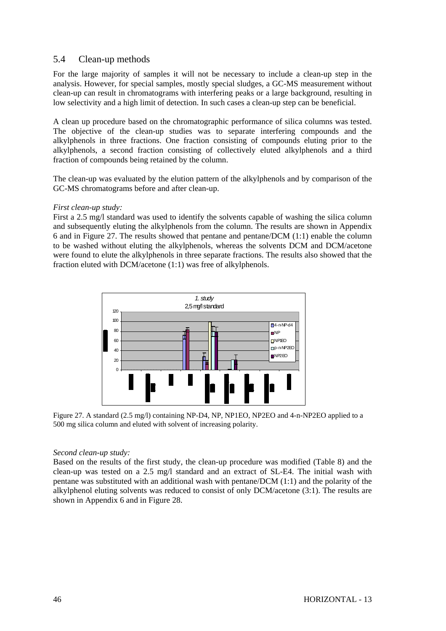## 5.4 Clean-up methods

For the large majority of samples it will not be necessary to include a clean-up step in the analysis. However, for special samples, mostly special sludges, a GC-MS measurement without clean-up can result in chromatograms with interfering peaks or a large background, resulting in low selectivity and a high limit of detection. In such cases a clean-up step can be beneficial.

A clean up procedure based on the chromatographic performance of silica columns was tested. The objective of the clean-up studies was to separate interfering compounds and the alkylphenols in three fractions. One fraction consisting of compounds eluting prior to the alkylphenols, a second fraction consisting of collectively eluted alkylphenols and a third fraction of compounds being retained by the column.

The clean-up was evaluated by the elution pattern of the alkylphenols and by comparison of the GC-MS chromatograms before and after clean-up.

### *First clean-up study:*

First a 2.5 mg/l standard was used to identify the solvents capable of washing the silica column and subsequently eluting the alkylphenols from the column. The results are shown in Appendix 6 and in Figure 27. The results showed that pentane and pentane/DCM (1:1) enable the column to be washed without eluting the alkylphenols, whereas the solvents DCM and DCM/acetone were found to elute the alkylphenols in three separate fractions. The results also showed that the fraction eluted with DCM/acetone (1:1) was free of alkylphenols.



Figure 27. A standard (2.5 mg/l) containing NP-D4, NP, NP1EO, NP2EO and 4-n-NP2EO applied to a 500 mg silica column and eluted with solvent of increasing polarity.

#### *Second clean-up study:*

Based on the results of the first study, the clean-up procedure was modified (Table 8) and the clean-up was tested on a 2.5 mg/l standard and an extract of SL-E4. The initial wash with pentane was substituted with an additional wash with pentane/DCM (1:1) and the polarity of the alkylphenol eluting solvents was reduced to consist of only DCM/acetone (3:1). The results are shown in Appendix 6 and in Figure 28.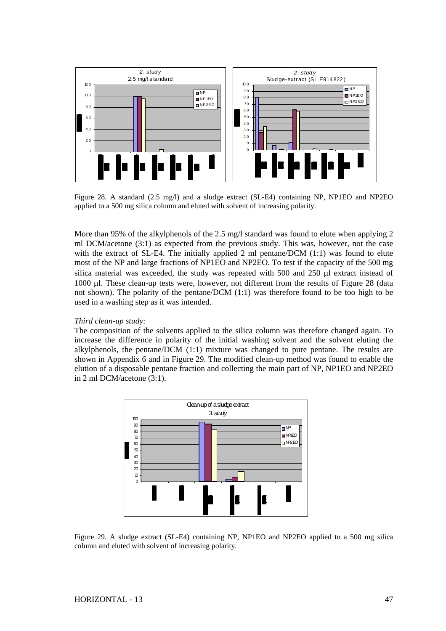

Figure 28. A standard (2.5 mg/l) and a sludge extract (SL-E4) containing NP, NP1EO and NP2EO applied to a 500 mg silica column and eluted with solvent of increasing polarity.

More than 95% of the alkylphenols of the 2.5 mg/l standard was found to elute when applying 2 ml DCM/acetone (3:1) as expected from the previous study. This was, however, not the case with the extract of SL-E4. The initially applied 2 ml pentane/DCM (1:1) was found to elute most of the NP and large fractions of NP1EO and NP2EO. To test if the capacity of the 500 mg silica material was exceeded, the study was repeated with 500 and 250 µl extract instead of 1000 µl. These clean-up tests were, however, not different from the results of Figure 28 (data not shown). The polarity of the pentane/DCM (1:1) was therefore found to be too high to be used in a washing step as it was intended.

#### *Third clean-up study:*

The composition of the solvents applied to the silica column was therefore changed again. To increase the difference in polarity of the initial washing solvent and the solvent eluting the alkylphenols, the pentane/DCM (1:1) mixture was changed to pure pentane. The results are shown in Appendix 6 and in Figure 29. The modified clean-up method was found to enable the elution of a disposable pentane fraction and collecting the main part of NP, NP1EO and NP2EO in 2 ml DCM/acetone (3:1).



Figure 29. A sludge extract (SL-E4) containing NP, NP1EO and NP2EO applied to a 500 mg silica column and eluted with solvent of increasing polarity.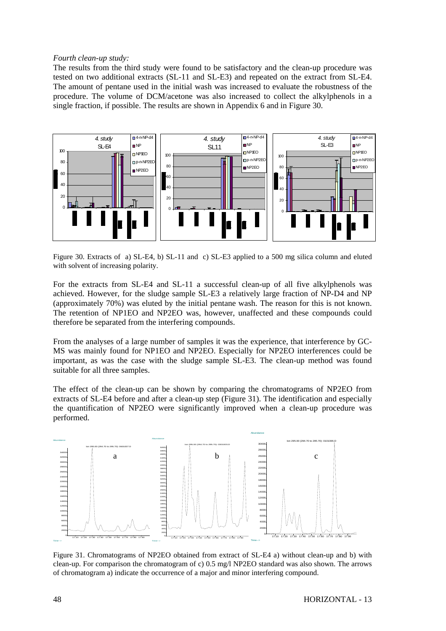#### *Fourth clean-up study:*

The results from the third study were found to be satisfactory and the clean-up procedure was tested on two additional extracts (SL-11 and SL-E3) and repeated on the extract from SL-E4. The amount of pentane used in the initial wash was increased to evaluate the robustness of the procedure. The volume of DCM/acetone was also increased to collect the alkylphenols in a single fraction, if possible. The results are shown in Appendix 6 and in Figure 30.



Figure 30. Extracts of a) SL-E4, b) SL-11 and c) SL-E3 applied to a 500 mg silica column and eluted with solvent of increasing polarity.

For the extracts from SL-E4 and SL-11 a successful clean-up of all five alkylphenols was achieved. However, for the sludge sample SL-E3 a relatively large fraction of NP-D4 and NP (approximately 70%) was eluted by the initial pentane wash. The reason for this is not known. The retention of NP1EO and NP2EO was, however, unaffected and these compounds could therefore be separated from the interfering compounds.

From the analyses of a large number of samples it was the experience, that interference by GC-MS was mainly found for NP1EO and NP2EO. Especially for NP2EO interferences could be important, as was the case with the sludge sample SL-E3. The clean-up method was found suitable for all three samples.

The effect of the clean-up can be shown by comparing the chromatograms of NP2EO from extracts of SL-E4 before and after a clean-up step (Figure 31). The identification and especially the quantification of NP2EO were significantly improved when a clean-up procedure was performed.



Figure 31. Chromatograms of NP2EO obtained from extract of SL-E4 a) without clean-up and b) with clean-up. For comparison the chromatogram of c) 0.5 mg/l NP2EO standard was also shown. The arrows of chromatogram a) indicate the occurrence of a major and minor interfering compound.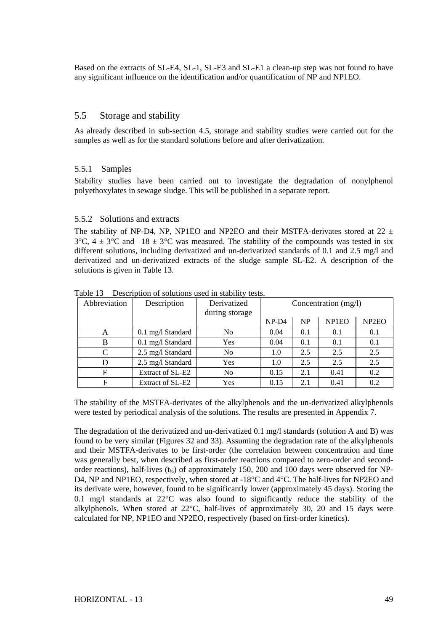Based on the extracts of SL-E4, SL-1, SL-E3 and SL-E1 a clean-up step was not found to have any significant influence on the identification and/or quantification of NP and NP1EO.

## 5.5 Storage and stability

As already described in sub-section 4.5, storage and stability studies were carried out for the samples as well as for the standard solutions before and after derivatization.

#### 5.5.1 Samples .

Stability studies have been carried out to investigate the degradation of nonylphenol polyethoxylates in sewage sludge. This will be published in a separate report.

#### 5.5.2 Solutions and extracts

The stability of NP-D4, NP, NP1EO and NP2EO and their MSTFA-derivates stored at 22  $\pm$  $3^{\circ}$ C,  $4 \pm 3^{\circ}$ C and  $-18 \pm 3^{\circ}$ C was measured. The stability of the compounds was tested in six different solutions, including derivatized and un-derivatized standards of 0.1 and 2.5 mg/l and derivatized and un-derivatized extracts of the sludge sample SL-E2. A description of the solutions is given in Table 13.

| Abbreviation | Description       | Derivatized    | Concentration (mg/l) |           |       |                    |  |
|--------------|-------------------|----------------|----------------------|-----------|-------|--------------------|--|
|              |                   | during storage |                      |           |       |                    |  |
|              |                   |                | $NP-D4$              | <b>NP</b> | NP1EO | NP <sub>2</sub> EO |  |
| A            | 0.1 mg/l Standard | No.            | 0.04                 | 0.1       | 0.1   | 0.1                |  |
| B            | 0.1 mg/l Standard | Yes            | 0.04                 | 0.1       | 0.1   | 0.1                |  |
| C            | 2.5 mg/l Standard | N <sub>o</sub> | 1.0                  | 2.5       | 2.5   | 2.5                |  |
| D            | 2.5 mg/l Standard | Yes            | 1.0                  | 2.5       | 2.5   | 2.5                |  |
| E            | Extract of SL-E2  | No             | 0.15                 | 2.1       | 0.41  | 0.2                |  |
| F            | Extract of SL-E2  | Yes            | 0.15                 | 2.1       | 0.41  | 0.2                |  |

Table 13 Description of solutions used in stability tests.

The stability of the MSTFA-derivates of the alkylphenols and the un-derivatized alkylphenols were tested by periodical analysis of the solutions. The results are presented in Appendix 7.

The degradation of the derivatized and un-derivatized 0.1 mg/l standards (solution A and B) was found to be very similar (Figures 32 and 33). Assuming the degradation rate of the alkylphenols and their MSTFA-derivates to be first-order (the correlation between concentration and time was generally best, when described as first-order reactions compared to zero-order and secondorder reactions), half-lives  $(t_{1/2})$  of approximately 150, 200 and 100 days were observed for NP-D4, NP and NP1EO, respectively, when stored at -18°C and 4°C. The half-lives for NP2EO and its derivate were, however, found to be significantly lower (approximately 45 days). Storing the 0.1 mg/l standards at  $22^{\circ}$ C was also found to significantly reduce the stability of the alkylphenols. When stored at 22°C, half-lives of approximately 30, 20 and 15 days were calculated for NP, NP1EO and NP2EO, respectively (based on first-order kinetics).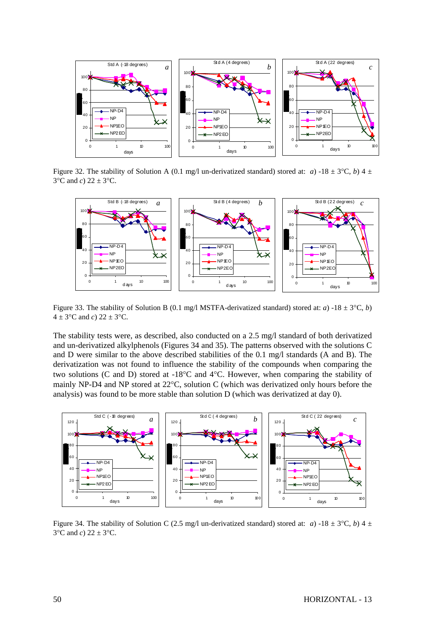

Figure 32. The stability of Solution A (0.1 mg/l un-derivatized standard) stored at: *a*) -18  $\pm$  3°C, *b*) 4  $\pm$  $3^{\circ}$ C and *c*)  $22 \pm 3^{\circ}$ C.



Figure 33. The stability of Solution B (0.1 mg/l MSTFA-derivatized standard) stored at: *a*) -18  $\pm$  3°C, *b*)  $4 \pm 3$ °C and *c*) 22  $\pm 3$ °C.

The stability tests were, as described, also conducted on a 2.5 mg/l standard of both derivatized and un-derivatized alkylphenols (Figures 34 and 35). The patterns observed with the solutions C and D were similar to the above described stabilities of the 0.1 mg/l standards (A and B). The derivatization was not found to influence the stability of the compounds when comparing the two solutions (C and D) stored at -18°C and 4°C. However, when comparing the stability of mainly NP-D4 and NP stored at 22°C, solution C (which was derivatized only hours before the analysis) was found to be more stable than solution D (which was derivatized at day 0).



Figure 34. The stability of Solution C (2.5 mg/l un-derivatized standard) stored at: *a*) -18  $\pm$  3°C, *b*) 4  $\pm$ 3 $\rm{°C}$  and *c*) 22  $\pm$  3 $\rm{°C}$ .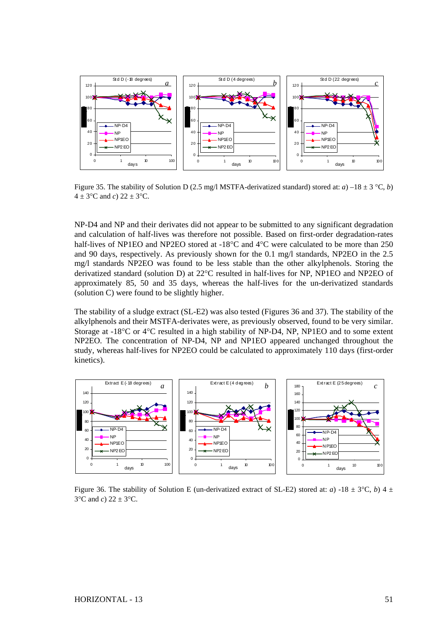

Figure 35. The stability of Solution D (2.5 mg/l MSTFA-derivatized standard) stored at: *a*) –18  $\pm$  3 °C, *b*)  $4 \pm 3$ °C and *c*) 22  $\pm 3$ °C.

NP-D4 and NP and their derivates did not appear to be submitted to any significant degradation and calculation of half-lives was therefore not possible. Based on first-order degradation-rates half-lives of NP1EO and NP2EO stored at -18°C and 4°C were calculated to be more than 250 and 90 days, respectively. As previously shown for the 0.1 mg/l standards, NP2EO in the 2.5 mg/l standards NP2EO was found to be less stable than the other alkylphenols. Storing the derivatized standard (solution D) at 22°C resulted in half-lives for NP, NP1EO and NP2EO of approximately 85, 50 and 35 days, whereas the half-lives for the un-derivatized standards (solution C) were found to be slightly higher.

The stability of a sludge extract (SL-E2) was also tested (Figures 36 and 37). The stability of the alkylphenols and their MSTFA-derivates were, as previously observed, found to be very similar. Storage at -18°C or 4°C resulted in a high stability of NP-D4, NP, NP1EO and to some extent NP2EO. The concentration of NP-D4, NP and NP1EO appeared unchanged throughout the study, whereas half-lives for NP2EO could be calculated to approximately 110 days (first-order kinetics).



Figure 36. The stability of Solution E (un-derivatized extract of SL-E2) stored at: *a*) -18  $\pm$  3°C, *b*) 4  $\pm$  $3^{\circ}$ C and *c*)  $22 \pm 3^{\circ}$ C.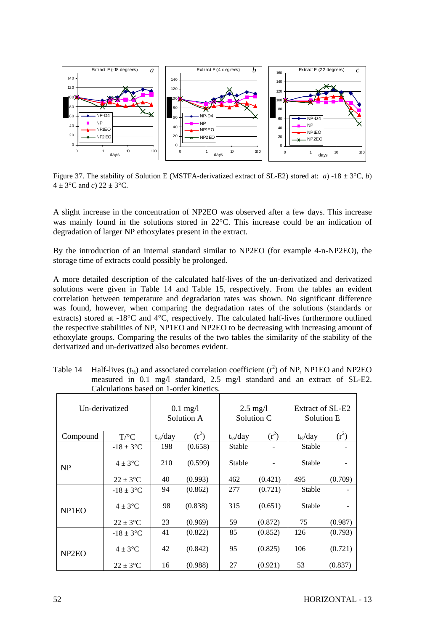

Figure 37. The stability of Solution E (MSTFA-derivatized extract of SL-E2) stored at: *a*) -18  $\pm$  3°C, *b*)  $4 \pm 3$ °C and *c*) 22  $\pm 3$ °C.

A slight increase in the concentration of NP2EO was observed after a few days. This increase was mainly found in the solutions stored in 22°C. This increase could be an indication of degradation of larger NP ethoxylates present in the extract.

By the introduction of an internal standard similar to NP2EO (for example 4-n-NP2EO), the storage time of extracts could possibly be prolonged.

A more detailed description of the calculated half-lives of the un-derivatized and derivatized solutions were given in Table 14 and Table 15, respectively. From the tables an evident correlation between temperature and degradation rates was shown. No significant difference was found, however, when comparing the degradation rates of the solutions (standards or extracts) stored at -18°C and 4°C, respectively. The calculated half-lives furthermore outlined the respective stabilities of NP, NP1EO and NP2EO to be decreasing with increasing amount of ethoxylate groups. Comparing the results of the two tables the similarity of the stability of the derivatized and un-derivatized also becomes evident.

| Un-derivatized     |                |                | $0.1$ mg/l<br>Solution A | $2.5 \text{ mg}/l$<br>Solution C |         | Extract of SL-E2<br>Solution E |         |
|--------------------|----------------|----------------|--------------------------|----------------------------------|---------|--------------------------------|---------|
| Compound           | $T$ /°C        | $t_{1/2}$ /day | $(r^2)$                  | $t_{1/2}$ /day                   | $(r^2)$ | $t_{1/2}$ /day                 | $(r^2)$ |
|                    | $-18 \pm 3$ °C | 198            | (0.658)                  | Stable                           |         | Stable                         |         |
| NP                 | $4 \pm 3$ °C   | 210            | (0.599)                  | Stable                           |         | Stable                         |         |
|                    | $22 \pm 3$ °C  | 40             | (0.993)                  | 462                              | (0.421) | 495                            | (0.709) |
|                    | $-18 \pm 3$ °C | 94             | (0.862)                  | 277                              | (0.721) | Stable                         |         |
| NP1EO              | $4 \pm 3$ °C   | 98             | (0.838)                  | 315                              | (0.651) | Stable                         |         |
|                    | $22 \pm 3$ °C  | 23             | (0.969)                  | 59                               | (0.872) | 75                             | (0.987) |
|                    | $-18 \pm 3$ °C | 41             | (0.822)                  | 85                               | (0.852) | 126                            | (0.793) |
| NP <sub>2</sub> EO | $4 \pm 3$ °C   | 42             | (0.842)                  | 95                               | (0.825) | 106                            | (0.721) |
|                    | $22 \pm 3$ °C  | 16             | (0.988)                  | 27                               | (0.921) | 53                             | (0.837) |

Table 14 Half-lives  $(t_{1/2})$  and associated correlation coefficient  $(r^2)$  of NP, NP1EO and NP2EO measured in 0.1 mg/l standard, 2.5 mg/l standard and an extract of SL-E2. Calculations based on 1-order kinetics.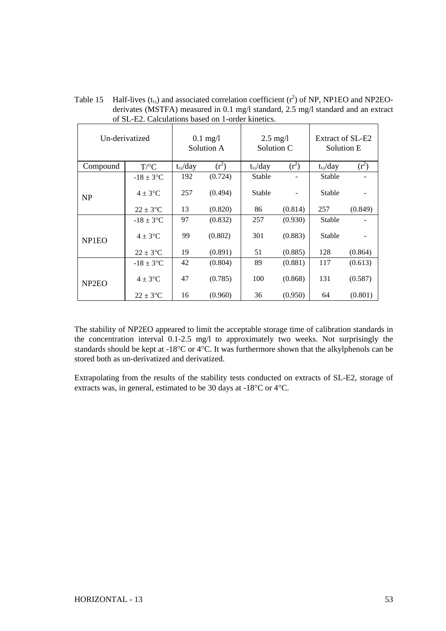| Un-derivatized     |                            |                | $0.1$ mg/l<br>Solution A | $2.5 \text{ mg}/l$<br>Solution C |         | Extract of SL-E2<br>Solution E |         |
|--------------------|----------------------------|----------------|--------------------------|----------------------------------|---------|--------------------------------|---------|
| Compound           | $T$ /°C                    | $t_{1/2}$ /day | $(r^2)$                  |                                  | $(r^2)$ | $t_{1/2}$ /day                 | $(r^2)$ |
|                    | $-18 \pm 3$ <sup>o</sup> C | 192            | (0.724)                  | Stable                           |         | Stable                         |         |
| NP                 | $4 \pm 3$ °C               | 257            | (0.494)                  | Stable                           |         | Stable                         |         |
|                    | $22 \pm 3$ °C              | 13             | (0.820)                  | 86                               | (0.814) | 257                            | (0.849) |
|                    | $-18 \pm 3$ <sup>o</sup> C | 97             | (0.832)                  | 257                              | (0.930) | Stable                         |         |
| NP1EO              | $4 \pm 3$ °C               | 99             | (0.802)                  | 301                              | (0.883) | Stable                         |         |
|                    | $22 \pm 3$ °C              | 19             | (0.891)                  | 51                               | (0.885) | 128                            | (0.864) |
|                    | $-18 \pm 3$ <sup>o</sup> C | 42             | (0.804)                  | 89                               | (0.881) | 117                            | (0.613) |
| NP <sub>2</sub> EO | $4 \pm 3$ °C               | 47             | (0.785)                  | 100                              | (0.868) | 131                            | (0.587) |
|                    | $22 \pm 3$ °C              | 16             | (0.960)                  | 36                               | (0.950) | 64                             | (0.801) |

Table 15 Half-lives  $(t_{1/2})$  and associated correlation coefficient  $(r^2)$  of NP, NP1EO and NP2EOderivates (MSTFA) measured in 0.1 mg/l standard, 2.5 mg/l standard and an extract of SL-E2. Calculations based on 1-order kinetics.

The stability of NP2EO appeared to limit the acceptable storage time of calibration standards in the concentration interval 0.1-2.5 mg/l to approximately two weeks. Not surprisingly the standards should be kept at  $-18^{\circ}$ C or  $4^{\circ}$ C. It was furthermore shown that the alkylphenols can be stored both as un-derivatized and derivatized.

Extrapolating from the results of the stability tests conducted on extracts of SL-E2, storage of extracts was, in general, estimated to be 30 days at -18°C or 4°C.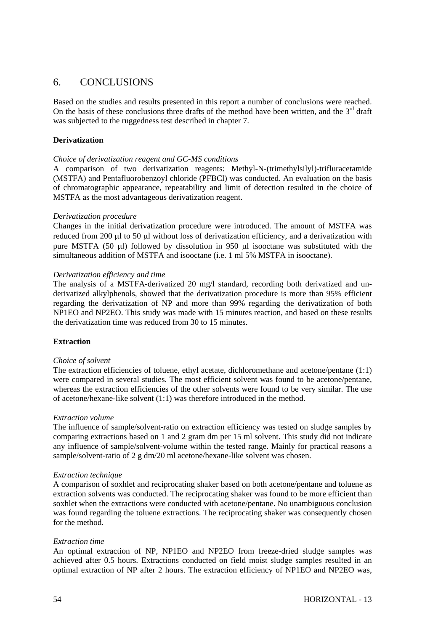## 6. CONCLUSIONS

Based on the studies and results presented in this report a number of conclusions were reached. On the basis of these conclusions three drafts of the method have been written, and the  $3<sup>rd</sup>$  draft was subjected to the ruggedness test described in chapter 7.

### **Derivatization**

#### *Choice of derivatization reagent and GC-MS conditions*

A comparison of two derivatization reagents: Methyl-N-(trimethylsilyl)-trifluracetamide (MSTFA) and Pentafluorobenzoyl chloride (PFBCl) was conducted. An evaluation on the basis of chromatographic appearance, repeatability and limit of detection resulted in the choice of MSTFA as the most advantageous derivatization reagent.

#### *Derivatization procedure*

Changes in the initial derivatization procedure were introduced. The amount of MSTFA was reduced from 200 µl to 50 µl without loss of derivatization efficiency, and a derivatization with pure MSTFA (50  $\mu$ ) followed by dissolution in 950  $\mu$  isooctane was substituted with the simultaneous addition of MSTFA and isooctane (i.e. 1 ml 5% MSTFA in isooctane).

#### *Derivatization efficiency and time*

The analysis of a MSTFA-derivatized 20 mg/l standard, recording both derivatized and underivatized alkylphenols, showed that the derivatization procedure is more than 95% efficient regarding the derivatization of NP and more than 99% regarding the derivatization of both NP1EO and NP2EO. This study was made with 15 minutes reaction, and based on these results the derivatization time was reduced from 30 to 15 minutes.

## **Extraction**

#### *Choice of solvent*

The extraction efficiencies of toluene, ethyl acetate, dichloromethane and acetone/pentane (1:1) were compared in several studies. The most efficient solvent was found to be acetone/pentane, whereas the extraction efficiencies of the other solvents were found to be very similar. The use of acetone/hexane-like solvent (1:1) was therefore introduced in the method.

#### *Extraction volume*

The influence of sample/solvent-ratio on extraction efficiency was tested on sludge samples by comparing extractions based on 1 and 2 gram dm per 15 ml solvent. This study did not indicate any influence of sample/solvent-volume within the tested range. Mainly for practical reasons a sample/solvent-ratio of 2 g dm/20 ml acetone/hexane-like solvent was chosen.

#### *Extraction technique*

A comparison of soxhlet and reciprocating shaker based on both acetone/pentane and toluene as extraction solvents was conducted. The reciprocating shaker was found to be more efficient than soxhlet when the extractions were conducted with acetone/pentane. No unambiguous conclusion was found regarding the toluene extractions. The reciprocating shaker was consequently chosen for the method.

#### *Extraction time*

An optimal extraction of NP, NP1EO and NP2EO from freeze-dried sludge samples was achieved after 0.5 hours. Extractions conducted on field moist sludge samples resulted in an optimal extraction of NP after 2 hours. The extraction efficiency of NP1EO and NP2EO was,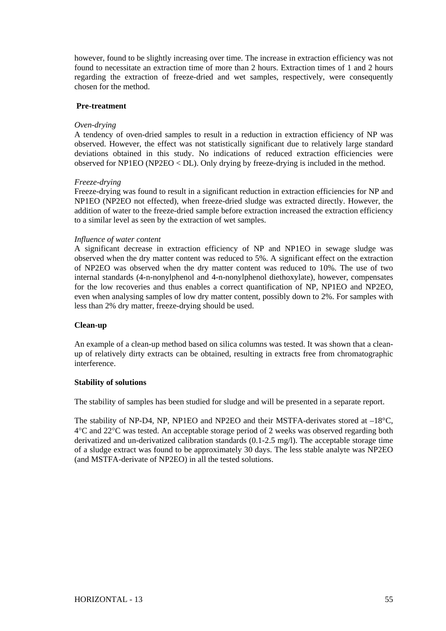however, found to be slightly increasing over time. The increase in extraction efficiency was not found to necessitate an extraction time of more than 2 hours. Extraction times of 1 and 2 hours regarding the extraction of freeze-dried and wet samples, respectively, were consequently chosen for the method.

#### **Pre-treatment**

#### *Oven-drying*

A tendency of oven-dried samples to result in a reduction in extraction efficiency of NP was observed. However, the effect was not statistically significant due to relatively large standard deviations obtained in this study. No indications of reduced extraction efficiencies were observed for NP1EO (NP2EO  $\langle$  DL). Only drying by freeze-drying is included in the method.

#### *Freeze-drying*

Freeze-drying was found to result in a significant reduction in extraction efficiencies for NP and NP1EO (NP2EO not effected), when freeze-dried sludge was extracted directly. However, the addition of water to the freeze-dried sample before extraction increased the extraction efficiency to a similar level as seen by the extraction of wet samples.

#### *Influence of water content*

A significant decrease in extraction efficiency of NP and NP1EO in sewage sludge was observed when the dry matter content was reduced to 5%. A significant effect on the extraction of NP2EO was observed when the dry matter content was reduced to 10%. The use of two internal standards (4-n-nonylphenol and 4-n-nonylphenol diethoxylate), however, compensates for the low recoveries and thus enables a correct quantification of NP, NP1EO and NP2EO, even when analysing samples of low dry matter content, possibly down to 2%. For samples with less than 2% dry matter, freeze-drying should be used.

#### **Clean-up**

An example of a clean-up method based on silica columns was tested. It was shown that a cleanup of relatively dirty extracts can be obtained, resulting in extracts free from chromatographic interference.

#### **Stability of solutions**

The stability of samples has been studied for sludge and will be presented in a separate report.

The stability of NP-D4, NP, NP1EO and NP2EO and their MSTFA-derivates stored at  $-18^{\circ}$ C, 4°C and 22°C was tested. An acceptable storage period of 2 weeks was observed regarding both derivatized and un-derivatized calibration standards (0.1-2.5 mg/l). The acceptable storage time of a sludge extract was found to be approximately 30 days. The less stable analyte was NP2EO (and MSTFA-derivate of NP2EO) in all the tested solutions.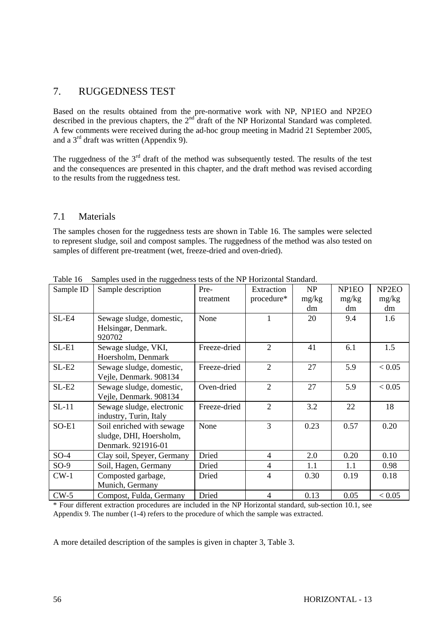## 7. RUGGEDNESS TEST

Based on the results obtained from the pre-normative work with NP, NP1EO and NP2EO described in the previous chapters, the  $2<sup>nd</sup>$  draft of the NP Horizontal Standard was completed. A few comments were received during the ad-hoc group meeting in Madrid 21 September 2005, and a  $3<sup>rd</sup>$  draft was written (Appendix 9).

The ruggedness of the  $3<sup>rd</sup>$  draft of the method was subsequently tested. The results of the test and the consequences are presented in this chapter, and the draft method was revised according to the results from the ruggedness test.

## 7.1 Materials

The samples chosen for the ruggedness tests are shown in Table 16. The samples were selected to represent sludge, soil and compost samples. The ruggedness of the method was also tested on samples of different pre-treatment (wet, freeze-dried and oven-dried).

| Sample ID | $\frac{1}{2}$<br>Sample description                                        | Pre-<br>treatment | Extraction<br>procedure* | NP<br>mg/kg | NP1EO<br>mg/kg | NP <sub>2</sub> EO<br>mg/kg |
|-----------|----------------------------------------------------------------------------|-------------------|--------------------------|-------------|----------------|-----------------------------|
|           |                                                                            |                   |                          | dm          | dm             | dm                          |
| $SL-E4$   | Sewage sludge, domestic,<br>Helsingør, Denmark.                            | None              |                          | 20          | 9.4            | 1.6                         |
|           | 920702                                                                     |                   |                          |             |                |                             |
| $SL-E1$   | Sewage sludge, VKI,<br>Hoersholm, Denmark                                  | Freeze-dried      | 2                        | 41          | 6.1            | 1.5                         |
| $SL-E2$   | Sewage sludge, domestic,<br>Vejle, Denmark. 908134                         | Freeze-dried      | $\overline{2}$           | 27          | 5.9            | < 0.05                      |
| $SL-E2$   | Sewage sludge, domestic,<br>Vejle, Denmark. 908134                         | Oven-dried        | $\overline{2}$           | 27          | 5.9            | < 0.05                      |
| $SL-11$   | Sewage sludge, electronic<br>industry, Turin, Italy                        | Freeze-dried      | $\overline{2}$           | 3.2         | 22             | 18                          |
| $SO-E1$   | Soil enriched with sewage<br>sludge, DHI, Hoersholm,<br>Denmark. 921916-01 | None              | $\overline{3}$           | 0.23        | 0.57           | 0.20                        |
| $SO-4$    | Clay soil, Speyer, Germany                                                 | Dried             | $\overline{4}$           | 2.0         | 0.20           | 0.10                        |
| $SO-9$    | Soil, Hagen, Germany                                                       | Dried             | 4                        | 1.1         | 1.1            | 0.98                        |
| $CW-1$    | Composted garbage,<br>Munich, Germany                                      | Dried             | $\overline{4}$           | 0.30        | 0.19           | 0.18                        |
| $CW-5$    | Compost, Fulda, Germany                                                    | Dried             | $\overline{4}$           | 0.13        | 0.05           | < 0.05                      |

Table 16 Samples used in the ruggedness tests of the NP Horizontal Standard.

\* Four different extraction procedures are included in the NP Horizontal standard, sub-section 10.1, see Appendix 9. The number  $(1-4)$  refers to the procedure of which the sample was extracted.

A more detailed description of the samples is given in chapter 3, Table 3.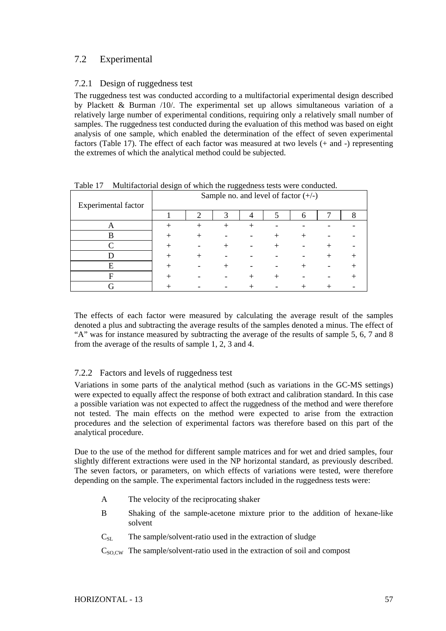## 7.2 Experimental

## 7.2.1 Design of ruggedness test

The ruggedness test was conducted according to a multifactorial experimental design described by Plackett & Burman /10/. The experimental set up allows simultaneous variation of a relatively large number of experimental conditions, requiring only a relatively small number of samples. The ruggedness test conducted during the evaluation of this method was based on eight analysis of one sample, which enabled the determination of the effect of seven experimental factors (Table 17). The effect of each factor was measured at two levels (+ and -) representing the extremes of which the analytical method could be subjected.

| Experimental factor | Sample no. and level of factor $(+/-)$ |  |  |   |  |              |  |  |  |  |
|---------------------|----------------------------------------|--|--|---|--|--------------|--|--|--|--|
|                     |                                        |  |  | 4 |  | <sub>0</sub> |  |  |  |  |
| $\forall$           |                                        |  |  |   |  |              |  |  |  |  |
|                     |                                        |  |  |   |  |              |  |  |  |  |
|                     |                                        |  |  |   |  |              |  |  |  |  |
|                     |                                        |  |  |   |  |              |  |  |  |  |
| E                   |                                        |  |  |   |  |              |  |  |  |  |
|                     | ┿                                      |  |  |   |  |              |  |  |  |  |
|                     |                                        |  |  |   |  |              |  |  |  |  |

Table 17 Multifactorial design of which the ruggedness tests were conducted.

The effects of each factor were measured by calculating the average result of the samples denoted a plus and subtracting the average results of the samples denoted a minus. The effect of "A" was for instance measured by subtracting the average of the results of sample 5, 6, 7 and 8 from the average of the results of sample 1, 2, 3 and 4.

## 7.2.2 Factors and levels of ruggedness test

Variations in some parts of the analytical method (such as variations in the GC-MS settings) were expected to equally affect the response of both extract and calibration standard. In this case a possible variation was not expected to affect the ruggedness of the method and were therefore not tested. The main effects on the method were expected to arise from the extraction procedures and the selection of experimental factors was therefore based on this part of the analytical procedure.

Due to the use of the method for different sample matrices and for wet and dried samples, four slightly different extractions were used in the NP horizontal standard, as previously described. The seven factors, or parameters, on which effects of variations were tested, were therefore depending on the sample. The experimental factors included in the ruggedness tests were:

- A The velocity of the reciprocating shaker
- B Shaking of the sample-acetone mixture prior to the addition of hexane-like solvent
- $C_{\rm SL}$  The sample/solvent-ratio used in the extraction of sludge

 $C_{\text{SOCW}}$  The sample/solvent-ratio used in the extraction of soil and compost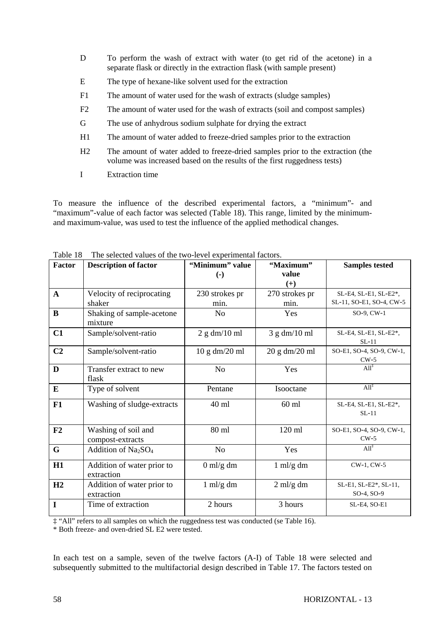- D To perform the wash of extract with water (to get rid of the acetone) in a separate flask or directly in the extraction flask (with sample present)
- E The type of hexane-like solvent used for the extraction
- F1 The amount of water used for the wash of extracts (sludge samples)
- F2 The amount of water used for the wash of extracts (soil and compost samples)
- G The use of anhydrous sodium sulphate for drying the extract
- H1 The amount of water added to freeze-dried samples prior to the extraction
- H2 The amount of water added to freeze-dried samples prior to the extraction (the volume was increased based on the results of the first ruggedness tests)
- I Extraction time

To measure the influence of the described experimental factors, a "minimum"- and "maximum"-value of each factor was selected (Table 18). This range, limited by the minimumand maximum-value, was used to test the influence of the applied methodical changes.

| Factor         | <b>Description of factor</b>                | "Minimum" value        | "Maximum"              | <b>Samples tested</b>                             |
|----------------|---------------------------------------------|------------------------|------------------------|---------------------------------------------------|
|                |                                             | $\left( \cdot \right)$ | value<br>$(+)$         |                                                   |
| $\mathbf{A}$   | Velocity of reciprocating<br>shaker         | 230 strokes pr<br>min. | 270 strokes pr<br>min. | SL-E4, SL-E1, SL-E2*,<br>SL-11, SO-E1, SO-4, CW-5 |
| $\bf{B}$       | Shaking of sample-acetone<br>mixture        | N <sub>o</sub>         | Yes                    | SO-9, CW-1                                        |
| C1             | Sample/solvent-ratio                        | $2$ g dm/10 ml         | $3$ g dm/10 ml         | SL-E4, SL-E1, SL-E2*,<br>$SL-11$                  |
| C <sub>2</sub> | Sample/solvent-ratio                        | $10$ g dm/20 ml        | 20 g dm/20 ml          | SO-E1, SO-4, SO-9, CW-1,<br>$CW-5$                |
| D              | Transfer extract to new<br>flask            | N <sub>0</sub>         | Yes                    | $All^{\ddagger}$                                  |
| $\bf{E}$       | Type of solvent                             | Pentane                | Isooctane              | $All^{\ddagger}$                                  |
| F1             | Washing of sludge-extracts                  | 40 ml                  | $60$ ml                | SL-E4, SL-E1, SL-E2*,<br>$SL-11$                  |
| F2             | Washing of soil and<br>compost-extracts     | 80 ml                  | 120 ml                 | SO-E1, SO-4, SO-9, CW-1,<br>$CW-5$                |
| G              | Addition of Na <sub>2</sub> SO <sub>4</sub> | No                     | Yes                    | $All^{\ddagger}$                                  |
| H1             | Addition of water prior to<br>extraction    | $0$ ml/g dm            | $1 \text{ ml/g dm}$    | $CW-1$ , $CW-5$                                   |
| H2             | Addition of water prior to<br>extraction    | $1 \text{ ml/g dm}$    | $2 \text{ ml/g dm}$    | SL-E1, SL-E2*, SL-11,<br>SO-4, SO-9               |
| $\mathbf I$    | Time of extraction                          | 2 hours                | 3 hours                | $SL-E4$ , SO-E1                                   |

Table 18 The selected values of the two-level experimental factors.

‡ "All" refers to all samples on which the ruggedness test was conducted (se Table 16).

\* Both freeze- and oven-dried SL E2 were tested.

In each test on a sample, seven of the twelve factors (A-I) of Table 18 were selected and subsequently submitted to the multifactorial design described in Table 17. The factors tested on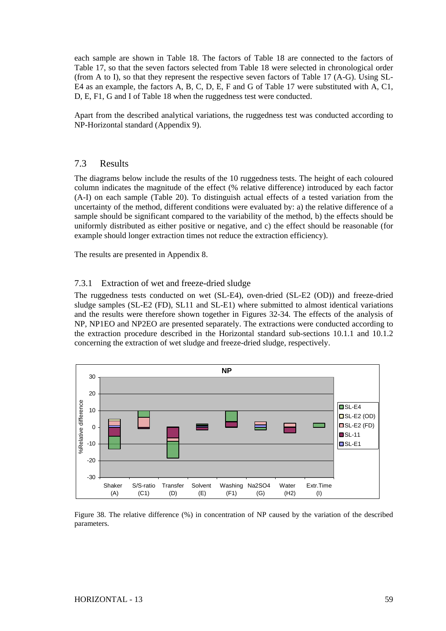each sample are shown in Table 18. The factors of Table 18 are connected to the factors of Table 17, so that the seven factors selected from Table 18 were selected in chronological order (from A to I), so that they represent the respective seven factors of Table 17 (A-G). Using SL-E4 as an example, the factors A, B, C, D, E, F and G of Table 17 were substituted with A, C1, D, E, F1, G and I of Table 18 when the ruggedness test were conducted.

Apart from the described analytical variations, the ruggedness test was conducted according to NP-Horizontal standard (Appendix 9).

## 7.3 Results

The diagrams below include the results of the 10 ruggedness tests. The height of each coloured column indicates the magnitude of the effect (% relative difference) introduced by each factor (A-I) on each sample (Table 20). To distinguish actual effects of a tested variation from the uncertainty of the method, different conditions were evaluated by: a) the relative difference of a sample should be significant compared to the variability of the method, b) the effects should be uniformly distributed as either positive or negative, and c) the effect should be reasonable (for example should longer extraction times not reduce the extraction efficiency).

The results are presented in Appendix 8.

#### 7.3.1 Extraction of wet and freeze-dried sludge

The ruggedness tests conducted on wet (SL-E4), oven-dried (SL-E2 (OD)) and freeze-dried sludge samples (SL-E2 (FD), SL11 and SL-E1) where submitted to almost identical variations and the results were therefore shown together in Figures 32-34. The effects of the analysis of NP, NP1EO and NP2EO are presented separately. The extractions were conducted according to the extraction procedure described in the Horizontal standard sub-sections 10.1.1 and 10.1.2 concerning the extraction of wet sludge and freeze-dried sludge, respectively.



Figure 38. The relative difference (%) in concentration of NP caused by the variation of the described parameters.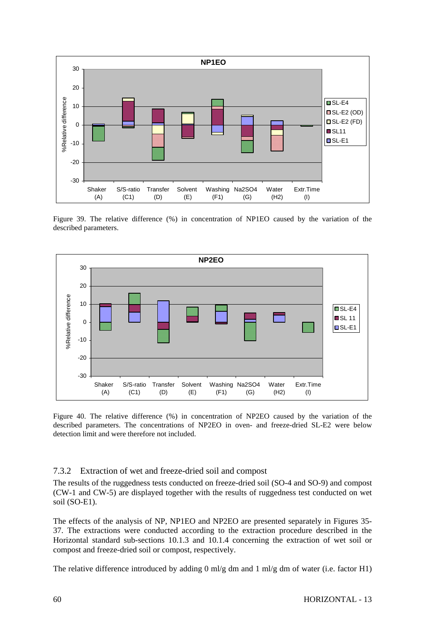

Figure 39. The relative difference (%) in concentration of NP1EO caused by the variation of the described parameters.



Figure 40. The relative difference (%) in concentration of NP2EO caused by the variation of the described parameters. The concentrations of NP2EO in oven- and freeze-dried SL-E2 were below detection limit and were therefore not included.

#### 7.3.2 Extraction of wet and freeze-dried soil and compost

The results of the ruggedness tests conducted on freeze-dried soil (SO-4 and SO-9) and compost (CW-1 and CW-5) are displayed together with the results of ruggedness test conducted on wet soil (SO-E1).

The effects of the analysis of NP, NP1EO and NP2EO are presented separately in Figures 35- 37. The extractions were conducted according to the extraction procedure described in the Horizontal standard sub-sections 10.1.3 and 10.1.4 concerning the extraction of wet soil or compost and freeze-dried soil or compost, respectively.

The relative difference introduced by adding 0 ml/g dm and 1 ml/g dm of water (i.e. factor H1)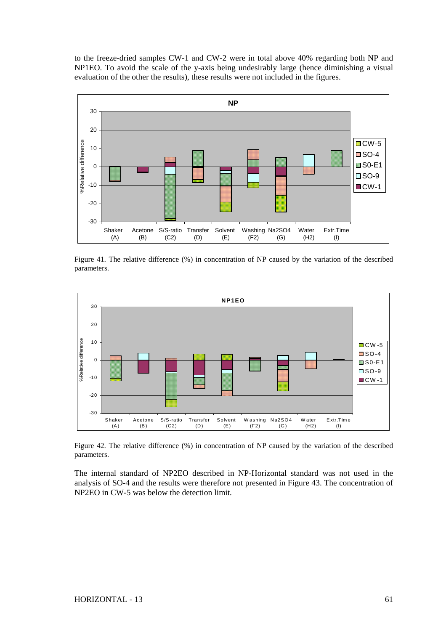to the freeze-dried samples CW-1 and CW-2 were in total above 40% regarding both NP and NP1EO. To avoid the scale of the y-axis being undesirably large (hence diminishing a visual evaluation of the other the results), these results were not included in the figures.



Figure 41. The relative difference (%) in concentration of NP caused by the variation of the described parameters.



Figure 42. The relative difference (%) in concentration of NP caused by the variation of the described parameters.

The internal standard of NP2EO described in NP-Horizontal standard was not used in the analysis of SO-4 and the results were therefore not presented in Figure 43. The concentration of NP2EO in CW-5 was below the detection limit.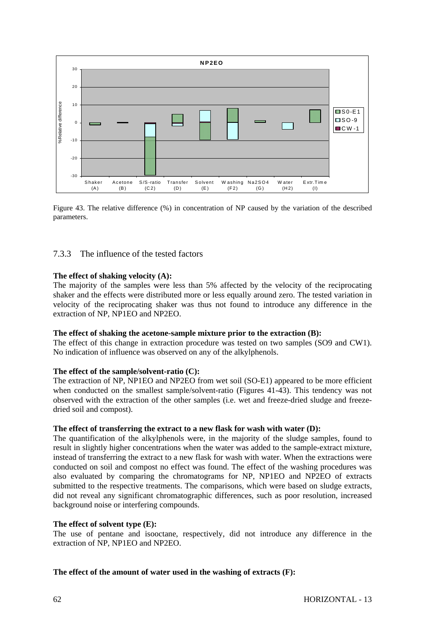

Figure 43. The relative difference (%) in concentration of NP caused by the variation of the described parameters.

## 7.3.3 The influence of the tested factors

### **The effect of shaking velocity (A):**

The majority of the samples were less than 5% affected by the velocity of the reciprocating shaker and the effects were distributed more or less equally around zero. The tested variation in velocity of the reciprocating shaker was thus not found to introduce any difference in the extraction of NP, NP1EO and NP2EO.

#### **The effect of shaking the acetone-sample mixture prior to the extraction (B):**

The effect of this change in extraction procedure was tested on two samples (SO9 and CW1). No indication of influence was observed on any of the alkylphenols.

#### **The effect of the sample/solvent-ratio (C):**

The extraction of NP, NP1EO and NP2EO from wet soil (SO-E1) appeared to be more efficient when conducted on the smallest sample/solvent-ratio (Figures 41-43). This tendency was not observed with the extraction of the other samples (i.e. wet and freeze-dried sludge and freezedried soil and compost).

#### **The effect of transferring the extract to a new flask for wash with water (D):**

The quantification of the alkylphenols were, in the majority of the sludge samples, found to result in slightly higher concentrations when the water was added to the sample-extract mixture, instead of transferring the extract to a new flask for wash with water. When the extractions were conducted on soil and compost no effect was found. The effect of the washing procedures was also evaluated by comparing the chromatograms for NP, NP1EO and NP2EO of extracts submitted to the respective treatments. The comparisons, which were based on sludge extracts, did not reveal any significant chromatographic differences, such as poor resolution, increased background noise or interfering compounds.

#### **The effect of solvent type (E):**

The use of pentane and isooctane, respectively, did not introduce any difference in the extraction of NP, NP1EO and NP2EO.

#### **The effect of the amount of water used in the washing of extracts (F):**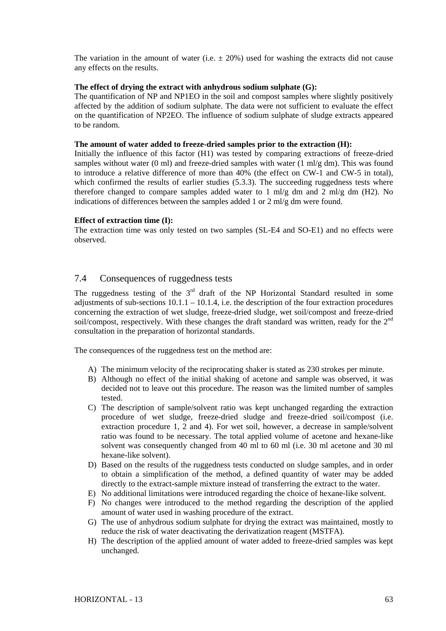The variation in the amount of water (i.e.  $\pm$  20%) used for washing the extracts did not cause any effects on the results.

#### **The effect of drying the extract with anhydrous sodium sulphate (G):**

The quantification of NP and NP1EO in the soil and compost samples where slightly positively affected by the addition of sodium sulphate. The data were not sufficient to evaluate the effect on the quantification of NP2EO. The influence of sodium sulphate of sludge extracts appeared to be random.

#### **The amount of water added to freeze-dried samples prior to the extraction (H):**

Initially the influence of this factor (H1) was tested by comparing extractions of freeze-dried samples without water (0 ml) and freeze-dried samples with water (1 ml/g dm). This was found to introduce a relative difference of more than 40% (the effect on CW-1 and CW-5 in total), which confirmed the results of earlier studies (5.3.3). The succeeding ruggedness tests where therefore changed to compare samples added water to 1 ml/g dm and 2 ml/g dm (H2). No indications of differences between the samples added 1 or 2 ml/g dm were found.

#### **Effect of extraction time (I):**

The extraction time was only tested on two samples (SL-E4 and SO-E1) and no effects were observed.

## 7.4 Consequences of ruggedness tests

The ruggedness testing of the  $3<sup>rd</sup>$  draft of the NP Horizontal Standard resulted in some adjustments of sub-sections  $10.1.1 - 10.1.4$ , i.e. the description of the four extraction procedures concerning the extraction of wet sludge, freeze-dried sludge, wet soil/compost and freeze-dried soil/compost, respectively. With these changes the draft standard was written, ready for the  $2<sup>nd</sup>$ consultation in the preparation of horizontal standards.

The consequences of the ruggedness test on the method are:

- A) The minimum velocity of the reciprocating shaker is stated as 230 strokes per minute.
- B) Although no effect of the initial shaking of acetone and sample was observed, it was decided not to leave out this procedure. The reason was the limited number of samples tested.
- C) The description of sample/solvent ratio was kept unchanged regarding the extraction procedure of wet sludge, freeze-dried sludge and freeze-dried soil/compost (i.e. extraction procedure 1, 2 and 4). For wet soil, however, a decrease in sample/solvent ratio was found to be necessary. The total applied volume of acetone and hexane-like solvent was consequently changed from 40 ml to 60 ml (i.e. 30 ml acetone and 30 ml hexane-like solvent).
- D) Based on the results of the ruggedness tests conducted on sludge samples, and in order to obtain a simplification of the method, a defined quantity of water may be added directly to the extract-sample mixture instead of transferring the extract to the water.
- E) No additional limitations were introduced regarding the choice of hexane-like solvent.
- F) No changes were introduced to the method regarding the description of the applied amount of water used in washing procedure of the extract.
- G) The use of anhydrous sodium sulphate for drying the extract was maintained, mostly to reduce the risk of water deactivating the derivatization reagent (MSTFA).
- H) The description of the applied amount of water added to freeze-dried samples was kept unchanged.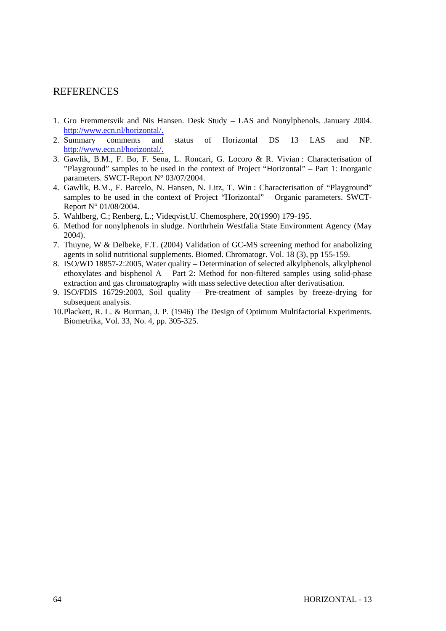## REFERENCES

- 1. Gro Fremmersvik and Nis Hansen. Desk Study LAS and Nonylphenols. January 2004. http://www.ecn.nl/horizontal/.
- 2. Summary comments and status of Horizontal DS 13 LAS and NP. http://www.ecn.nl/horizontal/.
- 3. Gawlik, B.M., F. Bo, F. Sena, L. Roncari, G. Locoro & R. Vivian : Characterisation of "Playground" samples to be used in the context of Project "Horizontal" – Part 1: Inorganic parameters. SWCT-Report N° 03/07/2004.
- 4. Gawlik, B.M., F. Barcelo, N. Hansen, N. Litz, T. Win : Characterisation of "Playground" samples to be used in the context of Project "Horizontal" – Organic parameters. SWCT-Report N° 01/08/2004.
- 5. Wahlberg, C.; Renberg, L.; Videqvist,U. Chemosphere, 20(1990) 179-195.
- 6. Method for nonylphenols in sludge. Northrhein Westfalia State Environment Agency (May 2004).
- 7. Thuyne, W & Delbeke, F.T. (2004) Validation of GC-MS screening method for anabolizing agents in solid nutritional supplements. Biomed. Chromatogr. Vol. 18 (3), pp 155-159.
- 8. ISO/WD 18857-2:2005, Water quality Determination of selected alkylphenols, alkylphenol ethoxylates and bisphenol  $A - Part$  2: Method for non-filtered samples using solid-phase extraction and gas chromatography with mass selective detection after derivatisation.
- 9. ISO/FDIS 16729:2003, Soil quality Pre-treatment of samples by freeze-drying for subsequent analysis.
- 10. Plackett, R. L. & Burman, J. P. (1946) The Design of Optimum Multifactorial Experiments. Biometrika, Vol. 33, No. 4, pp. 305-325.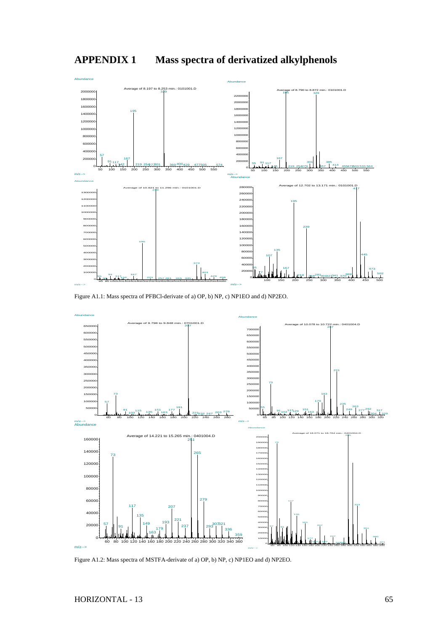**APPENDIX 1 Mass spectra of derivatized alkylphenols** 



Figure A1.1: Mass spectra of PFBCl-derivate of a) OP, b) NP, c) NP1EO and d) NP2EO.



Figure A1.2: Mass spectra of MSTFA-derivate of a) OP, b) NP, c) NP1EO and d) NP2EO.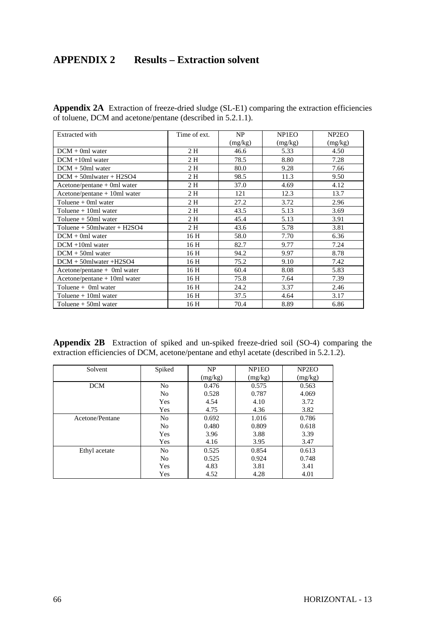# **APPENDIX 2 Results – Extraction solvent**

| <b>Appendix 2A</b> Extraction of freeze-dried sludge (SL-E1) comparing the extraction efficiencies |
|----------------------------------------------------------------------------------------------------|
| of toluene, DCM and acetone/pentane (described in 5.2.1.1).                                        |

| Extracted with                   | Time of ext. | NP      | NP1EO   | NP <sub>2</sub> EO |
|----------------------------------|--------------|---------|---------|--------------------|
|                                  |              | (mg/kg) | (mg/kg) | (mg/kg)            |
| $DCM + 0ml water$                | 2 H          | 46.6    | 5.33    | 4.50               |
| $DCM + 10ml$ water               | 2 H          | 78.5    | 8.80    | 7.28               |
| $DCM + 50ml$ water               | 2 H          | 80.0    | 9.28    | 7.66               |
| $DCM + 50m$ water + H2SO4        | 2H           | 98.5    | 11.3    | 9.50               |
| $Acetone/pentane + 0ml water$    | 2H           | 37.0    | 4.69    | 4.12               |
| $Acetone/pentane + 10ml water$   | 2H           | 121     | 12.3    | 13.7               |
| Toluene $+$ 0ml water            | 2H           | 27.2    | 3.72    | 2.96               |
| Toluene $+10$ ml water           | 2H           | 43.5    | 5.13    | 3.69               |
| Toluene $+$ 50ml water           | 2H           | 45.4    | 5.13    | 3.91               |
| Toluene + $50$ mlwater + $H2SO4$ | 2 H          | 43.6    | 5.78    | 3.81               |
| $DCM + 0ml water$                | 16 H         | 58.0    | 7.70    | 6.36               |
| $DCM + 10ml$ water               | 16 H         | 82.7    | 9.77    | 7.24               |
| $DCM + 50ml$ water               | 16H          | 94.2    | 9.97    | 8.78               |
| $DCM + 50m$ water +H2SO4         | 16 H         | 75.2    | 9.10    | 7.42               |
| $Acetone/pentane + 0ml water$    | 16 H         | 60.4    | 8.08    | 5.83               |
| $Acetone/pentane + 10ml water$   | 16 H         | 75.8    | 7.64    | 7.39               |
| Toluene $+$ 0ml water            | 16 H         | 24.2    | 3.37    | 2.46               |
| Toluene $+10$ ml water           | 16H          | 37.5    | 4.64    | 3.17               |
| Toluene $+$ 50ml water           | 16 H         | 70.4    | 8.89    | 6.86               |

**Appendix 2B** Extraction of spiked and un-spiked freeze-dried soil (SO-4) comparing the extraction efficiencies of DCM, acetone/pentane and ethyl acetate (described in 5.2.1.2).

| Solvent         | Spiked         | NP      | NP <sub>1</sub> EO | NP <sub>2</sub> EO |
|-----------------|----------------|---------|--------------------|--------------------|
|                 |                | (mg/kg) | (mg/kg)            | (mg/kg)            |
| <b>DCM</b>      | N <sub>o</sub> | 0.476   | 0.575              | 0.563              |
|                 | N <sub>0</sub> | 0.528   | 0.787              | 4.069              |
|                 | Yes            | 4.54    | 4.10               | 3.72               |
|                 | Yes            | 4.75    | 4.36               | 3.82               |
| Acetone/Pentane | N <sub>o</sub> | 0.692   | 1.016              | 0.786              |
|                 | N <sub>0</sub> | 0.480   | 0.809              | 0.618              |
|                 | Yes            | 3.96    | 3.88               | 3.39               |
|                 | Yes            | 4.16    | 3.95               | 3.47               |
| Ethyl acetate   | N <sub>0</sub> | 0.525   | 0.854              | 0.613              |
|                 | N <sub>0</sub> | 0.525   | 0.924              | 0.748              |
|                 | Yes            | 4.83    | 3.81               | 3.41               |
|                 | Yes            | 4.52    | 4.28               | 4.01               |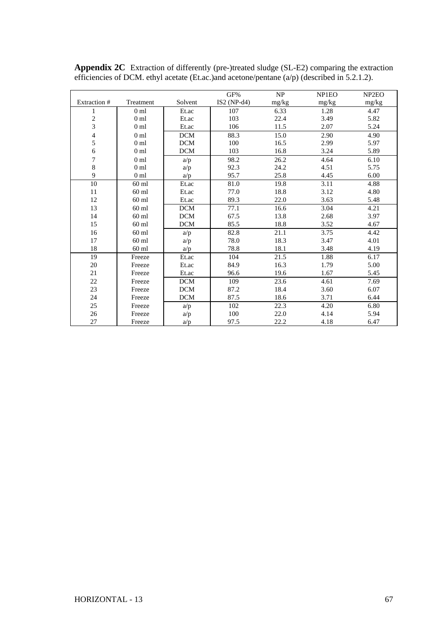|              |                 |            | GF%             | NP    | NP1EO | NP <sub>2</sub> EO |
|--------------|-----------------|------------|-----------------|-------|-------|--------------------|
| Extraction # | Treatment       | Solvent    | IS2 ( $NP-d4$ ) | mg/kg | mg/kg | mg/kg              |
| 1            | 0 <sub>m1</sub> | Et.ac      | 107             | 6.33  | 1.28  | 4.47               |
| 2            | 0 <sub>m1</sub> | Et.ac      | 103             | 22.4  | 3.49  | 5.82               |
| 3            | 0 <sub>m</sub>  | Et.ac      | 106             | 11.5  | 2.07  | 5.24               |
| 4            | 0 <sub>m1</sub> | <b>DCM</b> | 88.3            | 15.0  | 2.90  | 4.90               |
| 5            | 0 <sub>m1</sub> | <b>DCM</b> | 100             | 16.5  | 2.99  | 5.97               |
| 6            | 0 <sub>m1</sub> | <b>DCM</b> | 103             | 16.8  | 3.24  | 5.89               |
| 7            | 0 <sub>m1</sub> | a/p        | 98.2            | 26.2  | 4.64  | 6.10               |
| $\,8\,$      | 0 <sub>m1</sub> | a/p        | 92.3            | 24.2  | 4.51  | 5.75               |
| 9            | 0 <sub>m1</sub> | a/p        | 95.7            | 25.8  | 4.45  | 6.00               |
| $10\,$       | $60$ ml         | Et.ac      | 81.0            | 19.8  | 3.11  | 4.88               |
| 11           | $60$ ml         | Et.ac      | 77.0            | 18.8  | 3.12  | 4.80               |
| 12           | $60$ ml         | Et.ac      | 89.3            | 22.0  | 3.63  | 5.48               |
| 13           | $60$ ml         | <b>DCM</b> | 77.1            | 16.6  | 3.04  | 4.21               |
| 14           | $60$ ml         | <b>DCM</b> | 67.5            | 13.8  | 2.68  | 3.97               |
| 15           | $60$ ml         | <b>DCM</b> | 85.5            | 18.8  | 3.52  | 4.67               |
| 16           | $60$ ml         | a/p        | 82.8            | 21.1  | 3.75  | 4.42               |
| 17           | $60$ ml         | a/p        | 78.0            | 18.3  | 3.47  | 4.01               |
| 18           | $60$ ml         | a/p        | 78.8            | 18.1  | 3.48  | 4.19               |
| 19           | Freeze          | Et.ac      | 104             | 21.5  | 1.88  | 6.17               |
| 20           | Freeze          | Et.ac      | 84.9            | 16.3  | 1.79  | 5.00               |
| 21           | Freeze          | Et.ac      | 96.6            | 19.6  | 1.67  | 5.45               |
| 22           | Freeze          | <b>DCM</b> | 109             | 23.6  | 4.61  | 7.69               |
| 23           | Freeze          | <b>DCM</b> | 87.2            | 18.4  | 3.60  | 6.07               |
| 24           | Freeze          | <b>DCM</b> | 87.5            | 18.6  | 3.71  | 6.44               |
| 25           | Freeze          | a/p        | 102             | 22.3  | 4.20  | 6.80               |
| 26           | Freeze          | a/p        | 100             | 22.0  | 4.14  | 5.94               |
| 27           | Freeze          | a/p        | 97.5            | 22.2  | 4.18  | 6.47               |

**Appendix 2C** Extraction of differently (pre-)treated sludge (SL-E2) comparing the extraction efficiencies of DCM. ethyl acetate (Et.ac.)and acetone/pentane (a/p) (described in 5.2.1.2).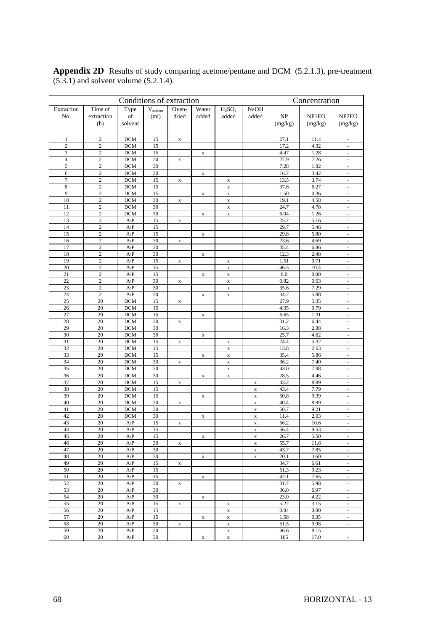|                     |                          | Conditions of extraction |                                          |             |             |                                |                             | Concentration |              |                                            |
|---------------------|--------------------------|--------------------------|------------------------------------------|-------------|-------------|--------------------------------|-----------------------------|---------------|--------------|--------------------------------------------|
| Extraction          | Time of                  | Type                     | $\overline{\mathbf{V}}_{\text{solvent}}$ | Oven-       | Water       | H <sub>2</sub> SO <sub>4</sub> | <b>NaOH</b>                 |               |              |                                            |
| No.                 | extraction               | $_{\mathrm{of}}$         | (ml)                                     | dried       | added       | added                          | added                       | NP            | NP1EO        | NP <sub>2EO</sub>                          |
|                     | (h)                      | solvent                  |                                          |             |             |                                |                             | (mg/kg)       | (mg/kg)      | (mg/kg)                                    |
|                     |                          |                          |                                          |             |             |                                |                             |               |              |                                            |
| $\mathbf{1}$        | $\sqrt{2}$               | <b>DCM</b>               | 15                                       | $\mathbf X$ |             |                                |                             | 27.1          | 11.4         | $\overline{\phantom{a}}$                   |
| $\overline{c}$<br>3 | $\sqrt{2}$<br>$\sqrt{2}$ | <b>DCM</b><br><b>DCM</b> | 15<br>15                                 |             |             |                                |                             | 17.2<br>4.47  | 4.32<br>1.28 | ä,<br>÷,                                   |
| $\overline{4}$      | $\sqrt{2}$               | <b>DCM</b>               | 30                                       | $\mathbf x$ | $\mathbf X$ |                                |                             | 27.9          | 7.26         | $\blacksquare$                             |
| 5                   | $\sqrt{2}$               | <b>DCM</b>               | 30                                       |             |             |                                |                             | 7.28          | 1.82         | $\blacksquare$                             |
| $6\,$               | $\sqrt{2}$               | <b>DCM</b>               | 30                                       |             | $\mathbf X$ |                                |                             | 16.7          | 3.42         | $\blacksquare$                             |
| $\tau$              | $\sqrt{2}$               | <b>DCM</b>               | 15                                       | $\mathbf x$ |             | $\mathbf X$                    |                             | 13.5          | 3.74         | $\blacksquare$                             |
| $\,8\,$             | $\sqrt{2}$               | <b>DCM</b>               | 15                                       |             |             | $\mathbf x$                    |                             | 37.6          | 6.27         | $\blacksquare$                             |
| 9<br>10             | $\sqrt{2}$<br>$\sqrt{2}$ | <b>DCM</b><br><b>DCM</b> | 15<br>30                                 | $\mathbf x$ | $\mathbf x$ | $\mathbf x$<br>$\mathbf x$     |                             | 1.50<br>19.1  | 0.36<br>4.58 | $\blacksquare$<br>$\blacksquare$           |
| 11                  | $\sqrt{2}$               | <b>DCM</b>               | 30                                       |             |             | $\mathbf x$                    |                             | 24.7          | 4.78         | $\blacksquare$                             |
| 12                  | $\sqrt{2}$               | <b>DCM</b>               | 30                                       |             | $\mathbf X$ | $\mathbf x$                    |                             | 6.04          | 1.26         | $\blacksquare$                             |
| 13                  | $\sqrt{2}$               | A/P                      | 15                                       | $\mathbf x$ |             |                                |                             | 25.7          | 5.16         | $\blacksquare$                             |
| 14                  | $\sqrt{2}$               | A/P                      | 15                                       |             |             |                                |                             | 29.7          | 5.46         | $\blacksquare$                             |
| 15                  | $\sqrt{2}$               | A/P                      | 15                                       |             | $\mathbf X$ |                                |                             | 29.8          | 5.80         | $\blacksquare$                             |
| 16                  | $\sqrt{2}$               | A/P                      | 30                                       | $\mathbf x$ |             |                                |                             | 23.6          | 4.69         | $\blacksquare$                             |
| 17<br>18            | $\sqrt{2}$<br>$\sqrt{2}$ | A/P<br>A/P               | 30<br>30                                 |             | $\mathbf X$ |                                |                             | 35.4<br>12.3  | 6.86<br>2.48 | $\blacksquare$<br>$\blacksquare$           |
| 19                  | $\sqrt{2}$               | A/P                      | 15                                       | $\mathbf x$ |             | $\mathbf X$                    |                             | 1.51          | 0.71         | $\blacksquare$                             |
| 20                  | $\sqrt{2}$               | A/P                      | 15                                       |             |             | $\mathbf x$                    |                             | 46.5          | 10.4         | $\blacksquare$                             |
| 21                  | $\sqrt{2}$               | A/P                      | 15                                       |             | $\mathbf X$ | $\mathbf x$                    |                             | 0.0           | 0.00         | $\blacksquare$                             |
| 22                  | $\sqrt{2}$               | A/P                      | 30                                       | $\mathbf x$ |             | $\mathbf X$                    |                             | 0.82          | 0.63         | $\blacksquare$                             |
| 23                  | $\sqrt{2}$               | A/P                      | 30                                       |             |             | $\mathbf x$                    |                             | 35.6          | 7.29         | $\blacksquare$                             |
| 24                  | $\overline{c}$           | A/P                      | 30                                       |             | $\mathbf X$ | $\mathbf x$                    |                             | 34.2          | 5.88         | $\blacksquare$                             |
| 25                  | 20                       | <b>DCM</b>               | 15                                       | $\mathbf x$ |             |                                |                             | 27.9          | 5.35         | $\blacksquare$                             |
| 26<br>27            | 20<br>20                 | <b>DCM</b><br><b>DCM</b> | 15<br>15                                 |             | $\mathbf X$ |                                |                             | 4.35<br>6.65  | 0.79<br>1.31 | $\blacksquare$<br>$\blacksquare$           |
| 28                  | 20                       | <b>DCM</b>               | 30                                       | $\mathbf x$ |             |                                |                             | 31.2          | 6.44         | $\overline{\phantom{a}}$                   |
| 29                  | 20                       | <b>DCM</b>               | 30                                       |             |             |                                |                             | 16.3          | 2.88         | $\overline{\phantom{a}}$                   |
| 30                  | 20                       | <b>DCM</b>               | 30                                       |             | $\mathbf X$ |                                |                             | 25.7          | 4.62         | $\Box$                                     |
| 31                  | 20                       | <b>DCM</b>               | 15                                       | $\mathbf X$ |             | $\mathbf x$                    |                             | 24.4          | 5.32         | $\overline{\phantom{a}}$                   |
| 32                  | 20                       | <b>DCM</b>               | 15                                       |             |             | $\mathbf x$                    |                             | 13.8          | 2.63         | ÷,                                         |
| 33                  | 20                       | <b>DCM</b>               | 15                                       |             | $\mathbf x$ | $\mathbf x$                    |                             | 35.4          | 5.86         | $\blacksquare$                             |
| 34                  | 20<br>20                 | <b>DCM</b><br><b>DCM</b> | 30                                       | $\mathbf X$ |             | $\mathbf X$                    |                             | 36.2          | 7.40<br>7.98 | ÷,                                         |
| 35<br>36            | 20                       | <b>DCM</b>               | 30<br>30                                 |             | $\mathbf x$ | $\mathbf x$<br>$\mathbf x$     |                             | 43.0<br>28.5  | 4.46         | $\overline{\phantom{a}}$<br>$\Box$         |
| 37                  | 20                       | <b>DCM</b>               | 15                                       | $\mathbf X$ |             |                                | $\mathbf x$                 | 43.2          | 8.89         | ÷,                                         |
| 38                  | 20                       | <b>DCM</b>               | 15                                       |             |             |                                | $\mathbf x$                 | 43.4          | 7.79         | ÷,                                         |
| 39                  | 20                       | <b>DCM</b>               | 15                                       |             | $\mathbf X$ |                                | $\mathbf x$                 | 50.8          | 9.39         | $\overline{\phantom{a}}$                   |
| 40                  | 20                       | <b>DCM</b>               | 30                                       | $\mathbf x$ |             |                                | $\mathbf x$                 | 40.4          | 8.99         | $\Box$                                     |
| 41                  | 20                       | <b>DCM</b>               | 30                                       |             |             |                                | $\mathbf X$                 | 50.7          | 9.21         | $\blacksquare$                             |
| 42                  | 20                       | <b>DCM</b>               | 30                                       |             | $\mathbf x$ |                                | $\mathbf x$                 | 11.4          | 2.03         | $\overline{\phantom{a}}$                   |
| 43<br>44            | 20<br>20                 | A/P<br>A/P               | 15<br>15                                 | $\mathbf X$ |             |                                | $\mathbf X$<br>$\mathbf{x}$ | 56.2<br>56.4  | 10.6<br>9.53 | $\overline{\phantom{a}}$                   |
| 45                  | 20                       | A/P                      | 15                                       |             | $\mathbf X$ |                                | $\mathbf X$                 | 26.7          | 5.50         |                                            |
| 46                  | 20                       | A/P                      | 30                                       | $\mathbf X$ |             |                                | $\mathbf X$                 | 55.7          | 11.6         | $\overline{\phantom{a}}$                   |
| 47                  | 20                       | A/P                      | 30                                       |             |             |                                | $\mathbf X$                 | 43.7          | 7.85         | $\overline{\phantom{a}}$                   |
| 48                  | 20                       | A/P                      | 30                                       |             | $\mathbf X$ |                                | $\mathbf X$                 | 20.1          | 3.60         | $\blacksquare$                             |
| 49                  | 20                       | A/P                      | 15                                       | $\mathbf X$ |             |                                |                             | 34.7          | 6.61         | $\overline{\phantom{a}}$                   |
| 50                  | 20                       | A/P                      | 15                                       |             |             |                                |                             | 51.3          | 9.23         | $\Box$                                     |
| 51<br>52            | 20<br>20                 | A/P<br>A/P               | 15<br>30                                 |             | $\mathbf X$ |                                |                             | 42.1<br>31.7  | 7.65<br>5.98 | $\overline{\phantom{a}}$<br>$\blacksquare$ |
| 53                  | 20                       | A/P                      | 30                                       | $\mathbf X$ |             |                                |                             | 36.0          | 6.97         | $\overline{\phantom{a}}$                   |
| 54                  | 20                       | A/P                      | 30                                       |             | $\mathbf X$ |                                |                             | 23.0          | 4.22         | $\Box$                                     |
| 55                  | 20                       | A/P                      | 15                                       | $\mathbf X$ |             | $\mathbf X$                    |                             | 5.22          | 3.15         | $\overline{\phantom{a}}$                   |
| 56                  | 20                       | A/P                      | 15                                       |             |             | $\mathbf X$                    |                             | 0.04          | 0.00         | $\blacksquare$                             |
| 57                  | 20                       | A/P                      | 15                                       |             | $\mathbf X$ | $\mathbf X$                    |                             | 1.58          | 0.35         | $\overline{\phantom{a}}$                   |
| 58                  | 20                       | A/P                      | 30                                       | $\mathbf X$ |             | $\mathbf x$                    |                             | 51.5          | 9.98         | ä,                                         |
| 59                  | 20                       | A/P                      | 30                                       |             |             | $\mathbf X$                    |                             | 46.6          | 8.15         |                                            |
| 60                  | 20                       | A/P                      | 30                                       |             | $\mathbf X$ | $\mathbf X$                    |                             | 105           | 17.0         | ä,                                         |

**Appendix 2D** Results of study comparing acetone/pentane and DCM (5.2.1.3), pre-treatment (5.3.1) and solvent volume (5.2.1.4).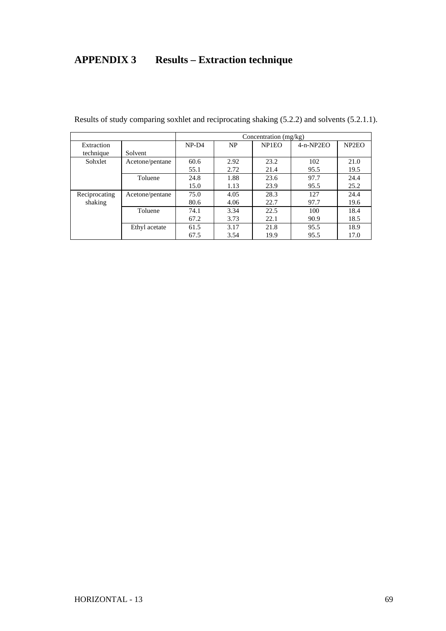# **APPENDIX 3 Results – Extraction technique**

|               |                 | Concentration (mg/kg) |      |                    |             |                    |  |  |  |
|---------------|-----------------|-----------------------|------|--------------------|-------------|--------------------|--|--|--|
| Extraction    |                 | $NP-D4$               | NP   | NP <sub>1</sub> EO | $4-n-NP2EO$ | NP <sub>2</sub> EO |  |  |  |
| technique     | Solvent         |                       |      |                    |             |                    |  |  |  |
| Sohxlet       | Acetone/pentane | 60.6                  | 2.92 | 23.2               | 102         | 21.0               |  |  |  |
|               |                 | 55.1                  | 2.72 | 21.4               | 95.5        | 19.5               |  |  |  |
|               | Toluene         | 24.8                  | 1.88 | 23.6               | 97.7        | 24.4               |  |  |  |
|               |                 | 15.0                  | 1.13 | 23.9               | 95.5        | 25.2               |  |  |  |
| Reciprocating | Acetone/pentane | 75.0                  | 4.05 | 28.3               | 127         | 24.4               |  |  |  |
| shaking       |                 | 80.6                  | 4.06 | 22.7               | 97.7        | 19.6               |  |  |  |
|               | Toluene         | 74.1                  | 3.34 | 22.5               | 100         | 18.4               |  |  |  |
|               |                 | 67.2                  | 3.73 | 22.1               | 90.9        | 18.5               |  |  |  |
|               | Ethyl acetate   | 61.5                  | 3.17 | 21.8               | 95.5        | 18.9               |  |  |  |
|               |                 | 67.5                  | 3.54 | 19.9               | 95.5        | 17.0               |  |  |  |

Results of study comparing soxhlet and reciprocating shaking (5.2.2) and solvents (5.2.1.1).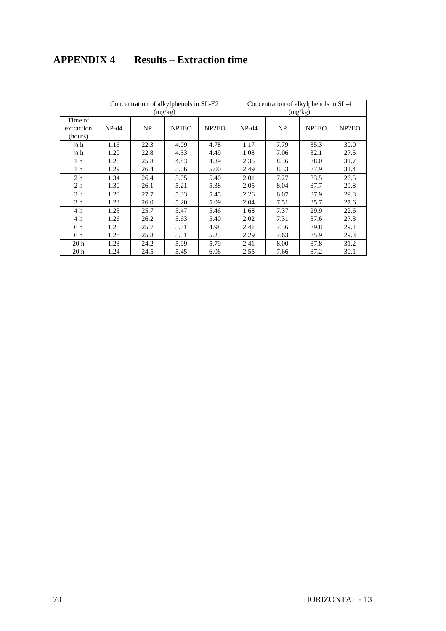# **APPENDIX 4 Results – Extraction time**

|                 | Concentration of alkylphenols in SL-E2 |      |       |                    | Concentration of alkylphenols in SL-4 |      |       |                    |
|-----------------|----------------------------------------|------|-------|--------------------|---------------------------------------|------|-------|--------------------|
|                 | (mg/kg)                                |      |       |                    | (mg/kg)                               |      |       |                    |
| Time of         |                                        |      |       |                    |                                       |      |       |                    |
| extraction      | $NP-d4$                                | NP   | NP1EO | NP <sub>2</sub> EO | $NP-d4$                               | NP   | NP1EO | NP <sub>2</sub> EO |
| (hours)         |                                        |      |       |                    |                                       |      |       |                    |
| $\frac{1}{2}h$  | 1.16                                   | 22.3 | 4.09  | 4.78               | 1.17                                  | 7.79 | 35.3  | 30.0               |
| $\frac{1}{2}h$  | 1.20                                   | 22.8 | 4.33  | 4.49               | 1.08                                  | 7.06 | 32.1  | 27.5               |
| 1 <sub>h</sub>  | 1.25                                   | 25.8 | 4.83  | 4.89               | 2.35                                  | 8.36 | 38.0  | 31.7               |
| 1 <sub>h</sub>  | 1.29                                   | 26.4 | 5.06  | 5.00               | 2.49                                  | 8.33 | 37.9  | 31.4               |
| 2 <sub>h</sub>  | 1.34                                   | 26.4 | 5.05  | 5.40               | 2.01                                  | 7.27 | 33.5  | 26.5               |
| 2 <sub>h</sub>  | 1.30                                   | 26.1 | 5.21  | 5.38               | 2.05                                  | 8.04 | 37.7  | 29.8               |
| 3 <sub>h</sub>  | 1.28                                   | 27.7 | 5.33  | 5.45               | 2.26                                  | 6.07 | 37.9  | 29.8               |
| 3 h             | 1.23                                   | 26.0 | 5.20  | 5.09               | 2.04                                  | 7.51 | 35.7  | 27.6               |
| 4 h             | 1.25                                   | 25.7 | 5.47  | 5.46               | 1.68                                  | 7.37 | 29.9  | 22.6               |
| 4 h             | 1.26                                   | 26.2 | 5.63  | 5.40               | 2.02                                  | 7.31 | 37.6  | 27.3               |
| 6 h             | 1.25                                   | 25.7 | 5.31  | 4.98               | 2.41                                  | 7.36 | 39.8  | 29.1               |
| 6 h             | 1.28                                   | 25.8 | 5.51  | 5.23               | 2.29                                  | 7.63 | 35.9  | 29.3               |
| 20 <sub>h</sub> | 1.23                                   | 24.2 | 5.99  | 5.79               | 2.41                                  | 8.00 | 37.8  | 31.2               |
| 20 <sub>h</sub> | 1.24                                   | 24.5 | 5.45  | 6.06               | 2.55                                  | 7.66 | 37.2  | 30.1               |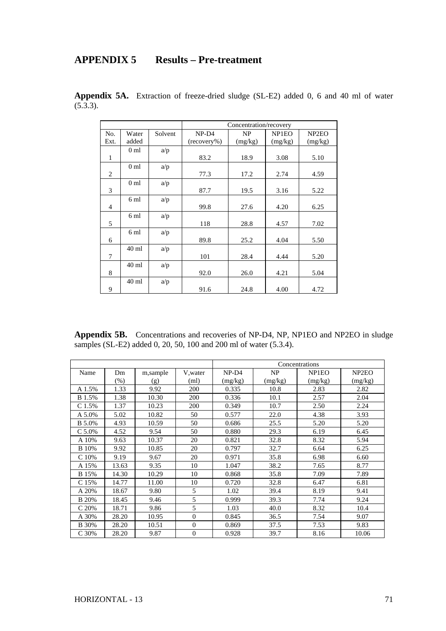# **APPENDIX 5 Results – Pre-treatment**

|                |                 |         | Concentration/recovery |         |                    |                    |  |  |
|----------------|-----------------|---------|------------------------|---------|--------------------|--------------------|--|--|
| No.            | Water           | Solvent | $NP-D4$                | NP      | NP <sub>1</sub> EO | NP <sub>2</sub> EO |  |  |
| Ext.           | added           |         | $(recovery%$ )         | (mg/kg) | (mg/kg)            | (mg/kg)            |  |  |
|                | 0 <sub>m1</sub> | a/p     |                        |         |                    |                    |  |  |
| 1              |                 |         | 83.2                   | 18.9    | 3.08               | 5.10               |  |  |
|                | 0 <sub>m1</sub> | a/p     |                        |         |                    |                    |  |  |
| 2              |                 |         | 77.3                   | 17.2    | 2.74               | 4.59               |  |  |
|                | 0 <sub>m1</sub> | a/p     |                        |         |                    |                    |  |  |
| 3              |                 |         | 87.7                   | 19.5    | 3.16               | 5.22               |  |  |
|                | 6 ml            | a/p     |                        |         |                    |                    |  |  |
| $\overline{4}$ |                 |         | 99.8                   | 27.6    | 4.20               | 6.25               |  |  |
|                | 6 ml            | a/p     |                        |         |                    |                    |  |  |
| 5              |                 |         | 118                    | 28.8    | 4.57               | 7.02               |  |  |
|                | 6 ml            | a/p     |                        |         |                    |                    |  |  |
| 6              |                 |         | 89.8                   | 25.2    | 4.04               | 5.50               |  |  |
|                | $40$ ml         | a/p     |                        |         |                    |                    |  |  |
| 7              |                 |         | 101                    | 28.4    | 4.44               | 5.20               |  |  |
|                | $40$ ml         | a/p     |                        |         |                    |                    |  |  |
| 8              |                 |         | 92.0                   | 26.0    | 4.21               | 5.04               |  |  |
|                | $40$ ml         | a/p     |                        |         |                    |                    |  |  |
| 9              |                 |         | 91.6                   | 24.8    | 4.00               | 4.72               |  |  |

**Appendix 5A.** Extraction of freeze-dried sludge (SL-E2) added 0, 6 and 40 ml of water  $(5.3.3).$ 

**Appendix 5B.** Concentrations and recoveries of NP-D4, NP, NP1EO and NP2EO in sludge samples (SL-E2) added 0, 20, 50, 100 and 200 ml of water (5.3.4).

|                  |        |          |          | Concentrations |         |         |                    |
|------------------|--------|----------|----------|----------------|---------|---------|--------------------|
| Name             | Dm     | m,sample | V, water | NP-D4          | NP      | NP1EO   | NP <sub>2</sub> EO |
|                  | $(\%)$ | (g)      | (ml)     | (mg/kg)        | (mg/kg) | (mg/kg) | (mg/kg)            |
| A 1.5%           | 1.33   | 9.92     | 200      | 0.335          | 10.8    | 2.83    | 2.82               |
| <b>B</b> 1.5%    | 1.38   | 10.30    | 200      | 0.336          | 10.1    | 2.57    | 2.04               |
| C1.5%            | 1.37   | 10.23    | 200      | 0.349          | 10.7    | 2.50    | 2.24               |
| A 5.0%           | 5.02   | 10.82    | 50       | 0.577          | 22.0    | 4.38    | 3.93               |
| B 5.0%           | 4.93   | 10.59    | 50       | 0.686          | 25.5    | 5.20    | 5.20               |
| $C$ 5.0%         | 4.52   | 9.54     | 50       | 0.880          | 29.3    | 6.19    | 6.45               |
| A 10%            | 9.63   | 10.37    | 20       | 0.821          | 32.8    | 8.32    | 5.94               |
| <b>B</b> 10%     | 9.92   | 10.85    | 20       | 0.797          | 32.7    | 6.64    | 6.25               |
| C 10%            | 9.19   | 9.67     | 20       | 0.971          | 35.8    | 6.98    | 6.60               |
| A 15%            | 13.63  | 9.35     | 10       | 1.047          | 38.2    | 7.65    | 8.77               |
| B 15%            | 14.30  | 10.29    | 10       | 0.868          | 35.8    | 7.09    | 7.89               |
| C 15%            | 14.77  | 11.00    | 10       | 0.720          | 32.8    | 6.47    | 6.81               |
| A 20%            | 18.67  | 9.80     | 5        | 1.02           | 39.4    | 8.19    | 9.41               |
| <b>B</b> 20%     | 18.45  | 9.46     | 5        | 0.999          | 39.3    | 7.74    | 9.24               |
| C <sub>20%</sub> | 18.71  | 9.86     | 5        | 1.03           | 40.0    | 8.32    | 10.4               |
| A 30%            | 28.20  | 10.95    | $\theta$ | 0.845          | 36.5    | 7.54    | 9.07               |
| <b>B</b> 30%     | 28.20  | 10.51    | $\theta$ | 0.869          | 37.5    | 7.53    | 9.83               |
| C <sub>30%</sub> | 28.20  | 9.87     | $\theta$ | 0.928          | 39.7    | 8.16    | 10.06              |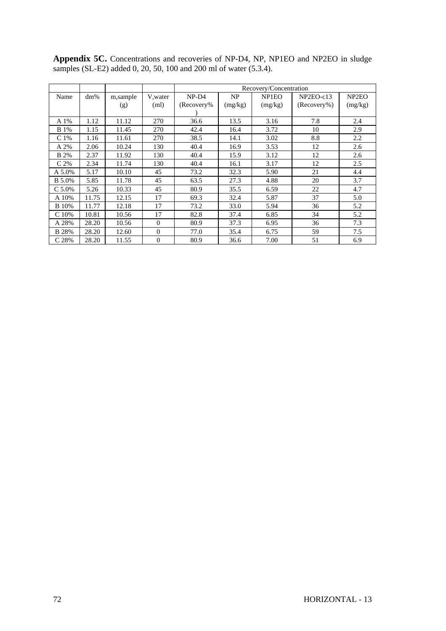|                 |       |          |                | Recovery/Concentration |         |         |             |                    |
|-----------------|-------|----------|----------------|------------------------|---------|---------|-------------|--------------------|
| Name            | dm%   | m,sample | V, water       | $NP-D4$                | NP      | NP1EO   | $NP2EO-c13$ | NP <sub>2</sub> EO |
|                 |       | (g)      | (ml)           | (Recovery%)            | (mg/kg) | (mg/kg) | (Recovery%) | (mg/kg)            |
|                 |       |          |                |                        |         |         |             |                    |
| A 1%            | 1.12  | 11.12    | 270            | 36.6                   | 13.5    | 3.16    | 7.8         | 2.4                |
| <b>B</b> 1%     | 1.15  | 11.45    | 270            | 42.4                   | 16.4    | 3.72    | 10          | 2.9                |
| C1%             | 1.16  | 11.61    | 270            | 38.5                   | 14.1    | 3.02    | 8.8         | 2.2                |
| A 2%            | 2.06  | 10.24    | 130            | 40.4                   | 16.9    | 3.53    | 12          | 2.6                |
| <b>B</b> 2%     | 2.37  | 11.92    | 130            | 40.4                   | 15.9    | 3.12    | 12          | 2.6                |
| C <sub>2%</sub> | 2.34  | 11.74    | 130            | 40.4                   | 16.1    | 3.17    | 12          | 2.5                |
| A 5.0%          | 5.17  | 10.10    | 45             | 73.2                   | 32.3    | 5.90    | 21          | 4.4                |
| <b>B</b> 5.0%   | 5.85  | 11.78    | 45             | 63.5                   | 27.3    | 4.88    | 20          | 3.7                |
| C 5.0%          | 5.26  | 10.33    | 45             | 80.9                   | 35.5    | 6.59    | 22          | 4.7                |
| A 10%           | 11.75 | 12.15    | 17             | 69.3                   | 32.4    | 5.87    | 37          | 5.0                |
| <b>B</b> 10%    | 11.77 | 12.18    | 17             | 73.2                   | 33.0    | 5.94    | 36          | 5.2                |
| C10%            | 10.81 | 10.56    | 17             | 82.8                   | 37.4    | 6.85    | 34          | 5.2                |
| A 28%           | 28.20 | 10.56    | $\mathbf{0}$   | 80.9                   | 37.3    | 6.95    | 36          | 7.3                |
| <b>B</b> 28%    | 28.20 | 12.60    | $\mathbf{0}$   | 77.0                   | 35.4    | 6.75    | 59          | 7.5                |
| C 28%           | 28.20 | 11.55    | $\overline{0}$ | 80.9                   | 36.6    | 7.00    | 51          | 6.9                |

**Appendix 5C.** Concentrations and recoveries of NP-D4, NP, NP1EO and NP2EO in sludge samples (SL-E2) added 0, 20, 50, 100 and 200 ml of water (5.3.4).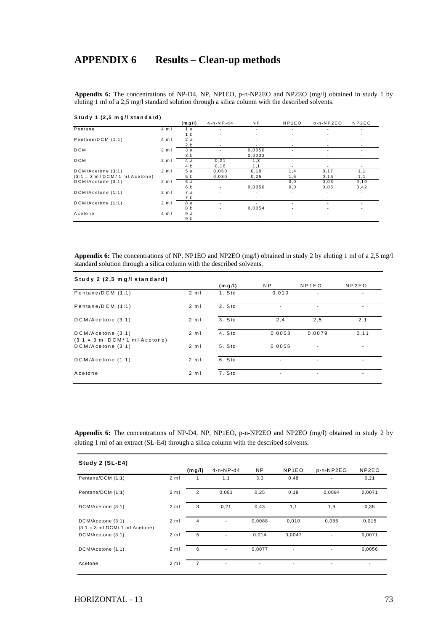## **APPENDIX 6 Results – Clean-up methods**

**Appendix 6:** The concentrations of NP-D4, NP, NP1EO, p-n-NP2EO and NP2EO (mg/l) obtained in study 1 by eluting 1 ml of a 2,5 mg/l standard solution through a silica column with the described solvents.

| Study 1 (2,5 m g/l standard)                       |               |         |                    |                          |                          |                     |                          |  |  |  |  |  |  |
|----------------------------------------------------|---------------|---------|--------------------|--------------------------|--------------------------|---------------------|--------------------------|--|--|--|--|--|--|
|                                                    |               | (m g/l) | $4 - n - N P - d4$ | N <sub>P</sub>           | NP <sub>1EO</sub>        | $p - n - N P 2 E O$ | NP <sub>2EO</sub>        |  |  |  |  |  |  |
| Pentane                                            | $4 \text{ m}$ | 1.a     | ۰                  | $\sim$                   | $\overline{\phantom{a}}$ |                     |                          |  |  |  |  |  |  |
|                                                    |               | 1.b     | ٠                  |                          |                          |                     |                          |  |  |  |  |  |  |
| Pentane/DCM (1:1)                                  | $4 \text{ m}$ | 2.a     |                    |                          |                          | ٠                   |                          |  |  |  |  |  |  |
|                                                    |               | 2.b     |                    |                          |                          |                     |                          |  |  |  |  |  |  |
| <b>DCM</b>                                         | $2 \text{ m}$ | 3.a     | ٠                  | 0,0050                   | ٠                        | ٠                   | $\overline{\phantom{a}}$ |  |  |  |  |  |  |
|                                                    |               | 3.b     | ٠                  | 0.0033                   |                          | ٠                   |                          |  |  |  |  |  |  |
| <b>DCM</b>                                         | $2 \text{ m}$ | 4.a     | 0, 21              | 1,3                      |                          | ٠                   |                          |  |  |  |  |  |  |
|                                                    |               | 4.b     | 0, 16              | 1,1                      |                          |                     |                          |  |  |  |  |  |  |
| DCM/Acetone (3:1)                                  | $2 \text{ m}$ | 5.a     | 0,060              | 0, 19                    | 1,4                      | 0,17                | 1,1                      |  |  |  |  |  |  |
| $(3:1 = 3 \text{ m}1 DCM / 1 \text{ m}1 A cetone)$ |               | 5.b     | 0.080              | 0,25                     | 1,6                      | 0, 16               | 1,1                      |  |  |  |  |  |  |
| DCM/Acetone (3:1)                                  | $2 \text{ m}$ | 6.a     | ٠                  |                          | 0, 0                     | 0,03                | 0, 19                    |  |  |  |  |  |  |
|                                                    |               | 6.b     |                    | 0,0050                   | 0, 0                     | 0,06                | 0,42                     |  |  |  |  |  |  |
| DCM/Acetone (1:1)                                  | $2 \text{ m}$ | 7.a     | ٠                  | $\overline{\phantom{a}}$ | ٠                        | ٠                   | $\overline{\phantom{a}}$ |  |  |  |  |  |  |
|                                                    |               | 7.b     | ٠                  |                          |                          | ٠                   |                          |  |  |  |  |  |  |
| DCM/Acetone (1:1)                                  | $2 \text{ m}$ | 8.a     | ٠                  | ٠                        | ٠                        | ٠                   |                          |  |  |  |  |  |  |
|                                                    |               | 8.b     |                    | 0,0054                   |                          | ۰                   |                          |  |  |  |  |  |  |
| Acetone                                            | $4 \text{ m}$ | 9.a     |                    |                          |                          |                     |                          |  |  |  |  |  |  |
|                                                    |               | 9.b     |                    |                          |                          |                     |                          |  |  |  |  |  |  |

**Appendix 6:** The concentrations of NP, NP1EO and NP2EO (mg/l) obtained in study 2 by eluting 1 ml of a 2,5 mg/l standard solution through a silica column with the described solvents.

| Study 2 (2,5 mg/l standard)                                               |               |          |                |                          |       |
|---------------------------------------------------------------------------|---------------|----------|----------------|--------------------------|-------|
|                                                                           |               | (m g/l)  | N <sub>P</sub> | NP <sub>1EO</sub>        | NP2EO |
| Pentane/DCM (1:1)                                                         | $2 \text{ m}$ | $1.$ Std | 0,010          | $\overline{\phantom{a}}$ |       |
| Pentane/DCM (1:1)                                                         | $2 \text{ m}$ | $2.$ Std |                |                          |       |
| DCM/Acetone (3:1)                                                         | $2 \text{ m}$ | $3.$ Std | 2,4            | 2,5                      | 2,1   |
| DCM/Acetone (3:1)<br>$(3:1 = 3 \text{ m} \cup DCM / 1 \text{ m} \cup Acc$ | $2 \text{ m}$ | $4.$ Std | 0,0053         | 0,0079                   | 0, 11 |
| DCM/Acetone (3:1)                                                         | $2 \text{ m}$ | $5.$ Std | 0.0055         |                          |       |
| DCM/Acetone (1:1)                                                         | $2 \text{ m}$ | 6. Std   |                |                          |       |
| Acetone                                                                   | $2 \text{ m}$ | $7.$ Std |                | ٠                        |       |

**Appendix 6:** The concentrations of NP-D4, NP, NP1EO, p-n-NP2EO and NP2EO (mg/l) obtained in study 2 by eluting 1 ml of an extract (SL-E4) through a silica column with the described solvents.

| Study 2 (SL-E4)                                                          |                 |                |                          |           |                   |                          |        |
|--------------------------------------------------------------------------|-----------------|----------------|--------------------------|-----------|-------------------|--------------------------|--------|
|                                                                          |                 | (mg/l)         | $4-n-NP-d4$              | <b>NP</b> | NP <sub>1EO</sub> | p-n-NP2EO                | NP2EO  |
| Pentane/DCM (1:1)                                                        | $2 \text{ ml}$  | $\mathbf{1}$   | 1,1                      | 3,0       | 0,48              | $\overline{\phantom{a}}$ | 0,21   |
| Pentane/DCM (1:1)                                                        | $2 \text{ ml}$  | 2              | 0,081                    | 0,25      | 0, 18             | 0,0094                   | 0,0071 |
| DCM/Acetone (3:1)                                                        | $2 \,$ m $\mid$ | 3              | 0,21                     | 0,43      | 1,1               | 1,9                      | 0,35   |
| DCM/Acetone (3:1)<br>$(3:1 = 3 \text{ ml } DCM / 1 \text{ ml } Acetone)$ | $2 \text{ ml}$  | $\overline{4}$ | $\overline{\phantom{0}}$ | 0.0088    | 0,010             | 0.086                    | 0,015  |
| DCM/Acetone (3:1)                                                        | $2 \text{ ml}$  | 5              |                          | 0.014     | 0.0047            | $\overline{\phantom{a}}$ | 0,0071 |
| DCM/Acetone (1:1)                                                        | $2 \text{ ml}$  | 6              |                          | 0,0077    |                   | $\overline{\phantom{a}}$ | 0,0056 |
| Acetone                                                                  | $2 \text{ ml}$  | $\overline{7}$ |                          |           | ٠                 | ٠                        |        |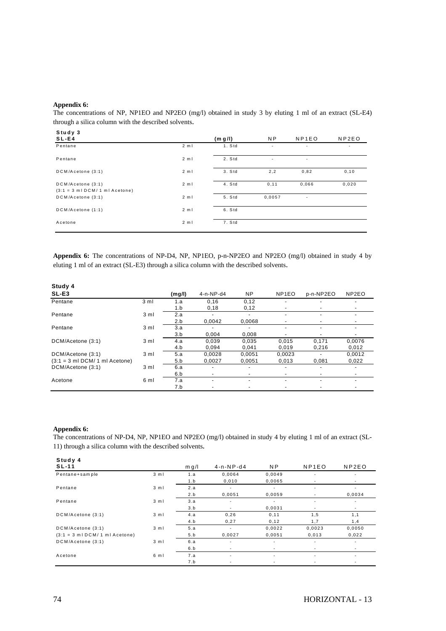#### **Appendix 6:**

The concentrations of NP, NP1EO and NP2EO (mg/l) obtained in study 3 by eluting 1 ml of an extract (SL-E4) through a silica column with the described solvents.

| Study 3<br>$SL-E4$                                                                                   |               | (m g/l)  | N <sub>P</sub>           | NP <sub>1EO</sub> | NP2EO |
|------------------------------------------------------------------------------------------------------|---------------|----------|--------------------------|-------------------|-------|
| Pentane                                                                                              | $2 \text{ m}$ | $1.$ Std | ٠                        | ٠                 | ٠     |
| Pentane                                                                                              | $2 \text{ m}$ | $2.$ Std | $\overline{\phantom{a}}$ | ٠                 |       |
| DCM/Acetone (3:1)                                                                                    | $2 \text{ m}$ | 3. Std   | 2, 2                     | 0,82              | 0, 10 |
| DCM/Acetone (3:1)<br>$(3:1 = 3 \text{ m} \text{ } \text{DCM} / 1 \text{ m} \text{ } \text{Acetone})$ | $2 \text{ m}$ | $4.$ Std | 0, 11                    | 0,066             | 0,020 |
| DCM/Acetone (3:1)                                                                                    | $2 \text{ m}$ | 5. Std   | 0,0057                   | ٠                 |       |
| DCM/Acetone (1:1)                                                                                    | $2 \text{ m}$ | 6. Std   |                          |                   |       |
| Acetone                                                                                              | $2 \text{ m}$ | 7. Std   |                          |                   |       |

**Appendix 6:** The concentrations of NP-D4, NP, NP1EO, p-n-NP2EO and NP2EO (mg/l) obtained in study 4 by eluting 1 ml of an extract (SL-E3) through a silica column with the described solvents.

| Study 4                                              |                      |        |             |           |                   |           |        |
|------------------------------------------------------|----------------------|--------|-------------|-----------|-------------------|-----------|--------|
| $SL-E3$                                              |                      | (mg/l) | $4-n-NP-d4$ | <b>NP</b> | NP <sub>1EO</sub> | p-n-NP2EO | NP2EO  |
| Pentane                                              | $3$ m $\overline{1}$ | 1.a    | 0,16        | 0,12      | -                 |           |        |
|                                                      |                      | 1.b    | 0,18        | 0,12      | ٠                 |           |        |
| Pentane                                              | $3 \text{ ml}$       | 2.a    |             |           |                   |           |        |
|                                                      |                      | 2.b    | 0,0042      | 0,0068    | ٠                 |           |        |
| Pentane                                              | $3 \text{ ml}$       | 3.a    |             |           |                   |           |        |
|                                                      |                      | 3.b    | 0,004       | 0,008     |                   |           |        |
| DCM/Acetone (3:1)                                    | $3 \text{ ml}$       | 4.a    | 0,039       | 0,035     | 0,015             | 0,171     | 0,0076 |
|                                                      |                      | 4.b    | 0.094       | 0.041     | 0.019             | 0,216     | 0,012  |
| DCM/Acetone (3:1)                                    | $3 \text{ ml}$       | 5.a    | 0,0028      | 0,0051    | 0,0023            |           | 0,0012 |
| $(3:1 = 3 \text{ ml } DCM / 1 \text{ ml } A$ cetone) |                      | 5.b    | 0.0027      | 0.0051    | 0,013             | 0,081     | 0,022  |
| DCM/Acetone (3:1)                                    | $3 \text{ ml}$       | 6.a    |             |           |                   |           |        |
|                                                      |                      | 6.b    | ۰           |           | ٠                 |           |        |
| Acetone                                              | 6 ml                 | 7.a    | ۰           |           | ٠                 | -         |        |
|                                                      |                      | 7.b    |             |           |                   |           |        |

#### **Appendix 6:**

The concentrations of NP-D4, NP, NP1EO and NP2EO (mg/l) obtained in study 4 by eluting 1 ml of an extract (SL-11) through a silica column with the described solvents.

**Study 4**

| $SL-11$                                              |               | m g/l | $4 - n - N P - d4$       | N <sub>P</sub>           | NP <sub>1EO</sub>        | NP2EO  |
|------------------------------------------------------|---------------|-------|--------------------------|--------------------------|--------------------------|--------|
| Pentane+sample                                       | $3 \text{ m}$ | 1.a   | 0,0064                   | 0,0049                   |                          |        |
|                                                      |               | 1.b   | 0,010                    | 0,0065                   |                          |        |
| Pentane                                              | $3 \text{ m}$ | 2.a   | $\overline{\phantom{a}}$ |                          | $\overline{\phantom{a}}$ |        |
|                                                      |               | 2.b   | 0,0051                   | 0,0059                   |                          | 0,0034 |
| Pentane                                              | $3 \text{ m}$ | 3.a   | $\overline{\phantom{0}}$ | $\overline{\phantom{a}}$ | $\overline{\phantom{a}}$ |        |
|                                                      |               | 3.b   |                          | 0,0031                   |                          |        |
| DCM/Acetone (3:1)                                    | $3 \, m1$     | 4.a   | 0,26                     | 0,11                     | 1,5                      | 1,1    |
|                                                      |               | 4.b   | 0,27                     | 0,12                     | 1,7                      | 1,4    |
| DCM/Acetone (3:1)                                    | $3 \, m1$     | 5.a   |                          | 0,0022                   | 0,0023                   | 0,0050 |
| $(3:1 = 3 \text{ ml } DCM / 1 \text{ ml } A$ cetone) |               | 5.b   | 0,0027                   | 0,0051                   | 0,013                    | 0,022  |
| DCM/Acetone (3:1)                                    | $3 \, m1$     | 6.a   |                          |                          |                          |        |
|                                                      |               | 6.b   | $\overline{\phantom{a}}$ | $\overline{\phantom{a}}$ |                          |        |
| Acetone                                              | $6 \, m1$     | 7.a   | -                        | $\overline{\phantom{a}}$ |                          |        |
|                                                      |               | 7.b   |                          |                          |                          |        |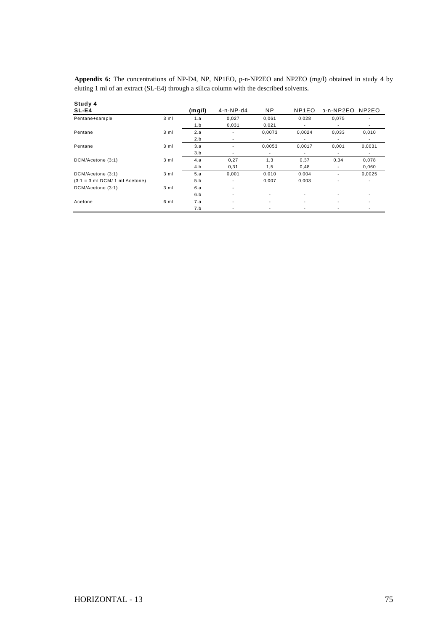**Appendix 6:** The concentrations of NP-D4, NP, NP1EO, p-n-NP2EO and NP2EO (mg/l) obtained in study 4 by eluting 1 ml of an extract (SL-E4) through a silica column with the described solvents.

| Study 4<br>$SL-E4$                                   |                      | (mg/l) | $4-n-NP-d4$              | <b>NP</b> | NP <sub>1EO</sub>        | p-n-NP2EO NP2EO          |                          |
|------------------------------------------------------|----------------------|--------|--------------------------|-----------|--------------------------|--------------------------|--------------------------|
| Pentane+sample                                       | $3$ m $\overline{1}$ | 1.a    | 0,027                    | 0,061     | 0,028                    | 0,075                    |                          |
|                                                      |                      | 1.b    | 0,031                    | 0,021     | $\overline{\phantom{a}}$ | $\overline{\phantom{a}}$ | $\overline{\phantom{a}}$ |
| Pentane                                              | $3 \text{ ml}$       | 2.a    | $\overline{\phantom{a}}$ | 0.0073    | 0.0024                   | 0.033                    | 0,010                    |
|                                                      |                      | 2.b    | $\overline{\phantom{a}}$ | ٠         |                          |                          | $\overline{\phantom{a}}$ |
| Pentane                                              | $3 \text{ ml}$       | 3.a    | ٠                        | 0,0053    | 0,0017                   | 0,001                    | 0,0031                   |
|                                                      |                      | 3.b    | $\overline{\phantom{a}}$ |           | ٠                        | $\overline{\phantom{a}}$ | ٠                        |
| DCM/Acetone (3:1)                                    | $3$ m $l$            | 4.a    | 0,27                     | 1,3       | 0,37                     | 0,34                     | 0,078                    |
|                                                      |                      | 4.b    | 0,31                     | 1,5       | 0,48                     | $\overline{\phantom{a}}$ | 0,060                    |
| DCM/Acetone (3:1)                                    | $3 \text{ ml}$       | 5.a    | 0,001                    | 0,010     | 0,004                    |                          | 0,0025                   |
| $(3:1 = 3 \text{ ml } DCM / 1 \text{ ml } A$ cetone) |                      | 5.b    | $\overline{\phantom{a}}$ | 0,007     | 0,003                    |                          | $\overline{\phantom{a}}$ |
| DCM/Acetone (3:1)                                    | 3 ml                 | 6.a    | $\overline{\phantom{a}}$ |           |                          |                          |                          |
|                                                      |                      | 6.b    | $\overline{\phantom{a}}$ |           |                          |                          |                          |
| Acetone                                              | $6 \text{ ml}$       | 7.a    | ٠                        |           |                          |                          |                          |
|                                                      |                      | 7.b    |                          |           |                          |                          |                          |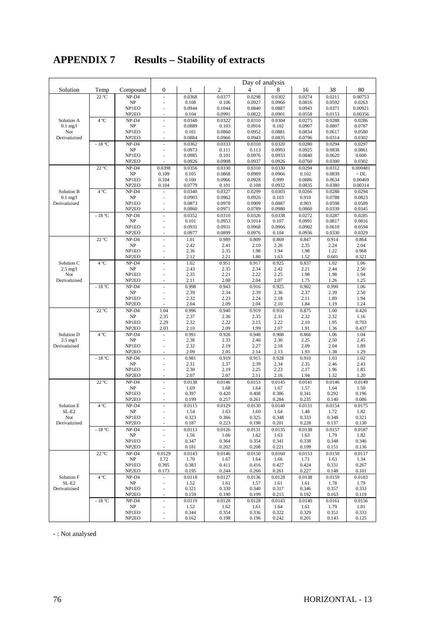# **APPENDIX 7 Results – Stability of extracts**

|                       |                         |                                    | Day of analysis                                      |                  |                  |                  |                  |                  |                  |                   |
|-----------------------|-------------------------|------------------------------------|------------------------------------------------------|------------------|------------------|------------------|------------------|------------------|------------------|-------------------|
| Solution              | Temp                    | Compound                           | 0                                                    | 1                | 2                | 4                | 8                | 16               | 38               | 80                |
|                       | $22^{\circ}C$           | NP-D4                              | L,                                                   | 0.0368           | 0.0377           | 0.0298           | 0.0302           | 0.0274           | 0.0211           | 0.00753           |
|                       |                         | NP                                 | ä,                                                   | 0.108            | 0.106            | 0.0927           | 0.0966           | 0.0816           | 0.0592           | 0.0263            |
|                       |                         | <b>NP1EO</b>                       | ä,                                                   | 0.0944           | 0.1044           | 0.0840           | 0.0887           | 0.0943           | 0.0371           | 0.00921           |
| Solution A            | 4 °C                    | NP <sub>2EO</sub><br>NP-D4         | ÷.<br>$\overline{\phantom{a}}$                       | 0.104<br>0.0348  | 0.0991<br>0.0322 | 0.0822<br>0.0310 | 0.0901<br>0.0304 | 0.0558<br>0.0275 | 0.0153<br>0.0288 | 0.00356<br>0.0286 |
| $0.1$ mg/l            |                         | NP                                 | ä,                                                   | 0.0889           | 0.103            | 0.0916           | 0.102            | 0.0907           | 0.0807           | 0.0787            |
| Not                   |                         | <b>NP1EO</b>                       | ÷.                                                   | 0.101            | 0.0860           | 0.0952           | 0.0881           | 0.0834           | 0.0617           | 0.0580            |
| Derivatizised         |                         | NP <sub>2</sub> EO                 | ٠                                                    | 0.0884           | 0.0966           | 0.0943           | 0.0835           | 0.0796           | 0.0314           | 0.0302            |
|                       | $-18 °C$                | NP-D4<br>NP                        | $\overline{\phantom{a}}$<br>ä,                       | 0.0362<br>0.0973 | 0.0333<br>0.111  | 0.0310<br>0.113  | 0.0320<br>0.0993 | 0.0280<br>0.0925 | 0.0294<br>0.0838 | 0.0297<br>0.0861  |
|                       |                         | <b>NP1EO</b>                       | $\overline{\phantom{a}}$                             | 0.0985           | 0.101            | 0.0976           | 0.0933           | 0.0840           | 0.0620           | 0.600             |
|                       |                         | NP <sub>2</sub> EO                 | ä,                                                   | 0.0926           | 0.0908           | 0.0937           | 0.0926           | 0.0760           | 0.0300           | 0.0302            |
|                       | $22^{\circ}C$           | NP-D4                              | 0.0398                                               | 0.0356           | 0.0330           | 0.0310           | 0.0330           | 0.0294           | 0.0312           | 0.000481          |
|                       |                         | NP<br><b>NP1EO</b>                 | 0.109<br>0.104                                       | 0.105<br>0.100   | 0.0868<br>0.0966 | 0.0989<br>0.0928 | 0.0966<br>0.999  | 0.102<br>0.0886  | 0.0839<br>0.0634 | $<$ DL<br>0.00469 |
|                       |                         | NP <sub>2</sub> EO                 | 0.104                                                | 0.0779           | 0.101            | 0.108            | 0.0932           | 0.0835           | 0.0380           | 0.00314           |
| Solution B            | 4 °C                    | NP-D4                              | $\overline{\phantom{a}}$                             | 0.0340           | 0.0327           | 0.0299           | 0.0303           | 0.0266           | 0.0288           | 0.0294            |
| $0.1$ mg/l            |                         | NP                                 |                                                      | 0.0903           | 0.0962           | 0.0926           | 0.103            | 0.910            | 0.0788           | 0.0823            |
| Derivatizised         |                         | <b>NP1EO</b>                       | ÷,                                                   | 0.0873           | 0.0978           | 0.0909           | 0.0887           | 0.903            | 0.0598           | 0.0589            |
|                       | $-18 °C$                | NP <sub>2</sub> EO<br>NP-D4        | ÷,                                                   | 0.0860<br>0.0352 | 0.0971<br>0.0310 | 0.0789<br>0.0326 | 0.0980<br>0.0338 | 0.0860<br>0.0272 | 0.0339<br>0.0287 | 0.0345<br>0.0285  |
|                       |                         | NP                                 | $\overline{\phantom{a}}$                             | 0.101            | 0.0953           | 0.1014           | 0.107            | 0.0991           | 0.0817           | 0.0816            |
|                       |                         | <b>NP1EO</b>                       | ä,                                                   | 0.0931           | 0.0931           | 0.0968           | 0.0966           | 0.0902           | 0.0610           | 0.0594            |
|                       |                         | NP <sub>2</sub> EO                 | ä,                                                   | 0.0977           | 0.0899           | 0.0976           | 0.104            | 0.0936           | 0.0330           | 0.0329            |
|                       | $22^{\circ}$ C          | NP-D4<br>NP                        | $\overline{\phantom{a}}$<br>ä,                       | 1.01<br>2.42     | 0.989<br>2.41    | 0.809<br>2.10    | 0.869<br>2.26    | 0.847<br>2.35    | 0.914<br>2.24    | 0.864<br>2.04     |
|                       |                         | NP1EO                              | ä,                                                   | 2.36             | 2.35             | 1.98             | 1.94             | 1.98             | 1.22             | 0.968             |
|                       |                         | NP <sub>2</sub> EO                 | ٠                                                    | 2.12             | 2.21             | 1.80             | 1.63             | 1.52             | 0.601            | 0.321             |
| Solution C            | 4 °C                    | NP-D4                              | ä,                                                   | 1.02             | 0.951            | 0.917            | 0.925            | 0.837            | 1.02             | 1.06              |
| $2.5$ mg/l<br>Not     |                         | NP<br><b>NP1EO</b>                 | ä,<br>٠                                              | 2.43<br>2.35     | 2.35<br>2.21     | 2.34<br>2.22     | 2.42<br>2.25     | 2.21<br>1.98     | 2.44<br>1.98     | 2.50<br>1.94      |
| Derivatizised         |                         | NP <sub>2</sub> EO                 | ä,                                                   | 2.11             | 2.08             | 2.04             | 2.07             | 1.75             | 1.26             | 1.25              |
|                       | $-18 °C$                | NP-D4                              | $\overline{\phantom{a}}$                             | 0.998            | 0.943            | 0.916            | 0.925            | 0.902            | 0.990            | 1.06              |
|                       |                         | NP                                 | ٠                                                    | 2.39             | 2.34             | 2.39             | 2.36             | 2.37             | 2.39             | 2.50              |
|                       |                         | <b>NP1EO</b><br>NP <sub>2</sub> EO | ä,<br>$\overline{\phantom{a}}$                       | 2.32<br>2.04     | 2.23<br>2.09     | 2.24<br>2.04     | 2.18<br>2.10     | 2.11<br>1.84     | 1.89<br>1.19     | 1.94<br>1.24      |
|                       | $22^{\circ}C$           | NP-D4                              | 1.04                                                 | 0.996            | 0.940            | 0.919            | 0.910            | 0.875            | 1.00             | 0.420             |
|                       |                         | NP                                 | 2.35                                                 | 2.37             | 2.36             | 2.35             | 2.31             | 2.32             | 2.32             | 1.16              |
|                       |                         | <b>NP1EO</b>                       | 2.29                                                 | 2.32             | 2.22             | 2.15             | 2.22             | 2.10             | 1.95             | 0.703             |
| Solution D            | 4 °C                    | NP <sub>2</sub> EO<br>NP-D4        | 2.03<br>÷,                                           | 2.10<br>0.991    | 2.09<br>0.926    | 1.99<br>0.948    | 2.07<br>0.908    | 1.91<br>0.866    | 1.36<br>1.06     | 0.437<br>1.04     |
| $2.5$ mg/l            |                         | NP                                 | ÷,                                                   | 2.36             | 2.33             | 2.46             | 2.30             | 2.25             | 2.50             | 2.45              |
| Derivatizised         |                         | <b>NP1EO</b>                       |                                                      | 2.32             | 2.19             | 2.27             | 2.18             | 2.09             | 2.04             | 1.89              |
|                       |                         | NP2EO                              | ä,                                                   | 2.09             | 2.05             | 2.14             | 2.13             | 1.93             | 1.38             | 1.29              |
|                       | $-18 °C$                | NP-D4<br>NP                        | ÷,<br>÷                                              | 0.981<br>2.31    | 0.919<br>2.37    | 0.915<br>2.39    | 0.928<br>2.34    | 0.910<br>2.35    | 1.03<br>2.46     | 1.02<br>2.43      |
|                       |                         | <b>NP1EO</b>                       | ÷,                                                   | 2.30             | 2.19             | 2.25             | 2.23             | 2.17             | 1.96             | 1.85              |
|                       |                         | NP <sub>2</sub> EO                 |                                                      | 2.07             | 2.07             | 2.11             | 2.16             | 1.94             | 1.32             | 1.20              |
|                       | $22^{\circ}C$           | $NP-D4$                            | ÷,                                                   | 0.0138           | 0.0146           | 0.0153           | 0.0145           | 0.0141           | 0.0146           | 0.0149            |
|                       |                         | <b>NP</b><br><b>NP1EO</b>          | ä,<br>ä,                                             | 1.69<br>0.397    | 1.68<br>0.420    | 1.64<br>0.408    | 1.67<br>0.386    | 1.57<br>0.341    | 1.64<br>0.292    | 1.50<br>0.196     |
|                       |                         | NP2EO                              | ÷.                                                   | 0.199            | 0.257            | 0.261            | 0.284            | 0.235            | 0.140            | 0.086             |
| Solution E            | 4 °C                    | NP-D4                              | L,                                                   | 0.0115           | 0.0129           | 0.0130           | 0.0140           | 0.0131           | 0.0154           | 0.0175            |
| SL-E2                 |                         | <b>NP</b>                          |                                                      | 1.54             | 1.63             | 1.60             | 1.64             | 1.48             | 1.72             | 1.82              |
| Not<br>Derivatizised  |                         | <b>NP1EO</b><br>NP2EO              | $\overline{\phantom{a}}$                             | 0.323<br>0.187   | 0.366<br>0.223   | 0.325<br>0.198   | 0.348<br>0.201   | 0.333<br>0.228   | 0.348<br>0.137   | 0.321<br>0.130    |
|                       | - 18 °C                 | $NP-D4$                            | $\overline{\phantom{a}}$                             | 0.0113           | 0.0126           | 0.0131           | 0.0135           | 0.0138           | 0.0157           | 0.0187            |
|                       |                         | NP                                 | $\overline{\phantom{a}}$                             | 1.56             | 1.66             | 1.62             | 1.63             | 1.63             | 1.79             | 1.82              |
|                       |                         | <b>NP1EO</b><br>NP <sub>2</sub> EO | $\overline{\phantom{a}}$<br>$\sim$                   | 0.347<br>0.181   | 0.364<br>0.202   | 0.354<br>0.208   | 0.341<br>0.221   | 0.338<br>0.199   | 0.348            | 0.346<br>0.136    |
|                       | $22^{\circ}$ C          | $NP-D4$                            | 0.0129                                               | 0.0143           | 0.0146           | 0.0150           | 0.0160           | 0.0153           | 0.151<br>0.0150  | 0.0117            |
|                       |                         | NP                                 | 1.72                                                 | 1.70             | 1.67             | 1.64             | 1.66             | 1.71             | 1.63             | 1.34              |
|                       |                         | NP1EO                              | 0.395                                                | 0.383            | 0.411            | 0.416            | 0.427            | 0.424            | 0.331            | 0.267             |
|                       |                         | NP2EO                              | 0.173                                                | 0.195            | 0.244            | 0.266            | 0.261            | 0.227            | 0.148            | 0.101             |
| Solution F<br>$SL-E2$ | $4\,^{\rm o}\mathrm{C}$ | NP-D4<br>NP                        | $\overline{\phantom{a}}$<br>$\overline{\phantom{a}}$ | 0.0118<br>1.52   | 0.0127<br>1.61   | 0.0136<br>1.57   | 0.0128<br>1.61   | 0.0138<br>1.61   | 0.0159<br>1.78   | 0.0183<br>1.79    |
| Derivatizised         |                         | NP1EO                              | $\overline{\phantom{m}}$                             | 0.321            | 0.330            | 0.340            | 0.317            | 0.346            | 0.357            | 0.333             |
|                       |                         | NP <sub>2</sub> EO                 |                                                      | 0.159            | 0.190            | 0.199            | 0.215            | 0.192            | 0.163            | 0.119             |
|                       | - $18^{\circ}$ C        | $NP-D4$<br>NP                      | $\overline{\phantom{a}}$<br>$\overline{a}$           | 0.0119<br>1.52   | 0.0128<br>1.62   | 0.0128<br>1.61   | 0.0143<br>1.64   | 0.0140<br>1.61   | 0.0161<br>1.79   | 0.0156<br>1.81    |
|                       |                         | NP1EO                              | $\frac{1}{2}$                                        | 0.344            | 0.354            | 0.336            | 0.322            | 0.329            | 0.351            | 0.333             |
|                       |                         | NP2EO                              |                                                      | 0.162            | 0.198            | 0.196            | 0.242            | 0.201            | 0.143            | 0.125             |

- : Not analysed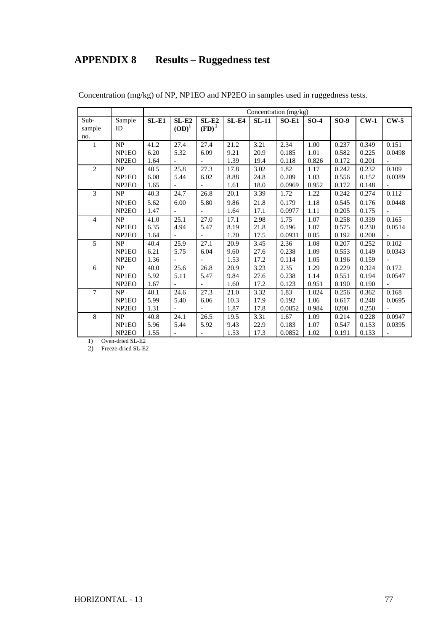# **APPENDIX 8 Results – Ruggedness test**

|                |                    | Concentration (mg/kg) |          |                   |         |         |         |        |       |        |        |
|----------------|--------------------|-----------------------|----------|-------------------|---------|---------|---------|--------|-------|--------|--------|
| Sub-           | Sample             | $SL-E1$               | $SL-E2$  | $SL-E2$           | $SL-E4$ | $SL-11$ | $SO-E1$ | $SO-4$ | SO-9  | $CW-1$ | $CW-5$ |
| sample         | ID                 |                       | $(OD)^1$ | (FD) <sup>2</sup> |         |         |         |        |       |        |        |
| no.            |                    |                       |          |                   |         |         |         |        |       |        |        |
| $\mathbf{1}$   | <b>NP</b>          | 41.2                  | 27.4     | 27.4              | 21.2    | 3.21    | 2.34    | 1.00   | 0.237 | 0.349  | 0.151  |
|                | NP1EO              | 6.20                  | 5.32     | 6.09              | 9.21    | 20.9    | 0.185   | 1.01   | 0.582 | 0.225  | 0.0498 |
|                | NP <sub>2</sub> EO | 1.64                  |          |                   | 1.39    | 19.4    | 0.118   | 0.826  | 0.172 | 0.201  |        |
| 2              | NP                 | 40.5                  | 25.8     | 27.3              | 17.8    | 3.02    | 1.82    | 1.17   | 0.242 | 0.232  | 0.109  |
|                | NP1EO              | 6.08                  | 5.44     | 6.02              | 8.88    | 24.8    | 0.209   | 1.03   | 0.556 | 0.152  | 0.0389 |
|                | NP <sub>2</sub> EO | 1.65                  |          |                   | 1.61    | 18.0    | 0.0969  | 0.952  | 0.172 | 0.148  |        |
| $\overline{3}$ | NP                 | 40.3                  | 24.7     | 26.8              | 20.1    | 3.39    | 1.72    | 1.22   | 0.242 | 0.274  | 0.112  |
|                | NP1EO              | 5.62                  | 6.00     | 5.80              | 9.86    | 21.8    | 0.179   | 1.18   | 0.545 | 0.176  | 0.0448 |
|                | NP <sub>2</sub> EO | 1.47                  |          |                   | 1.64    | 17.1    | 0.0977  | 1.11   | 0.205 | 0.175  |        |
| $\overline{4}$ | <b>NP</b>          | 41.0                  | 25.1     | 27.0              | 17.1    | 2.98    | 1.75    | 1.07   | 0.258 | 0.339  | 0.165  |
|                | NP1EO              | 6.35                  | 4.94     | 5.47              | 8.19    | 21.8    | 0.196   | 1.07   | 0.575 | 0.230  | 0.0514 |
|                | NP <sub>2</sub> EO | 1.64                  |          |                   | 1.70    | 17.5    | 0.0931  | 0.85   | 0.192 | 0.200  |        |
| 5              | NP                 | 40.4                  | 25.9     | 27.1              | 20.9    | 3.45    | 2.36    | 1.08   | 0.207 | 0.252  | 0.102  |
|                | NP1EO              | 6.21                  | 5.75     | 6.04              | 9.60    | 27.6    | 0.238   | 1.09   | 0.553 | 0.149  | 0.0343 |
|                | NP <sub>2</sub> EO | 1.36                  |          |                   | 1.53    | 17.2    | 0.114   | 1.05   | 0.196 | 0.159  |        |
| 6              | <b>NP</b>          | 40.0                  | 25.6     | 26.8              | 20.9    | 3.23    | 2.35    | 1.29   | 0.229 | 0.324  | 0.172  |
|                | NP1EO              | 5.92                  | 5.11     | 5.47              | 9.84    | 27.6    | 0.238   | 1.14   | 0.551 | 0.194  | 0.0547 |
|                | NP <sub>2</sub> EO | 1.67                  |          |                   | 1.60    | 17.2    | 0.123   | 0.951  | 0.190 | 0.190  |        |
| $\tau$         | <b>NP</b>          | 40.1                  | 24.6     | 27.3              | 21.0    | 3.32    | 1.83    | 1.024  | 0.256 | 0.362  | 0.168  |
|                | NP1EO              | 5.99                  | 5.40     | 6.06              | 10.3    | 17.9    | 0.192   | 1.06   | 0.617 | 0.248  | 0.0695 |
|                | NP <sub>2</sub> EO | 1.31                  |          |                   | 1.87    | 17.8    | 0.0852  | 0.984  | 0200  | 0.250  |        |
| 8              | NP                 | 40.8                  | 24.1     | 26.5              | 19.5    | 3.31    | 1.67    | 1.09   | 0.214 | 0.228  | 0.0947 |
|                | NP <sub>1</sub> EO | 5.96                  | 5.44     | 5.92              | 9.43    | 22.9    | 0.183   | 1.07   | 0.547 | 0.153  | 0.0395 |
|                | NP <sub>2</sub> EO | 1.55                  |          |                   | 1.53    | 17.3    | 0.0852  | 1.02   | 0.191 | 0.133  |        |

Concentration (mg/kg) of NP, NP1EO and NP2EO in samples used in ruggedness tests.

1) Oven-dried SL-E2

2) Freeze-dried SL-E2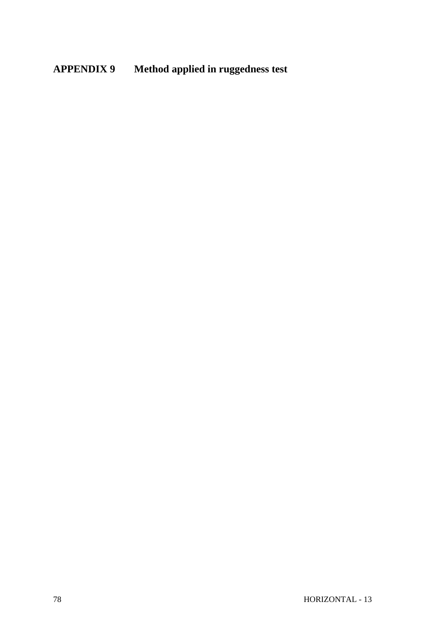# **APPENDIX 9 Method applied in ruggedness test**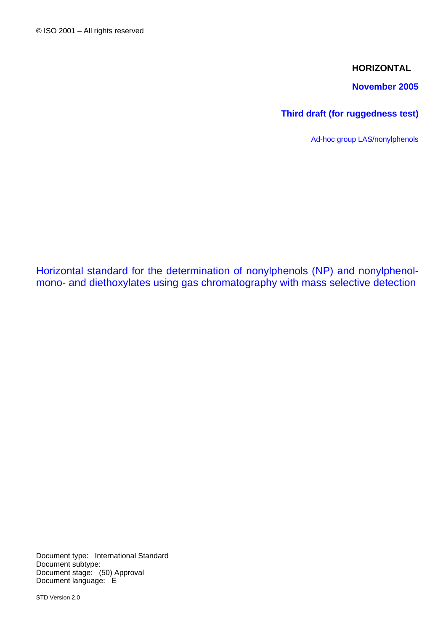## **HORIZONTAL**

**November 2005**

## **Third draft (for ruggedness test)**

Ad-hoc group LAS/nonylphenols

Horizontal standard for the determination of nonylphenols (NP) and nonylphenolmono- and diethoxylates using gas chromatography with mass selective detection

Document type: International Standard Document subtype: Document stage: (50) Approval Document language: E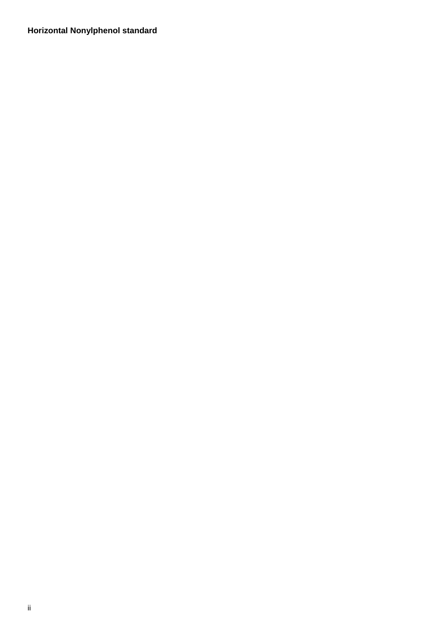**Horizontal Nonylphenol standard**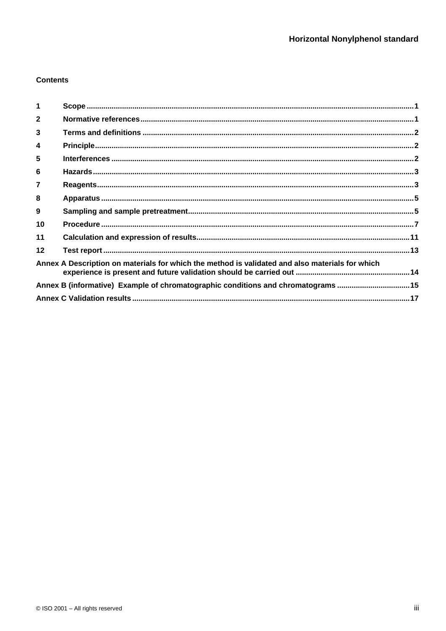## **Contents**

| $\mathbf{1}$            |                                                                                                 |  |
|-------------------------|-------------------------------------------------------------------------------------------------|--|
| $\overline{2}$          |                                                                                                 |  |
| 3                       |                                                                                                 |  |
| $\overline{\mathbf{4}}$ |                                                                                                 |  |
| 5                       |                                                                                                 |  |
| $6\phantom{1}6$         |                                                                                                 |  |
| $\overline{7}$          |                                                                                                 |  |
| 8                       |                                                                                                 |  |
| 9                       |                                                                                                 |  |
| 10                      |                                                                                                 |  |
| 11                      |                                                                                                 |  |
| 12                      |                                                                                                 |  |
|                         | Annex A Description on materials for which the method is validated and also materials for which |  |
|                         | Annex B (informative) Example of chromatographic conditions and chromatograms 15                |  |
|                         |                                                                                                 |  |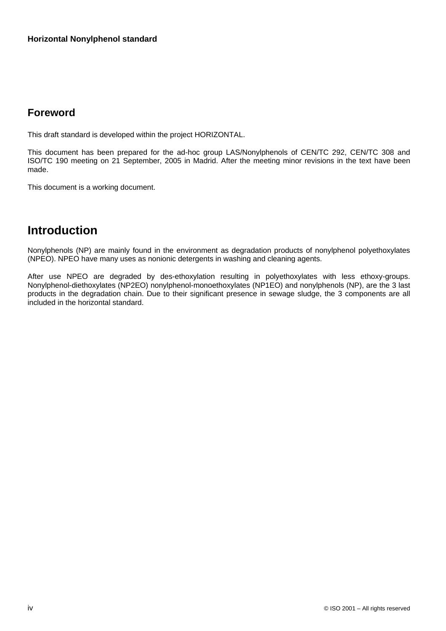## **Foreword**

This draft standard is developed within the project HORIZONTAL.

This document has been prepared for the ad-hoc group LAS/Nonylphenols of CEN/TC 292, CEN/TC 308 and ISO/TC 190 meeting on 21 September, 2005 in Madrid. After the meeting minor revisions in the text have been made.

This document is a working document.

# **Introduction**

Nonylphenols (NP) are mainly found in the environment as degradation products of nonylphenol polyethoxylates (NPEO). NPEO have many uses as nonionic detergents in washing and cleaning agents.

After use NPEO are degraded by des-ethoxylation resulting in polyethoxylates with less ethoxy-groups. Nonylphenol-diethoxylates (NP2EO) nonylphenol-monoethoxylates (NP1EO) and nonylphenols (NP), are the 3 last products in the degradation chain. Due to their significant presence in sewage sludge, the 3 components are all included in the horizontal standard.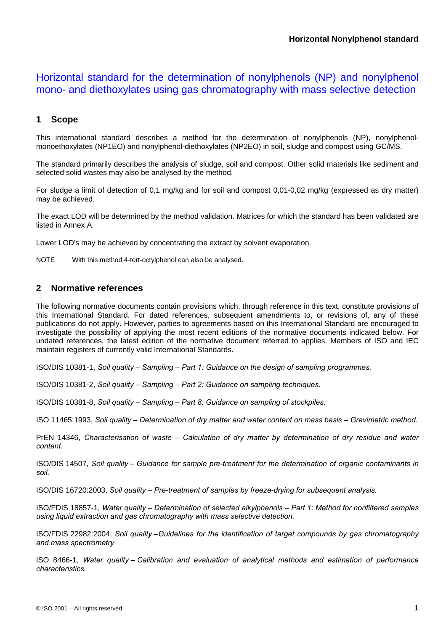## Horizontal standard for the determination of nonylphenols (NP) and nonylphenol mono- and diethoxylates using gas chromatography with mass selective detection

## **1 Scope**

This international standard describes a method for the determination of nonylphenols (NP), nonylphenolmonoethoxylates (NP1EO) and nonylphenol-diethoxylates (NP2EO) in soil, sludge and compost using GC/MS.

The standard primarily describes the analysis of sludge, soil and compost. Other solid materials like sediment and selected solid wastes may also be analysed by the method.

For sludge a limit of detection of 0,1 mg/kg and for soil and compost 0,01-0,02 mg/kg (expressed as dry matter) may be achieved.

The exact LOD will be determined by the method validation. Matrices for which the standard has been validated are listed in Annex A.

Lower LOD's may be achieved by concentrating the extract by solvent evaporation.

NOTE With this method 4-tert-octylphenol can also be analysed.

## **2 Normative references**

The following normative documents contain provisions which, through reference in this text, constitute provisions of this International Standard. For dated references, subsequent amendments to, or revisions of, any of these publications do not apply. However, parties to agreements based on this International Standard are encouraged to investigate the possibility of applying the most recent editions of the normative documents indicated below. For undated references, the latest edition of the normative document referred to applies. Members of ISO and IEC maintain registers of currently valid International Standards.

ISO/DIS 10381-1, *Soil quality – Sampling – Part 1: Guidance on the design of sampling programmes.* 

ISO/DIS 10381-2, *Soil quality – Sampling – Part 2: Guidance on sampling techniques.* 

ISO/DIS 10381-8, *Soil quality – Sampling – Part 8: Guidance on sampling of stockpiles.* 

ISO 11465:1993, *Soil quality – Determination of dry matter and water content on mass basis – Gravimetric method.* 

PrEN 14346, *Characterisation of waste – Calculation of dry matter by determination of dry residue and water content*.

ISO/DIS 14507, *Soil quality – Guidance for sample pre-treatment for the determination of organic contaminants in soil.* 

ISO/DIS 16720:2003, *Soil quality – Pre-treatment of samples by freeze-drying for subsequent analysis.* 

ISO/FDIS 18857-1, *Water quality – Determination of selected alkylphenols – Part 1: Method for nonfiltered samples using liquid extraction and gas chromatography with mass selective detection.* 

ISO/FDIS 22982:2004, *Soil quality –Guidelines for the identification of target compounds by gas chromatography and mass spectrometry* 

ISO 8466-1, *Water quality – Calibration and evaluation of analytical methods and estimation of performance characteristics.*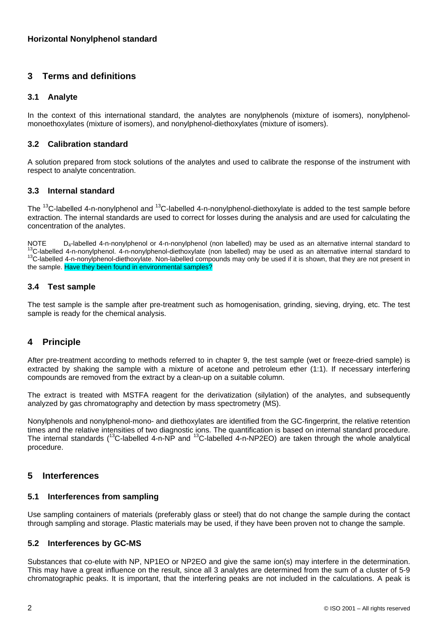## **3 Terms and definitions**

## **3.1 Analyte**

In the context of this international standard, the analytes are nonylphenols (mixture of isomers), nonylphenolmonoethoxylates (mixture of isomers), and nonylphenol-diethoxylates (mixture of isomers).

## **3.2 Calibration standard**

A solution prepared from stock solutions of the analytes and used to calibrate the response of the instrument with respect to analyte concentration.

## **3.3 Internal standard**

The <sup>13</sup>C-labelled 4-n-nonylphenol and <sup>13</sup>C-labelled 4-n-nonylphenol-diethoxylate is added to the test sample before extraction. The internal standards are used to correct for losses during the analysis and are used for calculating the concentration of the analytes.

NOTE  $D_4$ -labelled 4-n-nonylphenol or 4-n-nonylphenol (non labelled) may be used as an alternative internal standard to <sup>13</sup>C-labelled 4-n-nonylphenol. 4-n-nonylphenol-diethoxylate (non labelled) may be used as an altern the sample. Have they been found in environmental samples?

## **3.4 Test sample**

The test sample is the sample after pre-treatment such as homogenisation, grinding, sieving, drying, etc. The test sample is ready for the chemical analysis.

## **4 Principle**

After pre-treatment according to methods referred to in chapter 9, the test sample (wet or freeze-dried sample) is extracted by shaking the sample with a mixture of acetone and petroleum ether (1:1). If necessary interfering compounds are removed from the extract by a clean-up on a suitable column.

The extract is treated with MSTFA reagent for the derivatization (silylation) of the analytes, and subsequently analyzed by gas chromatography and detection by mass spectrometry (MS).

Nonylphenols and nonylphenol-mono- and diethoxylates are identified from the GC-fingerprint, the relative retention times and the relative intensities of two diagnostic ions. The quantification is based on internal standard procedure. The internal standards  $(^{13}C$ -labelled 4-n-NP and  $^{13}C$ -labelled 4-n-NP2EO) are taken through the whole analytical procedure.

## **5 Interferences**

## **5.1 Interferences from sampling**

Use sampling containers of materials (preferably glass or steel) that do not change the sample during the contact through sampling and storage. Plastic materials may be used, if they have been proven not to change the sample.

## **5.2 Interferences by GC-MS**

Substances that co-elute with NP, NP1EO or NP2EO and give the same ion(s) may interfere in the determination. This may have a great influence on the result, since all 3 analytes are determined from the sum of a cluster of 5-9 chromatographic peaks. It is important, that the interfering peaks are not included in the calculations. A peak is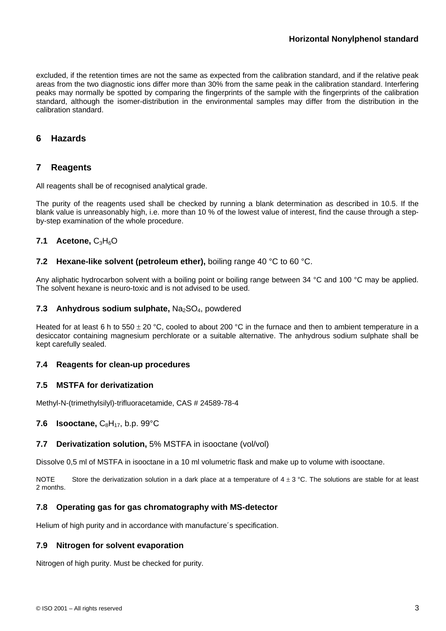excluded, if the retention times are not the same as expected from the calibration standard, and if the relative peak areas from the two diagnostic ions differ more than 30% from the same peak in the calibration standard. Interfering peaks may normally be spotted by comparing the fingerprints of the sample with the fingerprints of the calibration standard, although the isomer-distribution in the environmental samples may differ from the distribution in the calibration standard.

## **6 Hazards**

## **7 Reagents**

All reagents shall be of recognised analytical grade.

The purity of the reagents used shall be checked by running a blank determination as described in 10.5. If the blank value is unreasonably high, i.e. more than 10 % of the lowest value of interest, find the cause through a stepby-step examination of the whole procedure.

## 7.1 Acetone, C<sub>3</sub>H<sub>6</sub>O

#### **7.2 Hexane-like solvent (petroleum ether), boiling range 40 °C to 60 °C.**

Any aliphatic hydrocarbon solvent with a boiling point or boiling range between 34 °C and 100 °C may be applied. The solvent hexane is neuro-toxic and is not advised to be used.

### **7.3 Anhydrous sodium sulphate, Na<sub>2</sub>SO<sub>4</sub>, powdered**

Heated for at least 6 h to 550  $\pm$  20 °C, cooled to about 200 °C in the furnace and then to ambient temperature in a desiccator containing magnesium perchlorate or a suitable alternative. The anhydrous sodium sulphate shall be kept carefully sealed.

### **7.4 Reagents for clean-up procedures**

### **7.5 MSTFA for derivatization**

Methyl-N-(trimethylsilyl)-trifluoracetamide, CAS # 24589-78-4

### **7.6 Isooctane, C<sub>8</sub>H<sub>17</sub>, b.p. 99°C**

### **7.7 Derivatization solution,** 5% MSTFA in isooctane (vol/vol)

Dissolve 0,5 ml of MSTFA in isooctane in a 10 ml volumetric flask and make up to volume with isooctane.

NOTE Store the derivatization solution in a dark place at a temperature of  $4 \pm 3$  °C. The solutions are stable for at least 2 months.

### **7.8 Operating gas for gas chromatography with MS-detector**

Helium of high purity and in accordance with manufacture´s specification.

### **7.9 Nitrogen for solvent evaporation**

Nitrogen of high purity. Must be checked for purity.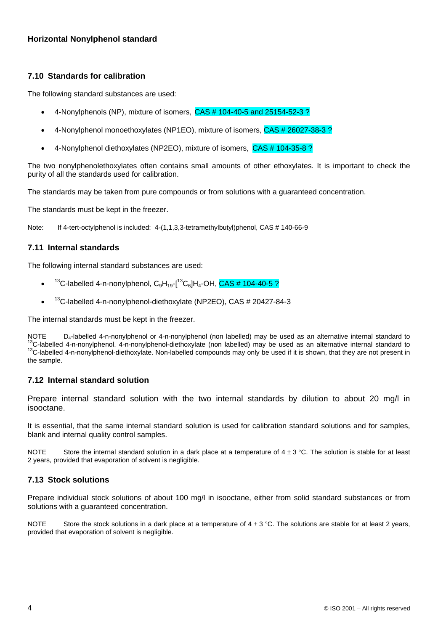## **7.10 Standards for calibration**

The following standard substances are used:

- 4-Nonylphenols (NP), mixture of isomers, CAS # 104-40-5 and 25154-52-3 ?
- 4-Nonylphenol monoethoxylates (NP1EO), mixture of isomers, CAS # 26027-38-3 ?
- 4-Nonylphenol diethoxylates (NP2EO), mixture of isomers, CAS # 104-35-8 ?

The two nonylphenolethoxylates often contains small amounts of other ethoxylates. It is important to check the purity of all the standards used for calibration.

The standards may be taken from pure compounds or from solutions with a guaranteed concentration.

The standards must be kept in the freezer.

Note: If 4-tert-octylphenol is included: 4-(1,1,3,3-tetramethylbutyl)phenol, CAS # 140-66-9

## **7.11 Internal standards**

The following internal standard substances are used:

- <sup>13</sup>C-labelled 4-n-nonylphenol,  $C_9H_{19}$ - $1^{13}C_6$ ]H<sub>4</sub>-OH, CAS # 104-40-5 ?
- <sup>13</sup>C-labelled 4-n-nonylphenol-diethoxylate (NP2EO), CAS # 20427-84-3

The internal standards must be kept in the freezer.

NOTE  $D_4$ -labelled 4-n-nonylphenol or 4-n-nonylphenol (non labelled) may be used as an alternative internal standard to <sup>13</sup>C-labelled 4-n-nonylphenol. 4-n-nonylphenol-diethoxylate (non labelled) may be used as an altern the sample.

### **7.12 Internal standard solution**

Prepare internal standard solution with the two internal standards by dilution to about 20 mg/l in isooctane.

It is essential, that the same internal standard solution is used for calibration standard solutions and for samples, blank and internal quality control samples.

NOTE Store the internal standard solution in a dark place at a temperature of  $4 \pm 3$  °C. The solution is stable for at least 2 years, provided that evaporation of solvent is negligible.

## **7.13 Stock solutions**

Prepare individual stock solutions of about 100 mg/l in isooctane, either from solid standard substances or from solutions with a guaranteed concentration.

NOTE Store the stock solutions in a dark place at a temperature of  $4 \pm 3$  °C. The solutions are stable for at least 2 years, provided that evaporation of solvent is negligible.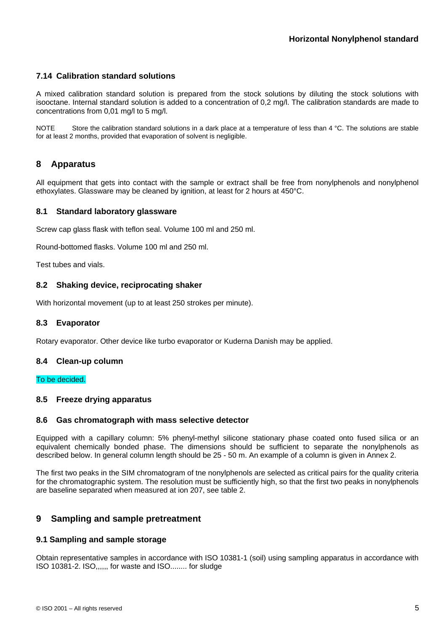## **7.14 Calibration standard solutions**

A mixed calibration standard solution is prepared from the stock solutions by diluting the stock solutions with isooctane. Internal standard solution is added to a concentration of 0,2 mg/l. The calibration standards are made to concentrations from 0,01 mg/l to 5 mg/l.

NOTE Store the calibration standard solutions in a dark place at a temperature of less than 4 °C. The solutions are stable for at least 2 months, provided that evaporation of solvent is negligible.

## **8 Apparatus**

All equipment that gets into contact with the sample or extract shall be free from nonylphenols and nonylphenol ethoxylates. Glassware may be cleaned by ignition, at least for 2 hours at 450°C.

### **8.1 Standard laboratory glassware**

Screw cap glass flask with teflon seal. Volume 100 ml and 250 ml.

Round-bottomed flasks. Volume 100 ml and 250 ml.

Test tubes and vials.

### **8.2 Shaking device, reciprocating shaker**

With horizontal movement (up to at least 250 strokes per minute).

### **8.3 Evaporator**

Rotary evaporator. Other device like turbo evaporator or Kuderna Danish may be applied.

### **8.4 Clean-up column**

### To be decided.

### **8.5 Freeze drying apparatus**

### **8.6 Gas chromatograph with mass selective detector**

Equipped with a capillary column: 5% phenyl-methyl silicone stationary phase coated onto fused silica or an equivalent chemically bonded phase. The dimensions should be sufficient to separate the nonylphenols as described below. In general column length should be 25 - 50 m. An example of a column is given in Annex 2.

The first two peaks in the SIM chromatogram of tne nonylphenols are selected as critical pairs for the quality criteria for the chromatographic system. The resolution must be sufficiently high, so that the first two peaks in nonylphenols are baseline separated when measured at ion 207, see table 2.

## **9 Sampling and sample pretreatment**

### **9.1 Sampling and sample storage**

Obtain representative samples in accordance with ISO 10381-1 (soil) using sampling apparatus in accordance with ISO 10381-2. ISO,,,,,, for waste and ISO........ for sludge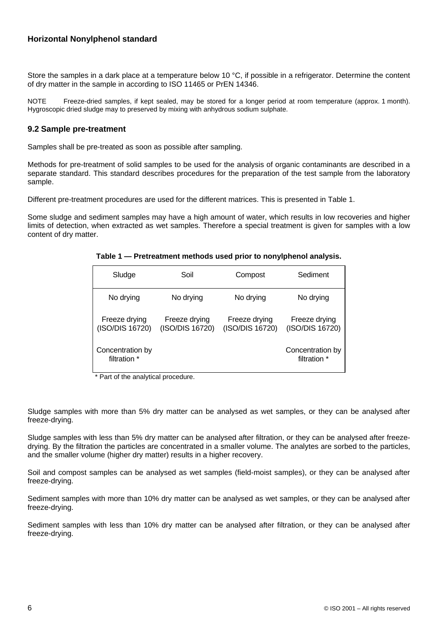## **Horizontal Nonylphenol standard**

Store the samples in a dark place at a temperature below 10 °C, if possible in a refrigerator. Determine the content of dry matter in the sample in according to ISO 11465 or PrEN 14346.

NOTE Freeze-dried samples, if kept sealed, may be stored for a longer period at room temperature (approx. 1 month). Hygroscopic dried sludge may to preserved by mixing with anhydrous sodium sulphate.

### **9.2 Sample pre-treatment**

Samples shall be pre-treated as soon as possible after sampling.

Methods for pre-treatment of solid samples to be used for the analysis of organic contaminants are described in a separate standard. This standard describes procedures for the preparation of the test sample from the laboratory sample.

Different pre-treatment procedures are used for the different matrices. This is presented in Table 1.

Some sludge and sediment samples may have a high amount of water, which results in low recoveries and higher limits of detection, when extracted as wet samples. Therefore a special treatment is given for samples with a low content of dry matter.

| Sludge                           | Soil                             | Compost                          | Sediment                         |
|----------------------------------|----------------------------------|----------------------------------|----------------------------------|
| No drying                        | No drying                        | No drying                        | No drying                        |
| Freeze drying<br>(ISO/DIS 16720) | Freeze drying<br>(ISO/DIS 16720) | Freeze drying<br>(ISO/DIS 16720) | Freeze drying<br>(ISO/DIS 16720) |
| Concentration by<br>filtration * |                                  |                                  | Concentration by<br>filtration * |

**Table 1 — Pretreatment methods used prior to nonylphenol analysis.** 

\* Part of the analytical procedure.

Sludge samples with more than 5% dry matter can be analysed as wet samples, or they can be analysed after freeze-drying.

Sludge samples with less than 5% dry matter can be analysed after filtration, or they can be analysed after freezedrying. By the filtration the particles are concentrated in a smaller volume. The analytes are sorbed to the particles, and the smaller volume (higher dry matter) results in a higher recovery.

Soil and compost samples can be analysed as wet samples (field-moist samples), or they can be analysed after freeze-drying.

Sediment samples with more than 10% dry matter can be analysed as wet samples, or they can be analysed after freeze-drying.

Sediment samples with less than 10% dry matter can be analysed after filtration, or they can be analysed after freeze-drying.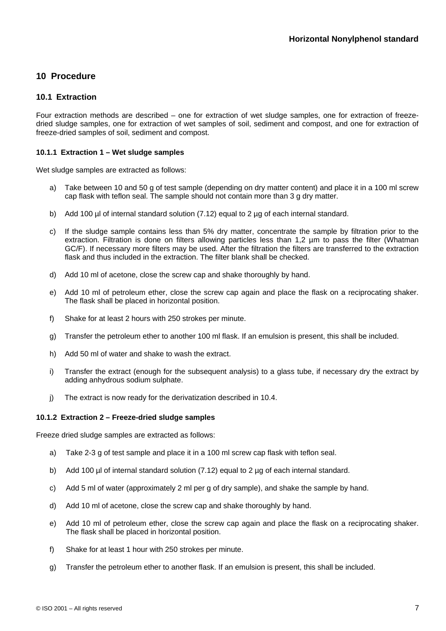## **10 Procedure**

### **10.1 Extraction**

Four extraction methods are described – one for extraction of wet sludge samples, one for extraction of freezedried sludge samples, one for extraction of wet samples of soil, sediment and compost, and one for extraction of freeze-dried samples of soil, sediment and compost.

#### **10.1.1 Extraction 1 – Wet sludge samples**

Wet sludge samples are extracted as follows:

- a) Take between 10 and 50 g of test sample (depending on dry matter content) and place it in a 100 ml screw cap flask with teflon seal. The sample should not contain more than 3 g dry matter.
- b) Add 100 µl of internal standard solution (7.12) equal to 2 µg of each internal standard.
- c) If the sludge sample contains less than 5% dry matter, concentrate the sample by filtration prior to the extraction. Filtration is done on filters allowing particles less than 1,2 um to pass the filter (Whatman GC/F). If necessary more filters may be used. After the filtration the filters are transferred to the extraction flask and thus included in the extraction. The filter blank shall be checked.
- d) Add 10 ml of acetone, close the screw cap and shake thoroughly by hand.
- e) Add 10 ml of petroleum ether, close the screw cap again and place the flask on a reciprocating shaker. The flask shall be placed in horizontal position.
- f) Shake for at least 2 hours with 250 strokes per minute.
- g) Transfer the petroleum ether to another 100 ml flask. If an emulsion is present, this shall be included.
- h) Add 50 ml of water and shake to wash the extract.
- i) Transfer the extract (enough for the subsequent analysis) to a glass tube, if necessary dry the extract by adding anhydrous sodium sulphate.
- j) The extract is now ready for the derivatization described in 10.4.

#### **10.1.2 Extraction 2 – Freeze-dried sludge samples**

Freeze dried sludge samples are extracted as follows:

- a) Take 2-3 g of test sample and place it in a 100 ml screw cap flask with teflon seal.
- b) Add 100  $\mu$  of internal standard solution (7.12) equal to 2  $\mu$ g of each internal standard.
- c) Add 5 ml of water (approximately 2 ml per g of dry sample), and shake the sample by hand.
- d) Add 10 ml of acetone, close the screw cap and shake thoroughly by hand.
- e) Add 10 ml of petroleum ether, close the screw cap again and place the flask on a reciprocating shaker. The flask shall be placed in horizontal position.
- f) Shake for at least 1 hour with 250 strokes per minute.
- g) Transfer the petroleum ether to another flask. If an emulsion is present, this shall be included.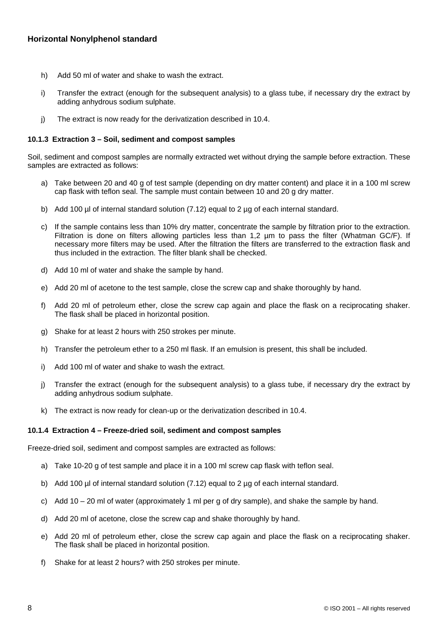- h) Add 50 ml of water and shake to wash the extract.
- i) Transfer the extract (enough for the subsequent analysis) to a glass tube, if necessary dry the extract by adding anhydrous sodium sulphate.
- j) The extract is now ready for the derivatization described in 10.4.

#### **10.1.3 Extraction 3 – Soil, sediment and compost samples**

Soil, sediment and compost samples are normally extracted wet without drying the sample before extraction. These samples are extracted as follows:

- a) Take between 20 and 40 g of test sample (depending on dry matter content) and place it in a 100 ml screw cap flask with teflon seal. The sample must contain between 10 and 20 g dry matter.
- b) Add 100 µl of internal standard solution (7.12) equal to 2 µg of each internal standard.
- c) If the sample contains less than 10% dry matter, concentrate the sample by filtration prior to the extraction. Filtration is done on filters allowing particles less than 1,2 µm to pass the filter (Whatman GC/F). If necessary more filters may be used. After the filtration the filters are transferred to the extraction flask and thus included in the extraction. The filter blank shall be checked.
- d) Add 10 ml of water and shake the sample by hand.
- e) Add 20 ml of acetone to the test sample, close the screw cap and shake thoroughly by hand.
- f) Add 20 ml of petroleum ether, close the screw cap again and place the flask on a reciprocating shaker. The flask shall be placed in horizontal position.
- g) Shake for at least 2 hours with 250 strokes per minute.
- h) Transfer the petroleum ether to a 250 ml flask. If an emulsion is present, this shall be included.
- i) Add 100 ml of water and shake to wash the extract.
- j) Transfer the extract (enough for the subsequent analysis) to a glass tube, if necessary dry the extract by adding anhydrous sodium sulphate.
- k) The extract is now ready for clean-up or the derivatization described in 10.4.

#### **10.1.4 Extraction 4 – Freeze-dried soil, sediment and compost samples**

Freeze-dried soil, sediment and compost samples are extracted as follows:

- a) Take 10-20 g of test sample and place it in a 100 ml screw cap flask with teflon seal.
- b) Add 100 µl of internal standard solution (7.12) equal to 2 µg of each internal standard.
- c) Add 10 20 ml of water (approximately 1 ml per g of dry sample), and shake the sample by hand.
- d) Add 20 ml of acetone, close the screw cap and shake thoroughly by hand.
- e) Add 20 ml of petroleum ether, close the screw cap again and place the flask on a reciprocating shaker. The flask shall be placed in horizontal position.
- f) Shake for at least 2 hours? with 250 strokes per minute.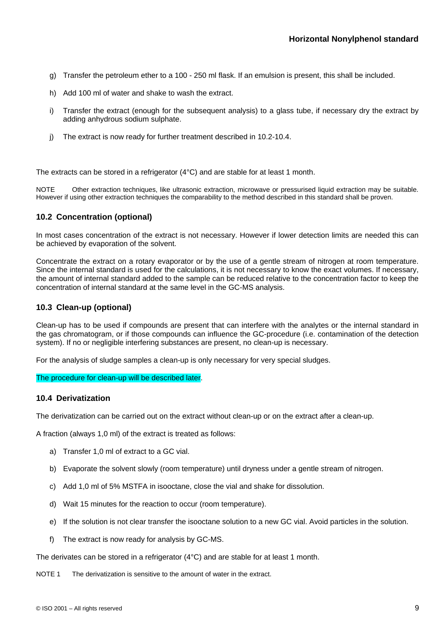- g) Transfer the petroleum ether to a 100 250 ml flask. If an emulsion is present, this shall be included.
- h) Add 100 ml of water and shake to wash the extract.
- i) Transfer the extract (enough for the subsequent analysis) to a glass tube, if necessary dry the extract by adding anhydrous sodium sulphate.
- j) The extract is now ready for further treatment described in 10.2-10.4.

The extracts can be stored in a refrigerator (4°C) and are stable for at least 1 month.

NOTE Other extraction techniques, like ultrasonic extraction, microwave or pressurised liquid extraction may be suitable. However if using other extraction techniques the comparability to the method described in this standard shall be proven.

#### **10.2 Concentration (optional)**

In most cases concentration of the extract is not necessary. However if lower detection limits are needed this can be achieved by evaporation of the solvent.

Concentrate the extract on a rotary evaporator or by the use of a gentle stream of nitrogen at room temperature. Since the internal standard is used for the calculations, it is not necessary to know the exact volumes. If necessary, the amount of internal standard added to the sample can be reduced relative to the concentration factor to keep the concentration of internal standard at the same level in the GC-MS analysis.

#### **10.3 Clean-up (optional)**

Clean-up has to be used if compounds are present that can interfere with the analytes or the internal standard in the gas chromatogram, or if those compounds can influence the GC-procedure (i.e. contamination of the detection system). If no or negligible interfering substances are present, no clean-up is necessary.

For the analysis of sludge samples a clean-up is only necessary for very special sludges.

#### The procedure for clean-up will be described later.

#### **10.4 Derivatization**

The derivatization can be carried out on the extract without clean-up or on the extract after a clean-up.

A fraction (always 1,0 ml) of the extract is treated as follows:

- a) Transfer 1,0 ml of extract to a GC vial.
- b) Evaporate the solvent slowly (room temperature) until dryness under a gentle stream of nitrogen.
- c) Add 1,0 ml of 5% MSTFA in isooctane, close the vial and shake for dissolution.
- d) Wait 15 minutes for the reaction to occur (room temperature).
- e) If the solution is not clear transfer the isooctane solution to a new GC vial. Avoid particles in the solution.
- f) The extract is now ready for analysis by GC-MS.

The derivates can be stored in a refrigerator (4°C) and are stable for at least 1 month.

NOTE 1 The derivatization is sensitive to the amount of water in the extract.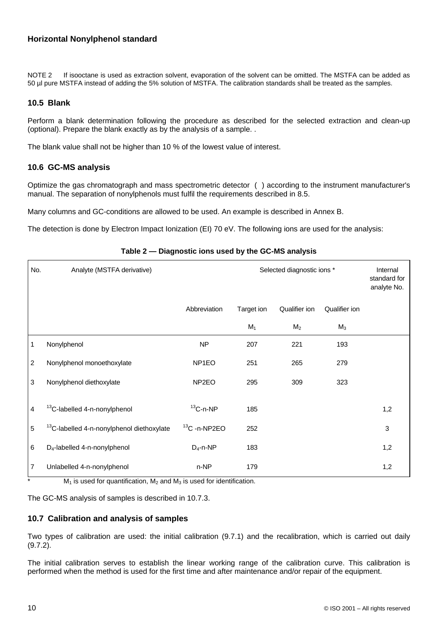## **Horizontal Nonylphenol standard**

NOTE 2 If isooctane is used as extraction solvent, evaporation of the solvent can be omitted. The MSTFA can be added as 50 µl pure MSTFA instead of adding the 5% solution of MSTFA. The calibration standards shall be treated as the samples.

### **10.5 Blank**

Perform a blank determination following the procedure as described for the selected extraction and clean-up (optional). Prepare the blank exactly as by the analysis of a sample. .

The blank value shall not be higher than 10 % of the lowest value of interest.

#### **10.6 GC-MS analysis**

Optimize the gas chromatograph and mass spectrometric detector ( ) according to the instrument manufacturer's manual. The separation of nonylphenols must fulfil the requirements described in 8.5.

Many columns and GC-conditions are allowed to be used. An example is described in Annex B.

The detection is done by Electron Impact Ionization (EI) 70 eV. The following ions are used for the analysis:

| No.            | Analyte (MSTFA derivative)                            |                    | Selected diagnostic ions * |                |               | Internal<br>standard for<br>analyte No. |
|----------------|-------------------------------------------------------|--------------------|----------------------------|----------------|---------------|-----------------------------------------|
|                |                                                       | Abbreviation       | Target ion                 | Qualifier ion  | Qualifier ion |                                         |
|                |                                                       |                    | M <sub>1</sub>             | M <sub>2</sub> | $M_3$         |                                         |
| $\mathbf{1}$   | Nonylphenol                                           | <b>NP</b>          | 207                        | 221            | 193           |                                         |
| $\overline{2}$ | Nonylphenol monoethoxylate                            | NP <sub>1EO</sub>  | 251                        | 265            | 279           |                                         |
| $\mathbf{3}$   | Nonylphenol diethoxylate                              | NP <sub>2</sub> EO | 295                        | 309            | 323           |                                         |
| $\overline{4}$ | <sup>13</sup> C-labelled 4-n-nonylphenol              | $13$ C-n-NP        | 185                        |                |               | 1,2                                     |
| 5              | <sup>13</sup> C-labelled 4-n-nonylphenol diethoxylate | $13C - n-NP2EO$    | 252                        |                |               | 3                                       |
| 6              | D <sub>4</sub> -labelled 4-n-nonylphenol              | $D_4$ -n-NP        | 183                        |                |               | 1,2                                     |
| $\overline{7}$ | Unlabelled 4-n-nonylphenol                            | n-NP               | 179                        |                |               | 1,2                                     |

### **Table 2 — Diagnostic ions used by the GC-MS analysis**

 $M_1$  is used for quantification,  $M_2$  and  $M_3$  is used for identification.

The GC-MS analysis of samples is described in 10.7.3.

### **10.7 Calibration and analysis of samples**

Two types of calibration are used: the initial calibration (9.7.1) and the recalibration, which is carried out daily (9.7.2).

The initial calibration serves to establish the linear working range of the calibration curve. This calibration is performed when the method is used for the first time and after maintenance and/or repair of the equipment.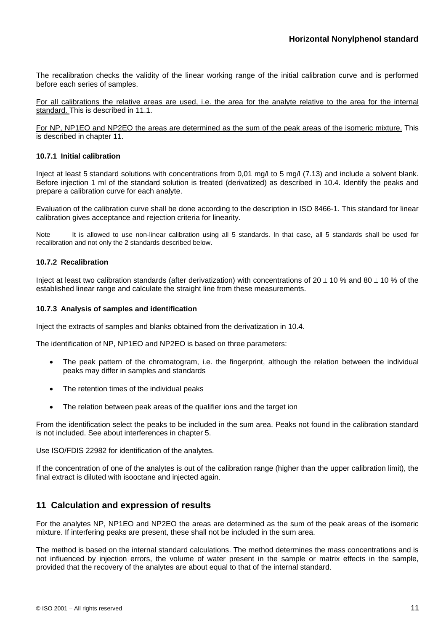The recalibration checks the validity of the linear working range of the initial calibration curve and is performed before each series of samples.

For all calibrations the relative areas are used, i.e. the area for the analyte relative to the area for the internal standard. This is described in 11.1.

For NP, NP1EO and NP2EO the areas are determined as the sum of the peak areas of the isomeric mixture. This is described in chapter 11.

#### **10.7.1 Initial calibration**

Inject at least 5 standard solutions with concentrations from 0,01 mg/l to 5 mg/l (7.13) and include a solvent blank. Before injection 1 ml of the standard solution is treated (derivatized) as described in 10.4. Identify the peaks and prepare a calibration curve for each analyte.

Evaluation of the calibration curve shall be done according to the description in ISO 8466-1. This standard for linear calibration gives acceptance and rejection criteria for linearity.

Note It is allowed to use non-linear calibration using all 5 standards. In that case, all 5 standards shall be used for recalibration and not only the 2 standards described below.

#### **10.7.2 Recalibration**

Inject at least two calibration standards (after derivatization) with concentrations of  $20 \pm 10$  % and  $80 \pm 10$  % of the established linear range and calculate the straight line from these measurements.

#### **10.7.3 Analysis of samples and identification**

Inject the extracts of samples and blanks obtained from the derivatization in 10.4.

The identification of NP, NP1EO and NP2EO is based on three parameters:

- The peak pattern of the chromatogram, i.e. the fingerprint, although the relation between the individual peaks may differ in samples and standards
- The retention times of the individual peaks
- The relation between peak areas of the qualifier ions and the target ion

From the identification select the peaks to be included in the sum area. Peaks not found in the calibration standard is not included. See about interferences in chapter 5.

Use ISO/FDIS 22982 for identification of the analytes.

If the concentration of one of the analytes is out of the calibration range (higher than the upper calibration limit), the final extract is diluted with isooctane and injected again.

## **11 Calculation and expression of results**

For the analytes NP, NP1EO and NP2EO the areas are determined as the sum of the peak areas of the isomeric mixture. If interfering peaks are present, these shall not be included in the sum area.

The method is based on the internal standard calculations. The method determines the mass concentrations and is not influenced by injection errors, the volume of water present in the sample or matrix effects in the sample, provided that the recovery of the analytes are about equal to that of the internal standard.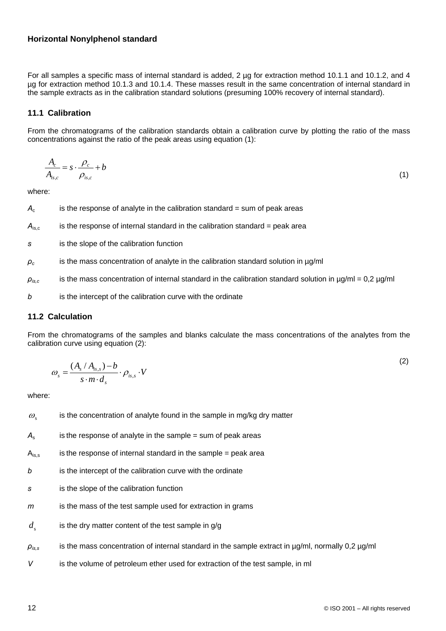## **Horizontal Nonylphenol standard**

For all samples a specific mass of internal standard is added, 2 µg for extraction method 10.1.1 and 10.1.2, and 4 µg for extraction method 10.1.3 and 10.1.4. These masses result in the same concentration of internal standard in the sample extracts as in the calibration standard solutions (presuming 100% recovery of internal standard).

### **11.1 Calibration**

From the chromatograms of the calibration standards obtain a calibration curve by plotting the ratio of the mass concentrations against the ratio of the peak areas using equation (1):

$$
\frac{A_c}{A_{is,c}} = s \cdot \frac{\rho_c}{\rho_{is,c}} + b \tag{1}
$$

where:

 $A_c$  is the response of analyte in the calibration standard = sum of peak areas

 $A_{\text{is c}}$  is the response of internal standard in the calibration standard = peak area

*s* is the slope of the calibration function

*ρc* is the mass concentration of analyte in the calibration standard solution in µg/ml

*ρis,c* is the mass concentration of internal standard in the calibration standard solution in µg/ml = 0,2 µg/ml

*b* is the intercept of the calibration curve with the ordinate

### **11.2 Calculation**

From the chromatograms of the samples and blanks calculate the mass concentrations of the analytes from the calibration curve using equation (2):

$$
\omega_s = \frac{(A_s / A_{is,s}) - b}{s \cdot m \cdot d_s} \cdot \rho_{is,s} \cdot V \tag{2}
$$

where:

 $\omega_{\rm s}$  is the concentration of analyte found in the sample in mg/kg dry matter

- $A<sub>s</sub>$  is the response of analyte in the sample  $=$  sum of peak areas
- $A<sub>is,s</sub>$  is the response of internal standard in the sample = peak area
- *b* is the intercept of the calibration curve with the ordinate
- *s* is the slope of the calibration function
- *m* is the mass of the test sample used for extraction in grams
- $d_s$  is the dry matter content of the test sample in  $g/g$
- *ρis,s* is the mass concentration of internal standard in the sample extract in µg/ml, normally 0,2 µg/ml
- *V* is the volume of petroleum ether used for extraction of the test sample, in ml

 $(2)$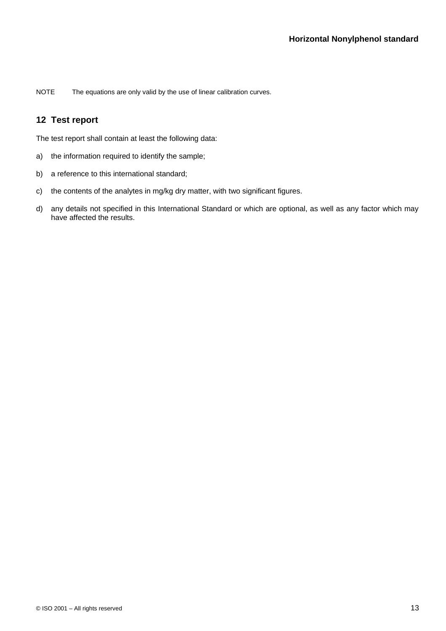NOTE The equations are only valid by the use of linear calibration curves.

## **12 Test report**

The test report shall contain at least the following data:

- a) the information required to identify the sample;
- b) a reference to this international standard;
- c) the contents of the analytes in mg/kg dry matter, with two significant figures.
- d) any details not specified in this International Standard or which are optional, as well as any factor which may have affected the results.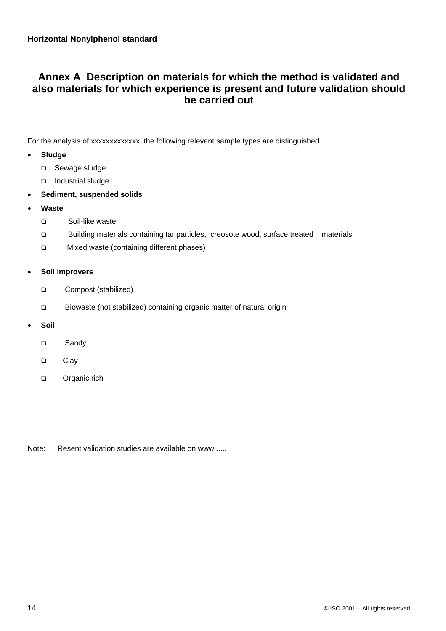## **Annex A Description on materials for which the method is validated and also materials for which experience is present and future validation should be carried out**

For the analysis of xxxxxxxxxxxx, the following relevant sample types are distinguished

## • **Sludge**

- □ Sewage sludge
- Industrial sludge
- **Sediment, suspended solids**
- **Waste** 
	- Soil-like waste
	- Building materials containing tar particles, creosote wood, surface treated materials
	- Mixed waste (containing different phases)

## • **Soil improvers**

- □ Compost (stabilized)
- Biowaste (not stabilized) containing organic matter of natural origin
- **Soil** 
	- □ Sandy
	- D Clay
	- □ Organic rich

Note: Resent validation studies are available on www......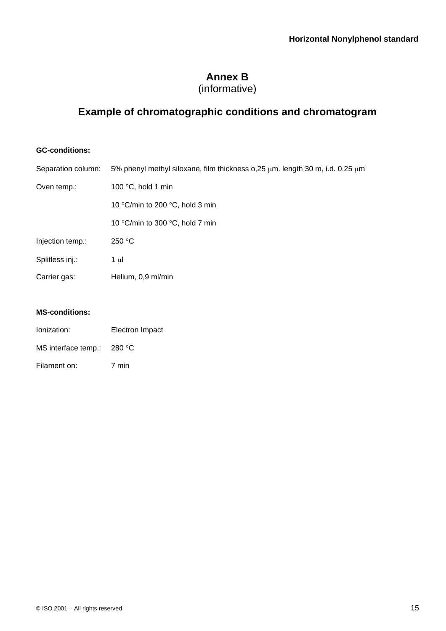## **Annex B**

# (informative)

# **Example of chromatographic conditions and chromatogram**

## **GC-conditions:**

| Separation column: | 5% phenyl methyl siloxane, film thickness $0.25 \mu m$ . length 30 m, i.d. $0.25 \mu m$ |
|--------------------|-----------------------------------------------------------------------------------------|
| Oven temp.:        | 100 $\degree$ C, hold 1 min                                                             |
|                    | 10 °C/min to 200 °C, hold 3 min                                                         |
|                    | 10 °C/min to 300 °C, hold 7 min                                                         |
| Injection temp.:   | 250 °C                                                                                  |
| Splitless inj.:    | 1 µl                                                                                    |
| Carrier gas:       | Helium, 0,9 ml/min                                                                      |
|                    |                                                                                         |

## **MS-conditions:**

| lonization:                  | Electron Impact |
|------------------------------|-----------------|
| MS interface temp.: $280 °C$ |                 |
| Filament on:                 | 7 min           |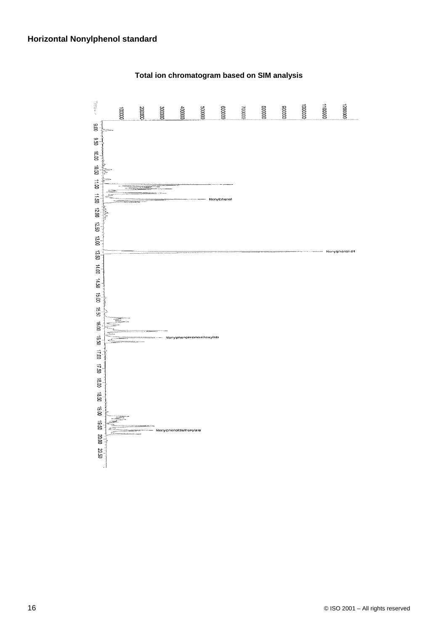## **Horizontal Nonylphenol standard**



## **Total ion chromatogram based on SIM analysis**